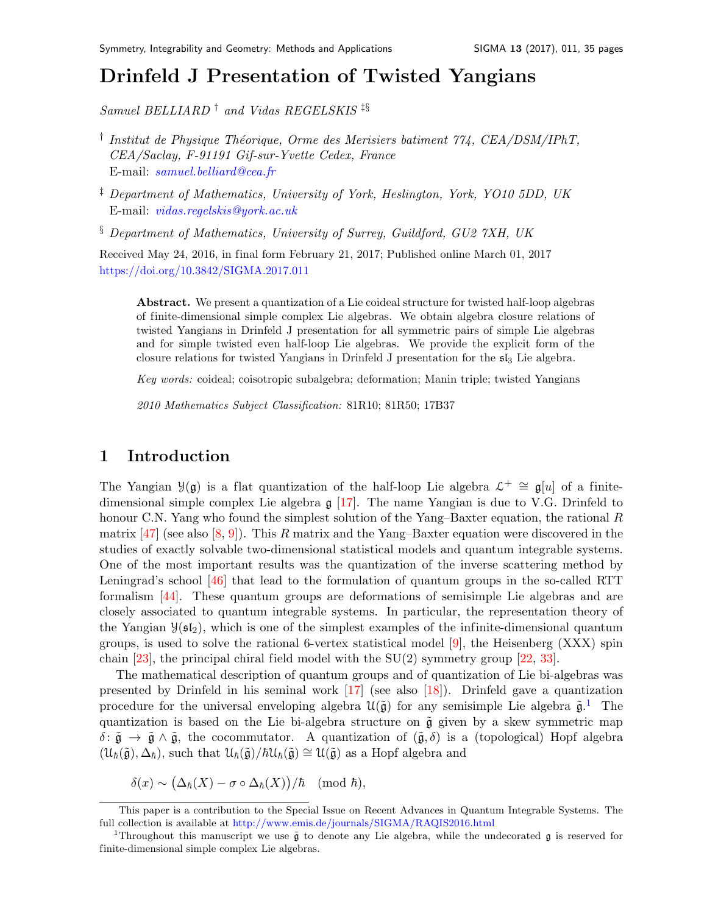# Drinfeld J Presentation of Twisted Yangian[s](#page-0-0)

Samuel BELLIARD † and Vidas REGELSKIS ‡§

- <sup>†</sup> Institut de Physique Théorique, Orme des Merisiers batiment 774, CEA/DSM/IPhT, CEA/Saclay, F-91191 Gif-sur-Yvette Cedex, France E-mail: [samuel.belliard@cea.fr](mailto:samuel.belliard@cea.fr)
- ‡ Department of Mathematics, University of York, Heslington, York, YO10 5DD, UK E-mail: [vidas.regelskis@york.ac.uk](mailto:vidas.regelskis@york.ac.uk)

§ Department of Mathematics, University of Surrey, Guildford, GU2 7XH, UK

Received May 24, 2016, in final form February 21, 2017; Published online March 01, 2017 <https://doi.org/10.3842/SIGMA.2017.011>

Abstract. We present a quantization of a Lie coideal structure for twisted half-loop algebras of finite-dimensional simple complex Lie algebras. We obtain algebra closure relations of twisted Yangians in Drinfeld J presentation for all symmetric pairs of simple Lie algebras and for simple twisted even half-loop Lie algebras. We provide the explicit form of the closure relations for twisted Yangians in Drinfeld J presentation for the  $5\text{I}_3$  Lie algebra.

Key words: coideal; coisotropic subalgebra; deformation; Manin triple; twisted Yangians

2010 Mathematics Subject Classification: 81R10; 81R50; 17B37

### 1 Introduction

The Yangian  $\mathcal{Y}(\mathfrak{g})$  is a flat quantization of the half-loop Lie algebra  $\mathcal{L}^+ \cong \mathfrak{g}[u]$  of a finitedimensional simple complex Lie algebra  $\mathfrak{g}$  [\[17\]](#page-33-0). The name Yangian is due to V.G. Drinfeld to honour C.N. Yang who found the simplest solution of the Yang–Baxter equation, the rational  $R$ matrix  $[47]$  (see also  $[8, 9]$  $[8, 9]$  $[8, 9]$ ). This R matrix and the Yang–Baxter equation were discovered in the studies of exactly solvable two-dimensional statistical models and quantum integrable systems. One of the most important results was the quantization of the inverse scattering method by Leningrad's school [\[46\]](#page-34-1) that lead to the formulation of quantum groups in the so-called RTT formalism [\[44\]](#page-34-2). These quantum groups are deformations of semisimple Lie algebras and are closely associated to quantum integrable systems. In particular, the representation theory of the Yangian  $\mathcal{Y}(\mathfrak{sl}_2)$ , which is one of the simplest examples of the infinite-dimensional quantum groups, is used to solve the rational 6-vertex statistical model  $[9]$ , the Heisenberg (XXX) spin chain  $[23]$ , the principal chiral field model with the  $SU(2)$  symmetry group  $[22, 33]$  $[22, 33]$  $[22, 33]$ .

The mathematical description of quantum groups and of quantization of Lie bi-algebras was presented by Drinfeld in his seminal work  $[17]$  (see also  $[18]$ ). Drinfeld gave a quantization procedure for the universal enveloping algebra  $\mathcal{U}(\tilde{\mathfrak{g}})$  for any semisimple Lie algebra  $\tilde{\mathfrak{g}}$ .<sup>[1](#page-0-1)</sup> The quantization is based on the Lie bi-algebra structure on  $\tilde{\mathfrak{g}}$  given by a skew symmetric map  $\delta: \tilde{\mathfrak{g}} \to \tilde{\mathfrak{g}} \wedge \tilde{\mathfrak{g}}$ , the cocommutator. A quantization of  $(\tilde{\mathfrak{g}}, \delta)$  is a (topological) Hopf algebra  $(\mathcal{U}_{\hbar}(\tilde{\mathfrak{g}}), \Delta_{\hbar})$ , such that  $\mathcal{U}_{\hbar}(\tilde{\mathfrak{g}})/\hbar \mathcal{U}_{\hbar}(\tilde{\mathfrak{g}}) \cong \mathcal{U}(\tilde{\mathfrak{g}})$  as a Hopf algebra and

 $\delta(x) \sim (\Delta_{\hbar}(X) - \sigma \circ \Delta_{\hbar}(X))/\hbar \pmod{\hbar},$ 

<span id="page-0-0"></span>This paper is a contribution to the Special Issue on Recent Advances in Quantum Integrable Systems. The full collection is available at <http://www.emis.de/journals/SIGMA/RAQIS2016.html>

<span id="page-0-1"></span><sup>&</sup>lt;sup>1</sup>Throughout this manuscript we use  $\tilde{g}$  to denote any Lie algebra, while the undecorated  $g$  is reserved for finite-dimensional simple complex Lie algebras.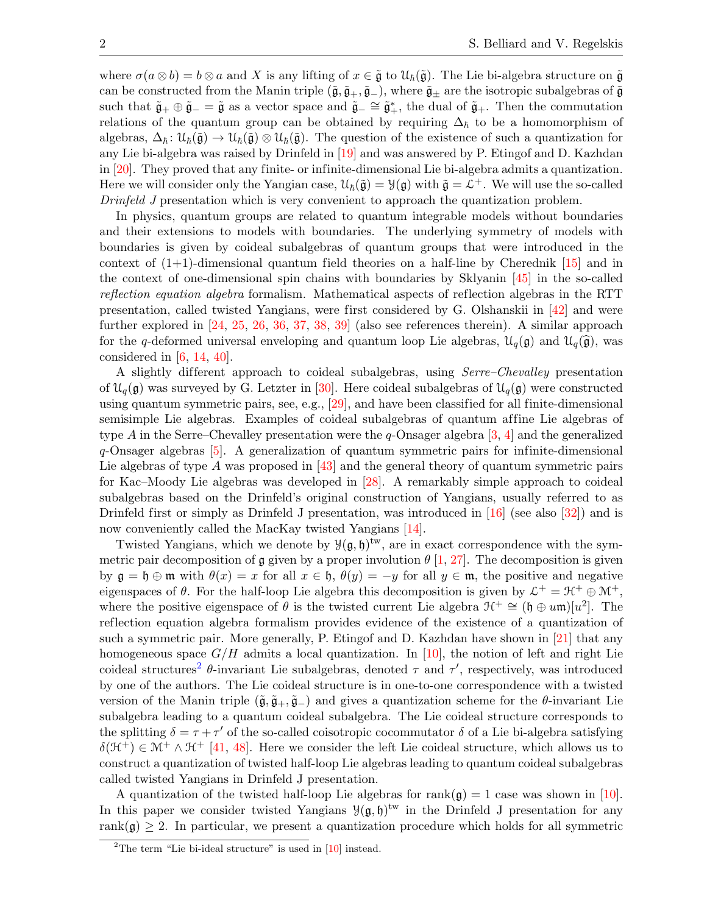where  $\sigma(a\otimes b) = b\otimes a$  and X is any lifting of  $x \in \tilde{\mathfrak{g}}$  to  $\mathfrak{U}_{\hbar}(\tilde{\mathfrak{g}})$ . The Lie bi-algebra structure on  $\tilde{\mathfrak{g}}$ can be constructed from the Manin triple  $(\tilde{\mathfrak{g}}, \tilde{\mathfrak{g}}_+, \tilde{\mathfrak{g}}_-)$ , where  $\tilde{\mathfrak{g}}_\pm$  are the isotropic subalgebras of  $\tilde{\mathfrak{g}}$ such that  $\tilde{\mathfrak{g}}_+ \oplus \tilde{\mathfrak{g}}_- = \tilde{\mathfrak{g}}$  as a vector space and  $\tilde{\mathfrak{g}}_- \cong \tilde{\mathfrak{g}}_+^*$ , the dual of  $\tilde{\mathfrak{g}}_+$ . Then the commutation relations of the quantum group can be obtained by requiring  $\Delta_h$  to be a homomorphism of algebras,  $\Delta_h$ :  $\mathcal{U}_h(\tilde{\mathfrak{g}}) \to \mathcal{U}_h(\tilde{\mathfrak{g}}) \otimes \mathcal{U}_h(\tilde{\mathfrak{g}})$ . The question of the existence of such a quantization for any Lie bi-algebra was raised by Drinfeld in [\[19\]](#page-33-5) and was answered by P. Etingof and D. Kazhdan in [\[20\]](#page-33-6). They proved that any finite- or infinite-dimensional Lie bi-algebra admits a quantization. Here we will consider only the Yangian case,  $\mathcal{U}_{\hbar}(\tilde{\mathfrak{g}}) = \mathcal{Y}(\mathfrak{g})$  with  $\tilde{\mathfrak{g}} = \mathcal{L}^+$ . We will use the so-called Drinfeld J presentation which is very convenient to approach the quantization problem.

In physics, quantum groups are related to quantum integrable models without boundaries and their extensions to models with boundaries. The underlying symmetry of models with boundaries is given by coideal subalgebras of quantum groups that were introduced in the context of  $(1+1)$ -dimensional quantum field theories on a half-line by Cherednik [\[15\]](#page-33-7) and in the context of one-dimensional spin chains with boundaries by Sklyanin [\[45\]](#page-34-3) in the so-called reflection equation algebra formalism. Mathematical aspects of reflection algebras in the RTT presentation, called twisted Yangians, were first considered by G. Olshanskii in [\[42\]](#page-34-4) and were further explored in [\[24,](#page-33-8) [25,](#page-33-9) [26,](#page-33-10) [36,](#page-33-11) [37,](#page-33-12) [38,](#page-34-5) [39\]](#page-34-6) (also see references therein). A similar approach for the q-deformed universal enveloping and quantum loop Lie algebras,  $\mathcal{U}_q(\mathfrak{g})$  and  $\mathcal{U}_q(\widehat{\mathfrak{g}})$ , was considered in  $[6, 14, 40]$  $[6, 14, 40]$  $[6, 14, 40]$  $[6, 14, 40]$  $[6, 14, 40]$ .

A slightly dif ferent approach to coideal subalgebras, using Serre–Chevalley presentation of  $\mathcal{U}_q(\mathfrak{g})$  was surveyed by G. Letzter in [\[30\]](#page-33-14). Here coideal subalgebras of  $\mathcal{U}_q(\mathfrak{g})$  were constructed using quantum symmetric pairs, see, e.g., [\[29\]](#page-33-15), and have been classified for all finite-dimensional semisimple Lie algebras. Examples of coideal subalgebras of quantum affine Lie algebras of type A in the Serre–Chevalley presentation were the  $q$ -Onsager algebra [\[3,](#page-32-3) [4\]](#page-32-4) and the generalized q-Onsager algebras [\[5\]](#page-32-5). A generalization of quantum symmetric pairs for infinite-dimensional Lie algebras of type  $\tilde{A}$  was proposed in [\[43\]](#page-34-8) and the general theory of quantum symmetric pairs for Kac–Moody Lie algebras was developed in [\[28\]](#page-33-16). A remarkably simple approach to coideal subalgebras based on the Drinfeld's original construction of Yangians, usually referred to as Drinfeld first or simply as Drinfeld J presentation, was introduced in  $[16]$  (see also  $[32]$ ) and is now conveniently called the MacKay twisted Yangians [\[14\]](#page-33-13).

Twisted Yangians, which we denote by  $\mathcal{Y}(\mathfrak{g},\mathfrak{h})^{\text{tw}}$ , are in exact correspondence with the symmetric pair decomposition of g given by a proper involution  $\theta$  [\[1,](#page-32-6) [27\]](#page-33-19). The decomposition is given by  $\mathfrak{g} = \mathfrak{h} \oplus \mathfrak{m}$  with  $\theta(x) = x$  for all  $x \in \mathfrak{h}$ ,  $\theta(y) = -y$  for all  $y \in \mathfrak{m}$ , the positive and negative eigenspaces of  $\theta$ . For the half-loop Lie algebra this decomposition is given by  $\mathcal{L}^+ = \mathcal{H}^+ \oplus \mathcal{M}^+$ , where the positive eigenspace of  $\theta$  is the twisted current Lie algebra  $\mathcal{H}^+ \cong (\mathfrak{h} \oplus u\mathfrak{m})[u^2]$ . The reflection equation algebra formalism provides evidence of the existence of a quantization of such a symmetric pair. More generally, P. Etingof and D. Kazhdan have shown in [\[21\]](#page-33-20) that any homogeneous space  $G/H$  admits a local quantization. In [\[10\]](#page-32-7), the notion of left and right Lie coideal structures<sup>[2](#page-1-0)</sup>  $\theta$ -invariant Lie subalgebras, denoted  $\tau$  and  $\tau'$ , respectively, was introduced by one of the authors. The Lie coideal structure is in one-to-one correspondence with a twisted version of the Manin triple  $(\tilde{\mathfrak{g}}, \tilde{\mathfrak{g}}_+, \tilde{\mathfrak{g}}_-)$  and gives a quantization scheme for the  $\theta$ -invariant Lie subalgebra leading to a quantum coideal subalgebra. The Lie coideal structure corresponds to the splitting  $\delta = \tau + \tau'$  of the so-called coisotropic cocommutator  $\delta$  of a Lie bi-algebra satisfying  $\delta(\mathcal{H}^+) \in \mathcal{M}^+ \wedge \mathcal{H}^+$  [\[41,](#page-34-9) [48\]](#page-34-10). Here we consider the left Lie coideal structure, which allows us to construct a quantization of twisted half-loop Lie algebras leading to quantum coideal subalgebras called twisted Yangians in Drinfeld J presentation.

A quantization of the twisted half-loop Lie algebras for  $rank(\mathfrak{g}) = 1$  case was shown in [\[10\]](#page-32-7). In this paper we consider twisted Yangians  $\mathcal{Y}(\mathfrak{g},\mathfrak{h})^{\text{tw}}$  in the Drinfeld J presentation for any rank( $\mathfrak{g}$ )  $\geq$  2. In particular, we present a quantization procedure which holds for all symmetric

<span id="page-1-0"></span><sup>&</sup>lt;sup>2</sup>The term "Lie bi-ideal structure" is used in  $[10]$  instead.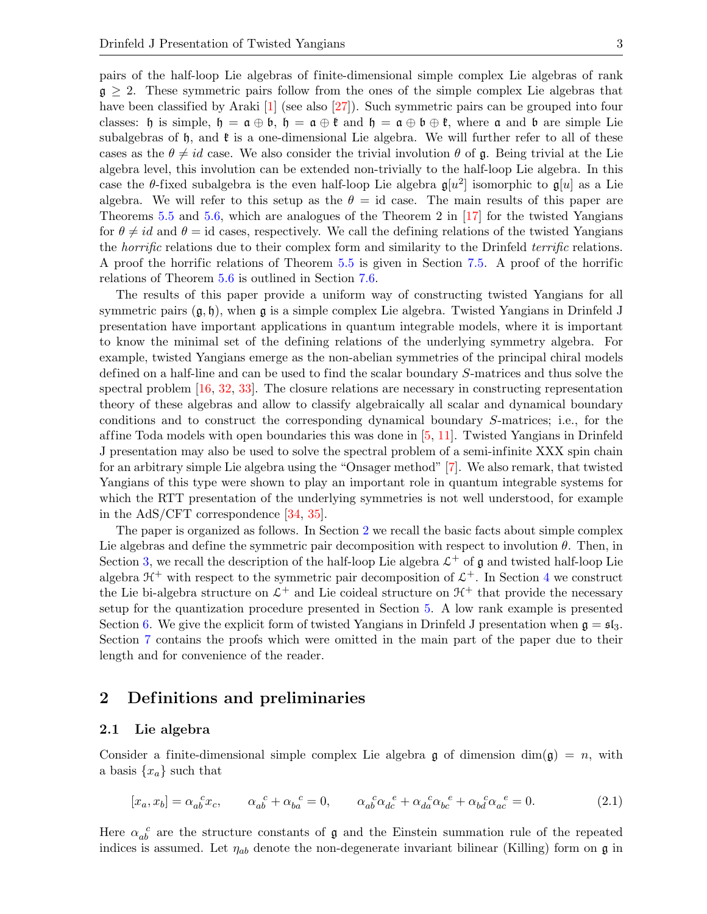pairs of the half-loop Lie algebras of finite-dimensional simple complex Lie algebras of rank  $\mathfrak{g} \geq 2$ . These symmetric pairs follow from the ones of the simple complex Lie algebras that have been classified by Araki [\[1\]](#page-32-6) (see also [\[27\]](#page-33-19)). Such symmetric pairs can be grouped into four classes: h is simple,  $h = \mathfrak{a} \oplus \mathfrak{b}$ ,  $h = \mathfrak{a} \oplus \mathfrak{b}$  and  $h = \mathfrak{a} \oplus \mathfrak{b} \oplus \mathfrak{k}$ , where  $\mathfrak{a}$  and  $\mathfrak{b}$  are simple Lie subalgebras of  $\mathfrak{h}$ , and  $\mathfrak{k}$  is a one-dimensional Lie algebra. We will further refer to all of these cases as the  $\theta \neq id$  case. We also consider the trivial involution  $\theta$  of  $\mathfrak{g}$ . Being trivial at the Lie algebra level, this involution can be extended non-trivially to the half-loop Lie algebra. In this case the  $\theta$ -fixed subalgebra is the even half-loop Lie algebra  $\mathfrak{g}[u^2]$  isomorphic to  $\mathfrak{g}[u]$  as a Lie algebra. We will refer to this setup as the  $\theta = id$  case. The main results of this paper are Theorems [5.5](#page-12-0) and [5.6,](#page-12-1) which are analogues of the Theorem 2 in [\[17\]](#page-33-0) for the twisted Yangians for  $\theta \neq id$  and  $\theta = id$  cases, respectively. We call the defining relations of the twisted Yangians the *horrific* relations due to their complex form and similarity to the Drinfeld *terrific* relations. A proof the horrific relations of Theorem [5.5](#page-12-0) is given in Section [7.5.](#page-25-0) A proof of the horrific relations of Theorem [5.6](#page-12-1) is outlined in Section [7.6.](#page-30-0)

The results of this paper provide a uniform way of constructing twisted Yangians for all symmetric pairs  $(\mathfrak{g}, \mathfrak{h})$ , when  $\mathfrak{g}$  is a simple complex Lie algebra. Twisted Yangians in Drinfeld J presentation have important applications in quantum integrable models, where it is important to know the minimal set of the defining relations of the underlying symmetry algebra. For example, twisted Yangians emerge as the non-abelian symmetries of the principal chiral models defined on a half-line and can be used to find the scalar boundary S-matrices and thus solve the spectral problem [\[16,](#page-33-17) [32,](#page-33-18) [33\]](#page-33-3). The closure relations are necessary in constructing representation theory of these algebras and allow to classify algebraically all scalar and dynamical boundary conditions and to construct the corresponding dynamical boundary S-matrices; i.e., for the affine Toda models with open boundaries this was done in  $[5, 11]$  $[5, 11]$  $[5, 11]$ . Twisted Yangians in Drinfeld J presentation may also be used to solve the spectral problem of a semi-infinite XXX spin chain for an arbitrary simple Lie algebra using the "Onsager method" [\[7\]](#page-32-8). We also remark, that twisted Yangians of this type were shown to play an important role in quantum integrable systems for which the RTT presentation of the underlying symmetries is not well understood, for example in the AdS/CFT correspondence [\[34,](#page-33-22) [35\]](#page-33-23).

The paper is organized as follows. In Section [2](#page-2-0) we recall the basic facts about simple complex Lie algebras and define the symmetric pair decomposition with respect to involution  $\theta$ . Then, in Section [3,](#page-5-0) we recall the description of the half-loop Lie algebra  $\mathcal{L}^+$  of g and twisted half-loop Lie algebra  $\mathcal{H}^+$  with respect to the symmetric pair decomposition of  $\mathcal{L}^+$ . In Section [4](#page-6-0) we construct the Lie bi-algebra structure on  $\mathcal{L}^+$  and Lie coideal structure on  $\mathcal{H}^+$  that provide the necessary setup for the quantization procedure presented in Section [5.](#page-9-0) A low rank example is presented Section [6.](#page-14-0) We give the explicit form of twisted Yangians in Drinfeld J presentation when  $\mathfrak{g} = \mathfrak{sl}_3$ . Section [7](#page-17-0) contains the proofs which were omitted in the main part of the paper due to their length and for convenience of the reader.

### <span id="page-2-0"></span>2 Definitions and preliminaries

#### 2.1 Lie algebra

Consider a finite-dimensional simple complex Lie algebra g of dimension  $\dim(\mathfrak{g}) = n$ , with a basis  $\{x_a\}$  such that

<span id="page-2-1"></span>
$$
[x_a, x_b] = \alpha_{ab}^{\ c} x_c, \qquad \alpha_{ab}^{\ c} + \alpha_{ba}^{\ c} = 0, \qquad \alpha_{ab}^{\ c} \alpha_{dc}^{\ c} + \alpha_{da}^{\ c} \alpha_{bc}^{\ c} + \alpha_{ba}^{\ c} \alpha_{ac}^{\ c} = 0. \tag{2.1}
$$

Here  $\alpha_{ab}^c$  are the structure constants of  $\mathfrak g$  and the Einstein summation rule of the repeated indices is assumed. Let  $\eta_{ab}$  denote the non-degenerate invariant bilinear (Killing) form on  $\mathfrak{g}$  in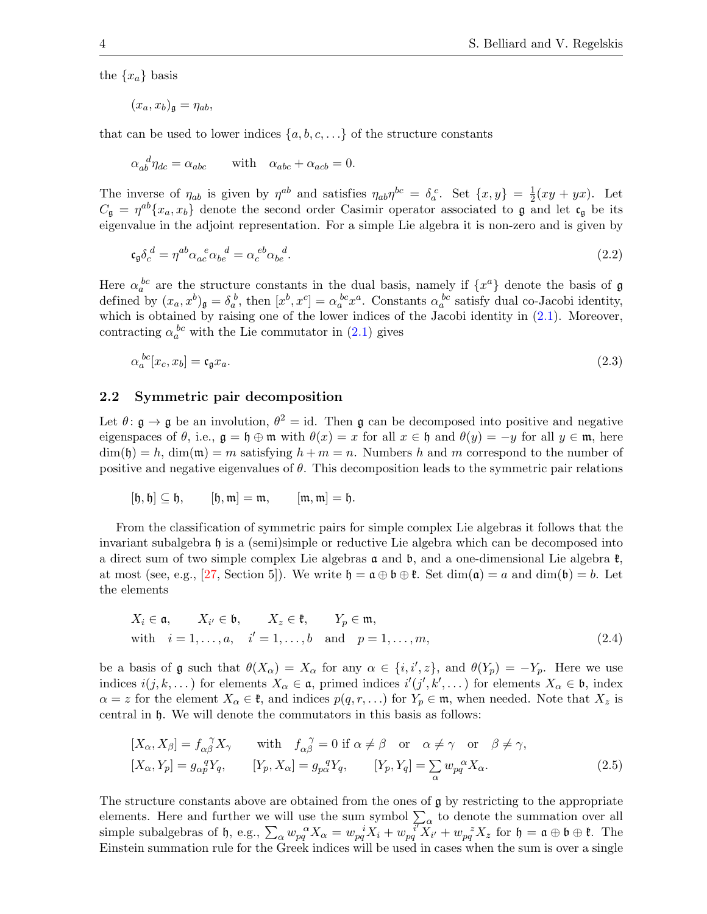the  $\{x_a\}$  basis

$$
(x_a, x_b)_{\mathfrak{g}} = \eta_{ab},
$$

that can be used to lower indices  $\{a, b, c, \ldots\}$  of the structure constants

$$
\alpha_{ab}^{\ d} \eta_{dc} = \alpha_{abc} \qquad \text{with} \quad \alpha_{abc} + \alpha_{acb} = 0.
$$

The inverse of  $\eta_{ab}$  is given by  $\eta^{ab}$  and satisfies  $\eta_{ab}\eta^{bc} = \delta_a^c$ . Set  $\{x, y\} = \frac{1}{2}$  $\frac{1}{2}(xy+yx)$ . Let  $C_{\mathfrak{g}} = \eta^{ab} \{x_a, x_b\}$  denote the second order Casimir operator associated to  $\mathfrak{g}$  and let  $\mathfrak{c}_{\mathfrak{g}}$  be its eigenvalue in the adjoint representation. For a simple Lie algebra it is non-zero and is given by

<span id="page-3-3"></span>
$$
\mathfrak{c}_{\mathfrak{g}} \delta_c^{\ d} = \eta^{ab} \alpha_{ac}^{\ e} \alpha_{be}^{\ d} = \alpha_c^{\ e b} \alpha_{be}^{\ d}.\tag{2.2}
$$

Here  $\alpha_a^{bc}$  are the structure constants in the dual basis, namely if  $\{x^a\}$  denote the basis of  $\mathfrak g$ defined by  $(x_a, x^b)_{\mathfrak{g}} = \delta_a^b$ , then  $[x^b, x^c] = \alpha_a^{bc} x^a$ . Constants  $\alpha_a^{bc}$  satisfy dual co-Jacobi identity, which is obtained by raising one of the lower indices of the Jacobi identity in  $(2.1)$ . Moreover, contracting  $\alpha_a^{bc}$  with the Lie commutator in  $(2.1)$  gives

<span id="page-3-2"></span>
$$
\alpha_a^{bc}[x_c, x_b] = \mathfrak{c}_\mathfrak{g} x_a. \tag{2.3}
$$

#### 2.2 Symmetric pair decomposition

Let  $\theta: \mathfrak{g} \to \mathfrak{g}$  be an involution,  $\theta^2 = id$ . Then  $\mathfrak{g}$  can be decomposed into positive and negative eigenspaces of  $\theta$ , i.e.,  $\mathfrak{g} = \mathfrak{h} \oplus \mathfrak{m}$  with  $\theta(x) = x$  for all  $x \in \mathfrak{h}$  and  $\theta(y) = -y$  for all  $y \in \mathfrak{m}$ , here  $\dim(\mathfrak{h}) = h$ ,  $\dim(\mathfrak{m}) = m$  satisfying  $h + m = n$ . Numbers h and m correspond to the number of positive and negative eigenvalues of  $\theta$ . This decomposition leads to the symmetric pair relations

$$
[\mathfrak{h},\mathfrak{h}] \subseteq \mathfrak{h}, \qquad [\mathfrak{h},\mathfrak{m}] = \mathfrak{m}, \qquad [\mathfrak{m},\mathfrak{m}] = \mathfrak{h}.
$$

From the classification of symmetric pairs for simple complex Lie algebras it follows that the invariant subalgebra h is a (semi)simple or reductive Lie algebra which can be decomposed into a direct sum of two simple complex Lie algebras  $\mathfrak a$  and  $\mathfrak b$ , and a one-dimensional Lie algebra  $\mathfrak k$ , at most (see, e.g., [\[27,](#page-33-19) Section 5]). We write  $\mathfrak{h} = \mathfrak{a} \oplus \mathfrak{b} \oplus \mathfrak{k}$ . Set  $\dim(\mathfrak{a}) = a$  and  $\dim(\mathfrak{b}) = b$ . Let the elements

<span id="page-3-0"></span>
$$
X_i \in \mathfrak{a}, \qquad X_{i'} \in \mathfrak{b}, \qquad X_z \in \mathfrak{k}, \qquad Y_p \in \mathfrak{m},
$$
  
with  $i = 1, ..., a, \quad i' = 1, ..., b$  and  $p = 1, ..., m,$  (2.4)

be a basis of g such that  $\theta(X_{\alpha}) = X_{\alpha}$  for any  $\alpha \in \{i, i', z\}$ , and  $\theta(Y_p) = -Y_p$ . Here we use indices  $i(j, k, \dots)$  for elements  $X_\alpha \in \mathfrak{a}$ , primed indices  $i'(j', k', \dots)$  for elements  $X_\alpha \in \mathfrak{b}$ , index  $\alpha = z$  for the element  $X_{\alpha} \in \mathfrak{k}$ , and indices  $p(q, r, \ldots)$  for  $Y_p \in \mathfrak{m}$ , when needed. Note that  $X_z$  is central in h. We will denote the commutators in this basis as follows:

<span id="page-3-1"></span>
$$
[X_{\alpha}, X_{\beta}] = f_{\alpha\beta}^{\ \gamma} X_{\gamma} \quad \text{with} \quad f_{\alpha\beta}^{\ \gamma} = 0 \text{ if } \alpha \neq \beta \quad \text{or} \quad \alpha \neq \gamma \quad \text{or} \quad \beta \neq \gamma, [X_{\alpha}, Y_{p}] = g_{\alpha p}^{\ \ q} Y_{q}, \qquad [Y_{p}, X_{\alpha}] = g_{p\alpha}^{\ \ q} Y_{q}, \qquad [Y_{p}, Y_{q}] = \sum_{\alpha} w_{pq}^{\ \alpha} X_{\alpha}.
$$
 (2.5)

The structure constants above are obtained from the ones of  $\mathfrak g$  by restricting to the appropriate elements. Here and further we will use the sum symbol  $\sum_{\alpha}$  to denote the summation over all simple subalgebras of h, e.g.,  $\sum_{\alpha} w_{pq}^{\alpha} X_{\alpha} = w_{pq}^{\ i} X_i + w_{pq}^{\ i} X_i + w_{pq}^{\ z} X_z$  for  $\mathfrak{h} = \mathfrak{a} \oplus \mathfrak{b} \oplus \mathfrak{k}$ . The Einstein summation rule for the Greek indices will be used in cases when the sum is over a single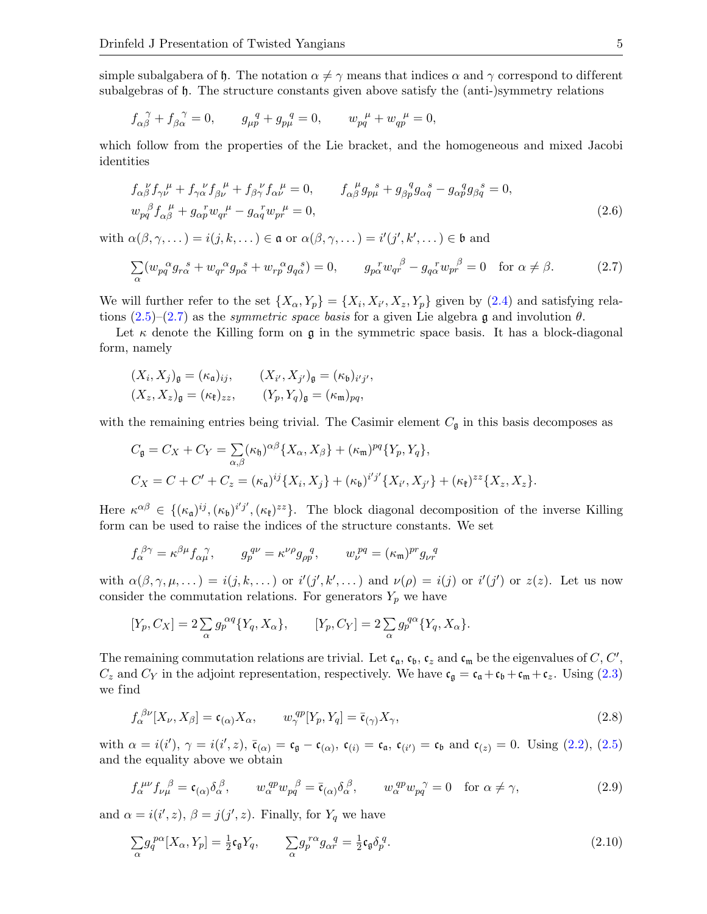simple subalgabera of h. The notation  $\alpha \neq \gamma$  means that indices  $\alpha$  and  $\gamma$  correspond to different subalgebras of h. The structure constants given above satisfy the (anti-)symmetry relations

$$
f_{\alpha\beta}^{\ \gamma} + f_{\beta\alpha}^{\ \gamma} = 0
$$
,  $g_{\mu p}^{\ q} + g_{p\mu}^{\ q} = 0$ ,  $w_{pq}^{\ \mu} + w_{qp}^{\ \mu} = 0$ ,

which follow from the properties of the Lie bracket, and the homogeneous and mixed Jacobi identities

<span id="page-4-4"></span>
$$
f_{\alpha\beta}^{\ \nu} f_{\gamma\nu}^{\ \mu} + f_{\gamma\alpha}^{\ \nu} f_{\beta\nu}^{\ \mu} + f_{\beta\gamma}^{\ \nu} f_{\alpha\nu}^{\ \mu} = 0, \qquad f_{\alpha\beta}^{\ \mu} g_{p\mu}^{\ \ s} + g_{\beta p}^{\ \ q} g_{\alpha q}^{\ \ s} - g_{\alpha p}^{\ \ q} g_{\beta q}^{\ \ s} = 0,
$$
  
\n
$$
w_{pq}^{\ \beta} f_{\alpha\beta}^{\ \mu} + g_{\alpha p}^{\ \ r} w_{qr}^{\ \mu} - g_{\alpha q}^{\ \ r} w_{pr}^{\ \mu} = 0,
$$
\n(2.6)

with  $\alpha(\beta, \gamma, \dots) = i(j, k, \dots) \in \mathfrak{a}$  or  $\alpha(\beta, \gamma, \dots) = i'(j', k', \dots) \in \mathfrak{b}$  and

<span id="page-4-0"></span>
$$
\sum_{\alpha} (w_{pq}{}^{\alpha} g_{r\alpha}{}^s + w_{qr}{}^{\alpha} g_{p\alpha}{}^s + w_{rp}{}^{\alpha} g_{q\alpha}{}^s) = 0, \qquad g_{p\alpha}{}^r w_{qr}{}^{\beta} - g_{q\alpha}{}^r w_{pr}{}^{\beta} = 0 \quad \text{for } \alpha \neq \beta. \tag{2.7}
$$

We will further refer to the set  $\{X_{\alpha}, Y_{p}\} = \{X_{i}, X_{i'}, X_{z}, Y_{p}\}$  given by  $(2.4)$  and satisfying relations  $(2.5)-(2.7)$  $(2.5)-(2.7)$  $(2.5)-(2.7)$  as the *symmetric space basis* for a given Lie algebra g and involution  $\theta$ .

Let  $\kappa$  denote the Killing form on g in the symmetric space basis. It has a block-diagonal form, namely

$$
(X_i, X_j)_{\mathfrak{g}} = (\kappa_{\mathfrak{a}})_{ij}, \qquad (X_{i'}, X_{j'})_{\mathfrak{g}} = (\kappa_{\mathfrak{b}})_{i'j'},
$$
  

$$
(X_z, X_z)_{\mathfrak{g}} = (\kappa_{\mathfrak{k}})_{zz}, \qquad (Y_p, Y_q)_{\mathfrak{g}} = (\kappa_{\mathfrak{m}})_{pq},
$$

with the remaining entries being trivial. The Casimir element  $C_{\mathfrak{g}}$  in this basis decomposes as

$$
C_{\mathfrak{g}} = C_X + C_Y = \sum_{\alpha,\beta} (\kappa_{\mathfrak{h}})^{\alpha\beta} \{X_{\alpha}, X_{\beta}\} + (\kappa_{\mathfrak{m}})^{pq} \{Y_p, Y_q\},
$$
  
\n
$$
C_X = C + C' + C_z = (\kappa_{\mathfrak{a}})^{ij} \{X_i, X_j\} + (\kappa_{\mathfrak{b}})^{i'j'} \{X_{i'}, X_{j'}\} + (\kappa_{\mathfrak{k}})^{zz} \{X_z, X_z\}.
$$

Here  $\kappa^{\alpha\beta} \in \{(\kappa_{\mathfrak{a}})^{ij}, (\kappa_{\mathfrak{b}})^{i'j'}, (\kappa_{\mathfrak{k}})^{zz}\}.$  The block diagonal decomposition of the inverse Killing form can be used to raise the indices of the structure constants. We set

$$
f_{\alpha}^{\ \beta\gamma} = \kappa^{\beta\mu} f_{\alpha\mu}^{\ \ \gamma}, \qquad g_{p}^{q\nu} = \kappa^{\nu\rho} g_{\rho p}^{\ \ q}, \qquad w_{\nu}^{pq} = (\kappa_{\mathfrak{m}})^{pr} g_{\nu r}^{\ \ q}
$$

with  $\alpha(\beta, \gamma, \mu, ...) = i(j, k, ...)$  or  $i'(j', k', ...)$  and  $\nu(\rho) = i(j)$  or  $i'(j')$  or  $z(z)$ . Let us now consider the commutation relations. For generators  $Y_p$  we have

$$
[Y_p, C_X] = 2 \sum_{\alpha} g_p^{\alpha q} \{ Y_q, X_{\alpha} \}, \qquad [Y_p, C_Y] = 2 \sum_{\alpha} g_p^{\alpha q} \{ Y_q, X_{\alpha} \}.
$$

The remaining commutation relations are trivial. Let  $c_a$ ,  $c_b$ ,  $c_z$  and  $c_m$  be the eigenvalues of C, C',  $C_z$  and  $C_Y$  in the adjoint representation, respectively. We have  $\mathfrak{c}_{\mathfrak{g}} = \mathfrak{c}_{\mathfrak{a}} + \mathfrak{c}_{\mathfrak{b}} + \mathfrak{c}_{\mathfrak{m}} + \mathfrak{c}_z$ . Using [\(2.3\)](#page-3-2) we find

<span id="page-4-3"></span>
$$
f_{\alpha}^{\beta\nu}[X_{\nu}, X_{\beta}] = \mathfrak{c}_{(\alpha)} X_{\alpha}, \qquad w_{\gamma}^{qp}[Y_p, Y_q] = \bar{\mathfrak{c}}_{(\gamma)} X_{\gamma}, \qquad (2.8)
$$

with  $\alpha = i(i')$ ,  $\gamma = i(i', z)$ ,  $\bar{\mathfrak{c}}_{(\alpha)} = \mathfrak{c}_{\mathfrak{g}} - \mathfrak{c}_{(\alpha)}$ ,  $\mathfrak{c}_{(i)} = \mathfrak{c}_{\mathfrak{a}}$ ,  $\mathfrak{c}_{(i')} = \mathfrak{c}_{\mathfrak{b}}$  and  $\mathfrak{c}_{(z)} = 0$ . Using [\(2.2\)](#page-3-3), [\(2.5\)](#page-3-1) and the equality above we obtain

<span id="page-4-2"></span>
$$
f_{\alpha}^{\mu\nu} f_{\nu\mu}^{\ \beta} = \mathfrak{c}_{(\alpha)} \delta_{\alpha}^{\ \beta}, \qquad w_{\alpha}^{qp} w_{pq}^{\ \beta} = \bar{\mathfrak{c}}_{(\alpha)} \delta_{\alpha}^{\ \beta}, \qquad w_{\alpha}^{qp} w_{pq}^{\ \gamma} = 0 \quad \text{for } \alpha \neq \gamma,
$$
\n
$$
(2.9)
$$

and  $\alpha = i(i', z)$ ,  $\beta = j(j', z)$ . Finally, for  $Y_q$  we have

<span id="page-4-1"></span>
$$
\sum_{\alpha} g_q^{p\alpha} [X_{\alpha}, Y_p] = \frac{1}{2} \mathfrak{c}_\mathfrak{g} Y_q, \qquad \sum_{\alpha} g_p^{r\alpha} g_{\alpha r}^q = \frac{1}{2} \mathfrak{c}_\mathfrak{g} \delta_p^q. \tag{2.10}
$$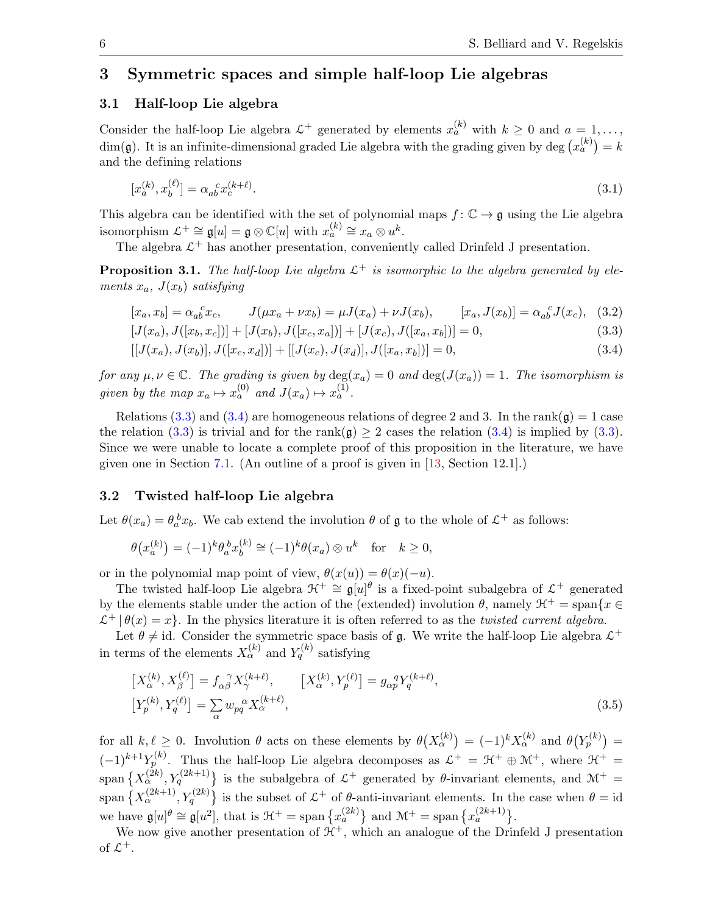# <span id="page-5-0"></span>3 Symmetric spaces and simple half-loop Lie algebras

#### 3.1 Half-loop Lie algebra

Consider the half-loop Lie algebra  $\mathcal{L}^+$  generated by elements  $x_a^{(k)}$  with  $k \geq 0$  and  $a = 1, \ldots,$  $\dim(\mathfrak{g})$ . It is an infinite-dimensional graded Lie algebra with the grading given by  $\deg (x_a^{(k)}) = k$ and the defining relations

<span id="page-5-4"></span>
$$
[x_a^{(k)}, x_b^{(\ell)}] = \alpha_{ab}^{\ \ c} x_c^{(k+\ell)}.
$$
\n(3.1)

This algebra can be identified with the set of polynomial maps  $f: \mathbb{C} \to \mathfrak{g}$  using the Lie algebra isomorphism  $\mathcal{L}^+ \cong \mathfrak{g}[u] = \mathfrak{g} \otimes \mathbb{C}[u]$  with  $x_a^{(k)} \cong x_a \otimes u^k$ .

The algebra  $\mathcal{L}^+$  has another presentation, conveniently called Drinfeld J presentation.

<span id="page-5-3"></span>**Proposition 3.1.** The half-loop Lie algebra  $\mathcal{L}^+$  is isomorphic to the algebra generated by elements  $x_a$ ,  $J(x_b)$  satisfying

<span id="page-5-5"></span>
$$
[x_a, x_b] = \alpha_{ab}^{\ c} x_c, \qquad J(\mu x_a + \nu x_b) = \mu J(x_a) + \nu J(x_b), \qquad [x_a, J(x_b)] = \alpha_{ab}^{\ c} J(x_c), \quad (3.2)
$$

<span id="page-5-2"></span><span id="page-5-1"></span>
$$
[J(x_a), J([x_b, x_c])] + [J(x_b), J([x_c, x_a])] + [J(x_c), J([x_a, x_b])] = 0,
$$
\n(3.3)

$$
[[J(x_a), J(x_b)], J([x_c, x_d])] + [[J(x_c), J(x_d)], J([x_a, x_b])] = 0,
$$
\n(3.4)

for any  $\mu, \nu \in \mathbb{C}$ . The grading is given by  $\deg(x_a) = 0$  and  $\deg(J(x_a)) = 1$ . The isomorphism is given by the map  $x_a \mapsto x_a^{(0)}$  and  $J(x_a) \mapsto x_a^{(1)}$ .

Relations [\(3.3\)](#page-5-1) and [\(3.4\)](#page-5-2) are homogeneous relations of degree 2 and 3. In the rank( $\mathfrak{g}$ ) = 1 case the relation [\(3.3\)](#page-5-1) is trivial and for the rank( $\mathfrak{g}$ )  $\geq$  2 cases the relation [\(3.4\)](#page-5-2) is implied by (3.3). Since we were unable to locate a complete proof of this proposition in the literature, we have given one in Section [7.1.](#page-17-1) (An outline of a proof is given in [\[13,](#page-33-24) Section 12.1].)

#### 3.2 Twisted half-loop Lie algebra

Let  $\theta(x_a) = \theta_a^b x_b$ . We cab extend the involution  $\theta$  of  $\mathfrak g$  to the whole of  $\mathcal L^+$  as follows:

$$
\theta\big(x_a^{(k)}\big) = (-1)^k \theta_a^b x_b^{(k)} \cong (-1)^k \theta(x_a) \otimes u^k \quad \text{for} \quad k \ge 0,
$$

or in the polynomial map point of view,  $\theta(x(u)) = \theta(x)(-u)$ .

The twisted half-loop Lie algebra  $\mathcal{H}^+ \cong \mathfrak{g}[u]^\theta$  is a fixed-point subalgebra of  $\mathcal{L}^+$  generated by the elements stable under the action of the (extended) involution  $\theta$ , namely  $\mathcal{H}^+$  = span $\{x \in$  $\mathcal{L}^+ | \theta(x) = x$ . In the physics literature it is often referred to as the *twisted current algebra*.

Let  $\theta \neq id$ . Consider the symmetric space basis of g. We write the half-loop Lie algebra  $\mathcal{L}^+$ in terms of the elements  $X_{\alpha}^{(k)}$  and  $Y_{q}^{(k)}$  satisfying

<span id="page-5-6"></span>
$$
\begin{aligned}\n\left[X_{\alpha}^{(k)}, X_{\beta}^{(\ell)}\right] &= f_{\alpha\beta}^{\ \ \gamma} X_{\gamma}^{(k+\ell)}, & \left[X_{\alpha}^{(k)}, Y_{p}^{(\ell)}\right] &= g_{\alpha p}^{\ \ q} Y_{q}^{(k+\ell)}, \\
\left[Y_{p}^{(k)}, Y_{q}^{(\ell)}\right] &= \sum_{\alpha} w_{pq}^{\ \ \alpha} X_{\alpha}^{(k+\ell)},\n\end{aligned} \tag{3.5}
$$

for all  $k, \ell \geq 0$ . Involution  $\theta$  acts on these elements by  $\theta(X_{\alpha}^{(k)}) = (-1)^k X_{\alpha}^{(k)}$  and  $\theta(Y_{p}^{(k)}) =$  $(-1)^{k+1}Y_p^{(k)}$ . Thus the half-loop Lie algebra decomposes as  $\mathcal{L}^+ = \mathcal{H}^+ \oplus \mathcal{M}^+$ , where  $\mathcal{H}^+ =$ span  $\{X_\alpha^{(2k)}, Y_q^{(2k+1)}\}$  is the subalgebra of  $\mathcal{L}^+$  generated by  $\theta$ -invariant elements, and  $\mathcal{M}^+$  = span  $\{X_\alpha^{(2k+1)}, Y_q^{(2k)}\}$  is the subset of  $\mathcal{L}^+$  of  $\theta$ -anti-invariant elements. In the case when  $\theta = id$ we have  $\mathfrak{g}[u]^{\theta} \cong \mathfrak{g}[u^2]$ , that is  $\mathfrak{H}^+ = \text{span} \{x_a^{(2k)}\}\$  and  $\mathfrak{M}^+ = \text{span} \{x_a^{(2k+1)}\}.$ 

We now give another presentation of  $\mathcal{H}^+$ , which an analogue of the Drinfeld J presentation of  $\mathcal{L}^+$ .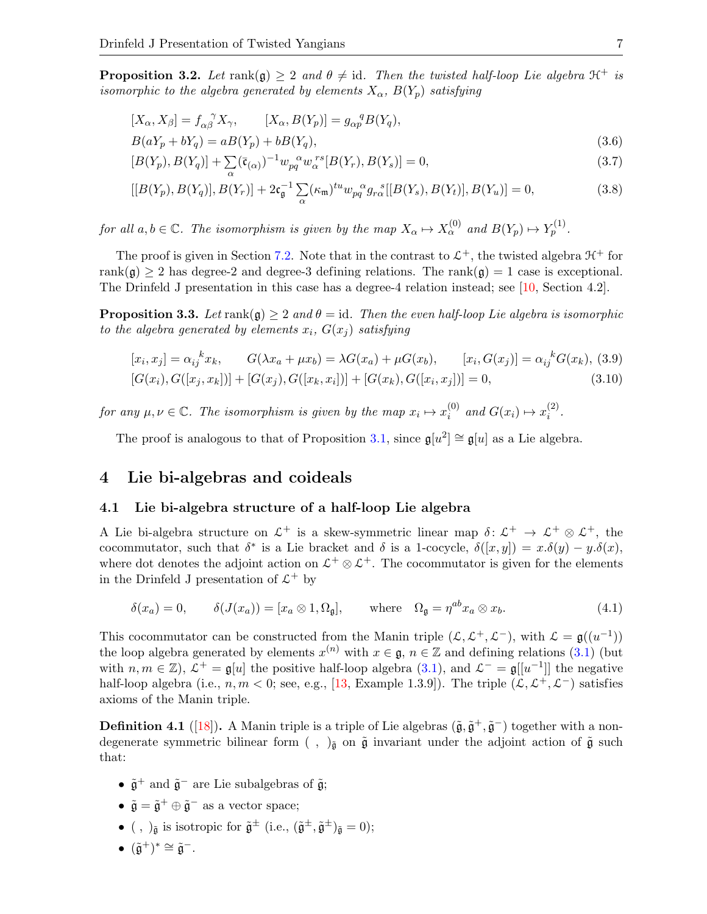<span id="page-6-5"></span>**Proposition 3.2.** Let  $rank(\mathfrak{g}) \geq 2$  and  $\theta \neq id$ . Then the twisted half-loop Lie algebra  $\mathfrak{H}^+$  is isomorphic to the algebra generated by elements  $X_{\alpha}$ ,  $B(Y_p)$  satisfying

<span id="page-6-6"></span>
$$
[X_{\alpha}, X_{\beta}] = f_{\alpha\beta}^{\ \gamma} X_{\gamma}, \qquad [X_{\alpha}, B(Y_{p})] = g_{\alpha p}^{\ q} B(Y_{q}),
$$
  

$$
B(aY_{p} + bY_{q}) = aB(Y_{p}) + bB(Y_{q}),
$$
\n(3.6)

<span id="page-6-2"></span>
$$
[B(Y_p), B(Y_q)] + \sum_{\alpha} (\bar{\mathfrak{c}}_{(\alpha)})^{-1} w_{pq}^{\ \alpha} w_{\alpha}^{rs} [B(Y_r), B(Y_s)] = 0, \qquad (3.7)
$$

<span id="page-6-3"></span>
$$
[[B(Y_p), B(Y_q)], B(Y_r)] + 2\mathfrak{c}_{\mathfrak{g}}^{-1} \sum_{\alpha} (\kappa_{\mathfrak{m}})^{tu} w_{pq}^{\alpha} g_{r\alpha}^{\ s}[[B(Y_s), B(Y_t)], B(Y_u)] = 0,
$$
\n(3.8)

for all  $a, b \in \mathbb{C}$ . The isomorphism is given by the map  $X_{\alpha} \mapsto X_{\alpha}^{(0)}$  and  $B(Y_p) \mapsto Y_p^{(1)}$ .

The proof is given in Section [7.2.](#page-19-0) Note that in the contrast to  $\mathcal{L}^+$ , the twisted algebra  $\mathcal{H}^+$  for rank( $\mathfrak{g}$ )  $\geq$  2 has degree-2 and degree-3 defining relations. The rank( $\mathfrak{g}$ ) = 1 case is exceptional. The Drinfeld J presentation in this case has a degree-4 relation instead; see [\[10,](#page-32-7) Section 4.2].

**Proposition 3.3.** Let  $rank(\mathfrak{g}) \geq 2$  and  $\theta = id$ . Then the even half-loop Lie algebra is isomorphic to the algebra generated by elements  $x_i$ ,  $G(x_i)$  satisfying

<span id="page-6-4"></span>
$$
[x_i, x_j] = \alpha_{ij}^k x_k, \qquad G(\lambda x_a + \mu x_b) = \lambda G(x_a) + \mu G(x_b), \qquad [x_i, G(x_j)] = \alpha_{ij}^k G(x_k), \quad (3.9)
$$

$$
[G(x_i), G([x_j, x_k])] + [G(x_j), G([x_k, x_i])] + [G(x_k), G([x_i, x_j])] = 0, \quad (3.10)
$$

for any  $\mu, \nu \in \mathbb{C}$ . The isomorphism is given by the map  $x_i \mapsto x_i^{(0)}$  $i^{(0)}$  and  $G(x_i) \mapsto x_i^{(2)}$  $\binom{2}{i}$ .

The proof is analogous to that of Proposition [3.1,](#page-5-3) since  $\mathfrak{g}[u^2] \cong \mathfrak{g}[u]$  as a Lie algebra.

### <span id="page-6-0"></span>4 Lie bi-algebras and coideals

#### 4.1 Lie bi-algebra structure of a half-loop Lie algebra

A Lie bi-algebra structure on  $\mathcal{L}^+$  is a skew-symmetric linear map  $\delta: \mathcal{L}^+ \to \mathcal{L}^+ \otimes \mathcal{L}^+$ , the cocommutator, such that  $\delta^*$  is a Lie bracket and  $\delta$  is a 1-cocycle,  $\delta([x,y]) = x.\delta(y) - y.\delta(x)$ , where dot denotes the adjoint action on  $\mathcal{L}^+ \otimes \mathcal{L}^+$ . The cocommutator is given for the elements in the Drinfeld J presentation of  $\mathcal{L}^+$  by

<span id="page-6-1"></span>
$$
\delta(x_a) = 0, \qquad \delta(J(x_a)) = [x_a \otimes 1, \Omega_{\mathfrak{g}}], \qquad \text{where} \quad \Omega_{\mathfrak{g}} = \eta^{ab} x_a \otimes x_b. \tag{4.1}
$$

This cocommutator can be constructed from the Manin triple  $(\mathcal{L}, \mathcal{L}^+, \mathcal{L}^-)$ , with  $\mathcal{L} = \mathfrak{g}((u^{-1}))$ the loop algebra generated by elements  $x^{(n)}$  with  $x \in \mathfrak{g}$ ,  $n \in \mathbb{Z}$  and defining relations [\(3.1\)](#page-5-4) (but with  $n, m \in \mathbb{Z}$ ,  $\mathcal{L}^+ = \mathfrak{g}[u]$  the positive half-loop algebra [\(3.1\)](#page-5-4), and  $\mathcal{L}^- = \mathfrak{g}[[u^{-1}]]$  the negative half-loop algebra (i.e.,  $n, m < 0$ ; see, e.g., [\[13,](#page-33-24) Example 1.3.9]). The triple  $(\mathcal{L}, \mathcal{L}^+, \mathcal{L}^-)$  satisfies axioms of the Manin triple.

**Definition 4.1** ([\[18\]](#page-33-4)). A Manin triple is a triple of Lie algebras  $(\tilde{\mathfrak{g}}, \tilde{\mathfrak{g}}^+, \tilde{\mathfrak{g}}^-)$  together with a nondegenerate symmetric bilinear form ( , ) $_{\tilde{\mathfrak g}}$  on  $\tilde{\mathfrak g}$  invariant under the adjoint action of  $\tilde{\mathfrak g}$  such that:

- $\tilde{\mathfrak{g}}^+$  and  $\tilde{\mathfrak{g}}^-$  are Lie subalgebras of  $\tilde{\mathfrak{g}}$ ;
- $\tilde{\mathfrak{g}} = \tilde{\mathfrak{g}}^+ \oplus \tilde{\mathfrak{g}}^-$  as a vector space;
- (, )<sub> $\tilde{\mathfrak{g}}$ </sub> is isotropic for  $\tilde{\mathfrak{g}}^{\pm}$  (i.e.,  $(\tilde{\mathfrak{g}}^{\pm}, \tilde{\mathfrak{g}}^{\pm})_{\tilde{\mathfrak{g}}}=0$ );
- $(\tilde{\mathfrak{g}}^+)^* \cong \tilde{\mathfrak{g}}^-$ .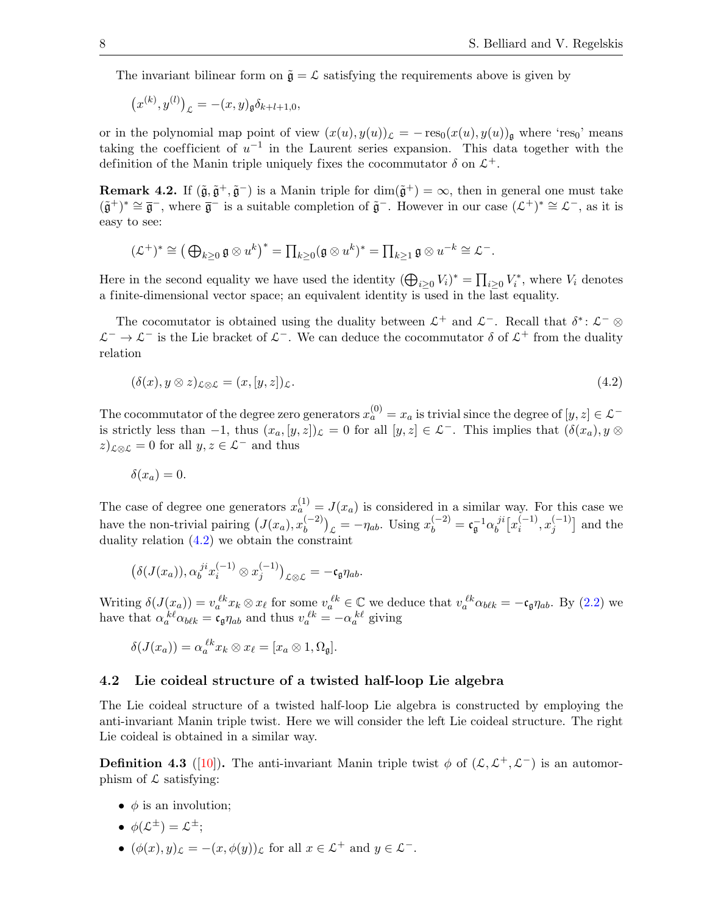The invariant bilinear form on  $\tilde{\mathfrak{g}} = \mathcal{L}$  satisfying the requirements above is given by

$$
(x^{(k)}, y^{(l)})_{\mathcal{L}} = -(x, y)_{\mathfrak{g}} \delta_{k+l+1,0},
$$

or in the polynomial map point of view  $(x(u), y(u))_{\mathcal{L}} = -\text{res}_{0}(x(u), y(u))_{\mathfrak{g}}$  where 'res<sub>0</sub>' means taking the coefficient of  $u^{-1}$  in the Laurent series expansion. This data together with the definition of the Manin triple uniquely fixes the cocommutator  $\delta$  on  $\mathcal{L}^+$ .

**Remark 4.2.** If  $(\tilde{\mathfrak{g}}, \tilde{\mathfrak{g}}^+, \tilde{\mathfrak{g}}^-)$  is a Manin triple for  $\dim(\tilde{\mathfrak{g}}^+) = \infty$ , then in general one must take  $(\tilde{\mathfrak{g}}^+)^* \cong \overline{\mathfrak{g}}^-$ , where  $\overline{\mathfrak{g}}^-$  is a suitable completion of  $\tilde{\mathfrak{g}}^-$ . However in our case  $(\mathcal{L}^+)^* \cong \mathcal{L}^-$ , as it is easy to see:

$$
(\mathcal{L}^+)^* \cong \left(\bigoplus_{k\geq 0} \mathfrak{g} \otimes u^k\right)^* = \prod_{k\geq 0} (\mathfrak{g} \otimes u^k)^* = \prod_{k\geq 1} \mathfrak{g} \otimes u^{-k} \cong \mathcal{L}^-.
$$

Here in the second equality we have used the identity  $(\bigoplus_{i\geq 0} V_i)^* = \prod_{i\geq 0} V_i^*$ , where  $V_i$  denotes a finite-dimensional vector space; an equivalent identity is used in the last equality.

The cocomutator is obtained using the duality between  $\mathcal{L}^+$  and  $\mathcal{L}^-$ . Recall that  $\delta^*$ :  $\mathcal{L}^- \otimes$  $\mathcal{L}^-$  →  $\mathcal{L}^-$  is the Lie bracket of  $\mathcal{L}^-$ . We can deduce the cocommutator  $\delta$  of  $\mathcal{L}^+$  from the duality relation

<span id="page-7-0"></span>
$$
(\delta(x), y \otimes z)_{\mathcal{L}\otimes\mathcal{L}} = (x, [y, z])_{\mathcal{L}}.\tag{4.2}
$$

The cocommutator of the degree zero generators  $x_a^{(0)} = x_a$  is trivial since the degree of  $[y, z] \in \mathcal{L}^$ is strictly less than  $-1$ , thus  $(x_a, [y, z])_{\mathcal{L}} = 0$  for all  $[y, z] \in \mathcal{L}^-$ . This implies that  $(\delta(x_a), y \otimes z)$  $(z)_{\mathcal{L}\otimes\mathcal{L}}=0$  for all  $y, z\in\mathcal{L}^-$  and thus

$$
\delta(x_a)=0.
$$

The case of degree one generators  $x_a^{(1)} = J(x_a)$  is considered in a similar way. For this case we have the non-trivial pairing  $(J(x_a), x_b^{(-2)})$  $\binom{(-2)}{b}_{\mathcal{L}} = -\eta_{ab}$ . Using  $x_b^{(-2)} = \mathfrak{c}_{\mathfrak{g}}^{-1} \alpha_b^{ji}$  $\int_b^{ji} \left[x_i^{(-1)}\right]$  $\binom{(-1)}{i}, x_j^{(-1)}$  $j^{(-1)}$ ] and the duality relation [\(4.2\)](#page-7-0) we obtain the constraint

$$
\big(\delta(J(x_a)),\alpha_b^{ji}x_i^{(-1)}\otimes x_j^{(-1)}\big)_{\mathcal{L}\otimes\mathcal{L}}=-\mathfrak{c}_{\mathfrak{g}}\eta_{ab}.
$$

Writing  $\delta(J(x_a)) = v_a^{\ell k} x_k \otimes x_{\ell}$  for some  $v_a^{\ell k} \in \mathbb{C}$  we deduce that  $v_a^{\ell k} \alpha_{b\ell k} = -c_{\mathfrak{g}} \eta_{ab}$ . By [\(2.2\)](#page-3-3) we have that  $\alpha_a^{k\ell} \alpha_{b\ell k} = \mathfrak{c}_{\mathfrak{g}} \eta_{ab}$  and thus  $v_a^{k\ell} = -\alpha_a^{k\ell}$  giving

$$
\delta(J(x_a)) = \alpha_a^{\,\ell k} x_k \otimes x_\ell = [x_a \otimes 1, \Omega_\mathfrak{g}].
$$

#### 4.2 Lie coideal structure of a twisted half-loop Lie algebra

The Lie coideal structure of a twisted half-loop Lie algebra is constructed by employing the anti-invariant Manin triple twist. Here we will consider the left Lie coideal structure. The right Lie coideal is obtained in a similar way.

**Definition 4.3** ([\[10\]](#page-32-7)). The anti-invariant Manin triple twist  $\phi$  of  $(L, L^+, L^-)$  is an automorphism of  $\mathcal L$  satisfying:

 $\bullet$   $\phi$  is an involution;

$$
\bullet \ \phi(\mathcal{L}^{\pm}) = \mathcal{L}^{\pm};
$$

•  $(\phi(x), y)_{\mathcal{L}} = -(x, \phi(y))_{\mathcal{L}}$  for all  $x \in \mathcal{L}^+$  and  $y \in \mathcal{L}^-$ .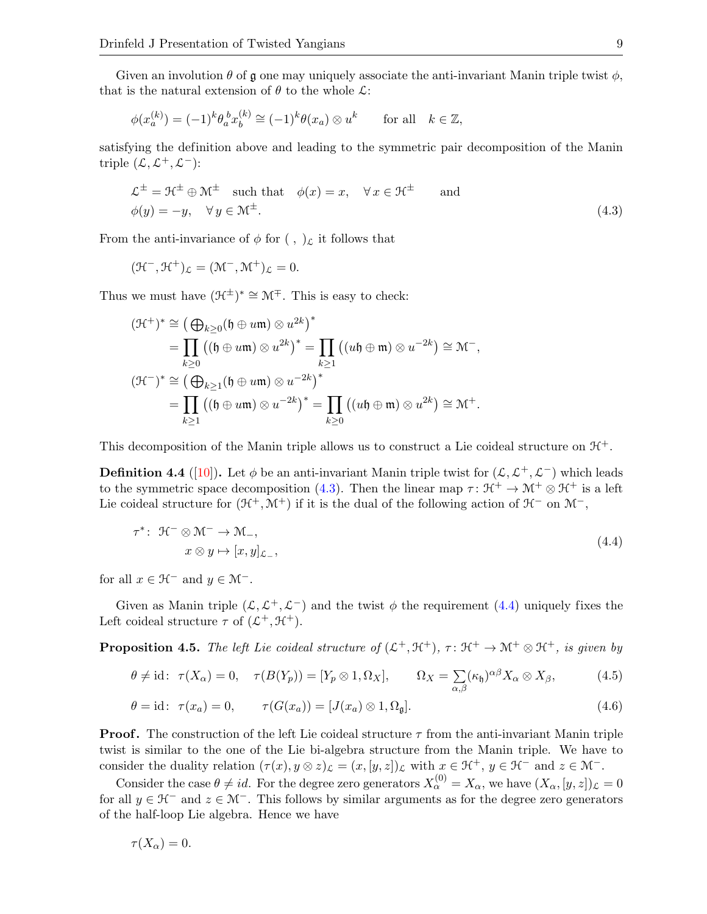Given an involution  $\theta$  of  $\mathfrak g$  one may uniquely associate the anti-invariant Manin triple twist  $\phi$ , that is the natural extension of  $\theta$  to the whole  $\mathcal{L}$ :

$$
\phi(x_a^{(k)}) = (-1)^k \theta_a^b x_b^{(k)} \cong (-1)^k \theta(x_a) \otimes u^k \quad \text{for all} \quad k \in \mathbb{Z},
$$

satisfying the definition above and leading to the symmetric pair decomposition of the Manin triple  $(\mathcal{L}, \mathcal{L}^+, \mathcal{L}^-)$ :

<span id="page-8-0"></span>
$$
\mathcal{L}^{\pm} = \mathcal{H}^{\pm} \oplus \mathcal{M}^{\pm} \quad \text{such that} \quad \phi(x) = x, \quad \forall x \in \mathcal{H}^{\pm} \quad \text{and}
$$
  

$$
\phi(y) = -y, \quad \forall y \in \mathcal{M}^{\pm}.
$$
 (4.3)

From the anti-invariance of  $\phi$  for  $( , )_{\mathcal{L}}$  it follows that

$$
(\mathfrak{H}^-, \mathfrak{H}^+)_\mathcal{L} = (\mathfrak{M}^-, \mathfrak{M}^+)_\mathcal{L} = 0.
$$

Thus we must have  $(\mathcal{H}^{\pm})^* \cong \mathcal{M}^{\mp}$ . This is easy to check:

$$
(\mathcal{H}^+)^* \cong \left(\bigoplus_{k\geq 0} (\mathfrak{h} \oplus u\mathfrak{m}) \otimes u^{2k}\right)^*
$$
  
= 
$$
\prod_{k\geq 0} ((\mathfrak{h} \oplus u\mathfrak{m}) \otimes u^{2k})^* = \prod_{k\geq 1} ((u\mathfrak{h} \oplus \mathfrak{m}) \otimes u^{-2k}) \cong \mathcal{M}^-,
$$
  

$$
(\mathcal{H}^-)^* \cong \left(\bigoplus_{k\geq 1} (\mathfrak{h} \oplus u\mathfrak{m}) \otimes u^{-2k}\right)^*
$$
  
= 
$$
\prod_{k\geq 1} ((\mathfrak{h} \oplus u\mathfrak{m}) \otimes u^{-2k})^* = \prod_{k\geq 0} ((u\mathfrak{h} \oplus \mathfrak{m}) \otimes u^{2k}) \cong \mathcal{M}^+.
$$

This decomposition of the Manin triple allows us to construct a Lie coideal structure on  $\mathcal{H}^+$ .

**Definition 4.4** ([\[10\]](#page-32-7)). Let  $\phi$  be an anti-invariant Manin triple twist for  $(L, L^+, L^-)$  which leads to the symmetric space decomposition [\(4.3\)](#page-8-0). Then the linear map  $\tau : \mathfrak{H}^+ \to \mathfrak{M}^+ \otimes \mathfrak{H}^+$  is a left Lie coideal structure for  $(\mathcal{H}^+, \mathcal{M}^+)$  if it is the dual of the following action of  $\mathcal{H}^-$  on  $\mathcal{M}^-$ ,

<span id="page-8-1"></span>
$$
\tau^* \colon \mathcal{H}^- \otimes \mathcal{M}^- \to \mathcal{M}_-,
$$
  
\n
$$
x \otimes y \mapsto [x, y]_{\mathcal{L}_-},
$$
\n(4.4)

for all  $x \in \mathcal{H}^-$  and  $y \in \mathcal{M}^-$ .

Given as Manin triple  $(\mathcal{L}, \mathcal{L}^+, \mathcal{L}^-)$  and the twist  $\phi$  the requirement [\(4.4\)](#page-8-1) uniquely fixes the Left coideal structure  $\tau$  of  $(\mathcal{L}^+, \mathcal{H}^+)$ .

**Proposition 4.5.** The left Lie coideal structure of  $(\mathcal{L}^+, \mathcal{H}^+)$ ,  $\tau \colon \mathcal{H}^+ \to \mathcal{M}^+ \otimes \mathcal{H}^+$ , is given by

<span id="page-8-3"></span><span id="page-8-2"></span>
$$
\theta \neq id: \ \tau(X_{\alpha}) = 0, \quad \tau(B(Y_p)) = [Y_p \otimes 1, \Omega_X], \qquad \Omega_X = \sum_{\alpha, \beta} (\kappa_{\mathfrak{h}})^{\alpha \beta} X_{\alpha} \otimes X_{\beta}, \tag{4.5}
$$

$$
\theta = id: \ \tau(x_a) = 0, \qquad \tau(G(x_a)) = [J(x_a) \otimes 1, \Omega_{\mathfrak{g}}]. \tag{4.6}
$$

**Proof.** The construction of the left Lie coideal structure  $\tau$  from the anti-invariant Manin triple twist is similar to the one of the Lie bi-algebra structure from the Manin triple. We have to consider the duality relation  $(\tau(x), y \otimes z)_{\mathcal{L}} = (x, [y, z])_{\mathcal{L}}$  with  $x \in \mathcal{H}^+$ ,  $y \in \mathcal{H}^-$  and  $z \in \mathcal{M}^-$ .

Consider the case  $\theta \neq id$ . For the degree zero generators  $X_{\alpha}^{(0)} = X_{\alpha}$ , we have  $(X_{\alpha}, [y, z])_{\mathcal{L}} = 0$ for all  $y \in \mathcal{H}^-$  and  $z \in \mathcal{M}^-$ . This follows by similar arguments as for the degree zero generators of the half-loop Lie algebra. Hence we have

$$
\tau(X_{\alpha})=0.
$$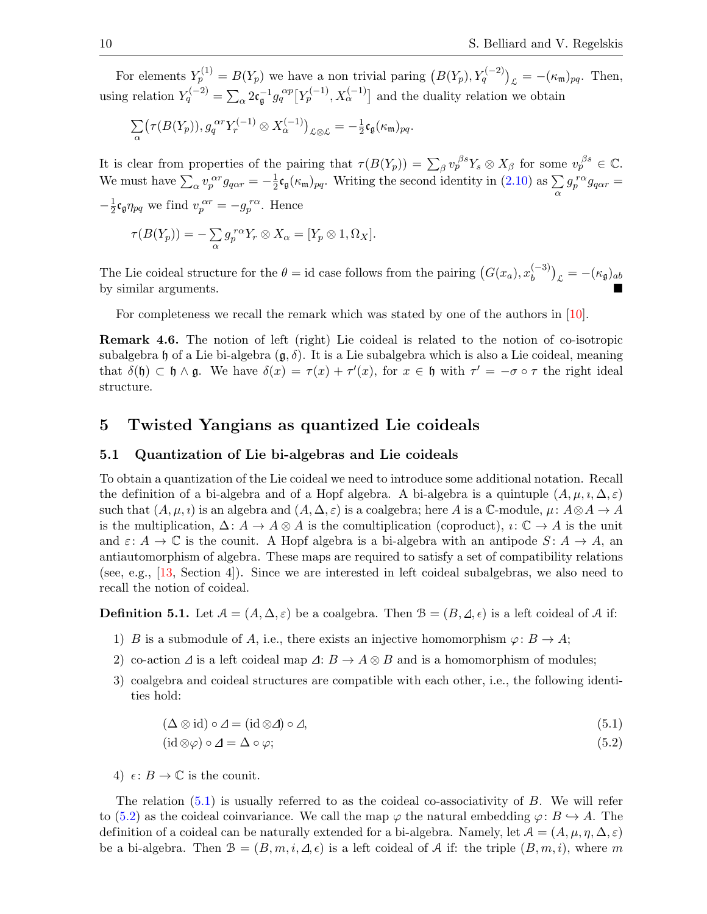For elements  $Y_p^{(1)} = B(Y_p)$  we have a non trivial paring  $(B(Y_p), Y_q^{(-2)})_{\mathcal{L}} = -(\kappa_m)_{pq}$ . Then, using relation  $Y_q^{(-2)} = \sum_{\alpha} 2 \mathfrak{c}_{\mathfrak{g}}^{-1} g_q^{\alpha p} \big[ Y_p^{(-1)}, X_\alpha^{(-1)} \big]$  and the duality relation we obtain

$$
\sum_{\alpha} \bigl(\tau(B(Y_p)), g_q^{\alpha r} Y_r^{(-1)} \otimes X_{\alpha}^{(-1)}\bigr)_{\mathcal{L} \otimes \mathcal{L}} = -\tfrac{1}{2} \mathfrak{c}_\mathfrak{g}(\kappa_\mathfrak{m})_{pq}.
$$

It is clear from properties of the pairing that  $\tau(B(Y_p)) = \sum_{\beta} v_p^{\beta s} Y_s \otimes X_{\beta}$  for some  $v_p^{\beta s} \in \mathbb{C}$ . We must have  $\sum_{\alpha} v_p^{\alpha r} g_{q\alpha r} = -\frac{1}{2}$  $\frac{1}{2}$ **c**<sub>g</sub>( $\kappa$ <sub>m</sub>)<sub>pq</sub>. Writing the second identity in [\(2.10\)](#page-4-1) as  $\sum_{\alpha}$  $g_p^{r\alpha}g_{q\alpha r} =$  $-\frac{1}{2}$  $\frac{1}{2} \mathfrak{c}_{\mathfrak{g}} \eta_{pq}$  we find  $v_p^{\alpha r} = -g_p^{r\alpha}$ . Hence

$$
\tau(B(Y_p)) = -\sum_{\alpha} g_p^{r\alpha} Y_r \otimes X_{\alpha} = [Y_p \otimes 1, \Omega_X].
$$

The Lie coideal structure for the  $\theta = id$  case follows from the pairing  $(G(x_a), x_b^{(-3)})$  $\binom{(-3)}{b}_{\mathcal{L}} = -(\kappa_{\mathfrak{g}})_{ab}$ by similar arguments.

For completeness we recall the remark which was stated by one of the authors in [\[10\]](#page-32-7).

Remark 4.6. The notion of left (right) Lie coideal is related to the notion of co-isotropic subalgebra h of a Lie bi-algebra  $(\mathfrak{g}, \delta)$ . It is a Lie subalgebra which is also a Lie coideal, meaning that  $\delta(\mathfrak{h}) \subset \mathfrak{h} \wedge \mathfrak{g}$ . We have  $\delta(x) = \tau(x) + \tau'(x)$ , for  $x \in \mathfrak{h}$  with  $\tau' = -\sigma \circ \tau$  the right ideal structure.

# <span id="page-9-0"></span>5 Twisted Yangians as quantized Lie coideals

#### 5.1 Quantization of Lie bi-algebras and Lie coideals

To obtain a quantization of the Lie coideal we need to introduce some additional notation. Recall the definition of a bi-algebra and of a Hopf algebra. A bi-algebra is a quintuple  $(A, \mu, i, \Delta, \varepsilon)$ such that  $(A, \mu, i)$  is an algebra and  $(A, \Delta, \varepsilon)$  is a coalgebra; here A is a C-module,  $\mu: A \otimes A \to A$ is the multiplication,  $\Delta: A \to A \otimes A$  is the comultiplication (coproduct),  $\imath: \mathbb{C} \to A$  is the unit and  $\varepsilon: A \to \mathbb{C}$  is the counit. A Hopf algebra is a bi-algebra with an antipode  $S: A \to A$ , an antiautomorphism of algebra. These maps are required to satisfy a set of compatibility relations (see, e.g., [\[13,](#page-33-24) Section 4]). Since we are interested in left coideal subalgebras, we also need to recall the notion of coideal.

<span id="page-9-3"></span>**Definition 5.1.** Let  $A = (A, \Delta, \varepsilon)$  be a coalgebra. Then  $B = (B, \Delta, \varepsilon)$  is a left coideal of A if:

- 1) B is a submodule of A, i.e., there exists an injective homomorphism  $\varphi: B \to A;$
- 2) co-action  $\Delta$  is a left coideal map  $\Delta: B \to A \otimes B$  and is a homomorphism of modules;
- 3) coalgebra and coideal structures are compatible with each other, i.e., the following identities hold:

$$
(\Delta \otimes id) \circ \Delta = (id \otimes \Delta) \circ \Delta,\tag{5.1}
$$

<span id="page-9-2"></span><span id="page-9-1"></span>
$$
(\mathrm{id}\otimes\varphi)\circ\varDelta=\Delta\circ\varphi;\tag{5.2}
$$

4)  $\epsilon: B \to \mathbb{C}$  is the counit.

The relation  $(5.1)$  is usually referred to as the coideal co-associativity of B. We will refer to [\(5.2\)](#page-9-2) as the coideal coinvariance. We call the map  $\varphi$  the natural embedding  $\varphi: B \hookrightarrow A$ . The definition of a coideal can be naturally extended for a bi-algebra. Namely, let  $A = (A, \mu, \eta, \Delta, \varepsilon)$ be a bi-algebra. Then  $\mathcal{B} = (B, m, i, \Delta, \epsilon)$  is a left coideal of A if: the triple  $(B, m, i)$ , where m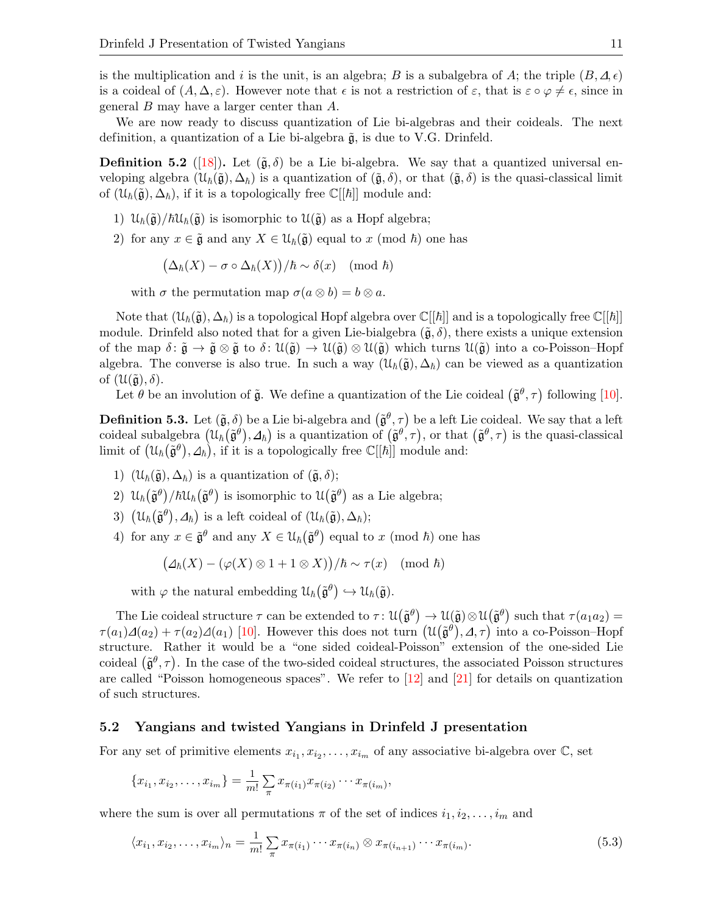is the multiplication and i is the unit, is an algebra; B is a subalgebra of A; the triple  $(B, \Delta, \epsilon)$ is a coideal of  $(A, \Delta, \varepsilon)$ . However note that  $\epsilon$  is not a restriction of  $\varepsilon$ , that is  $\varepsilon \circ \varphi \neq \epsilon$ , since in general B may have a larger center than A.

We are now ready to discuss quantization of Lie bi-algebras and their coideals. The next definition, a quantization of a Lie bi-algebra  $\tilde{g}$ , is due to V.G. Drinfeld.

**Definition 5.2** ([\[18\]](#page-33-4)). Let  $(\tilde{\mathfrak{g}}, \delta)$  be a Lie bi-algebra. We say that a quantized universal enveloping algebra  $(\mathcal{U}_h(\tilde{\mathfrak{g}}, \Delta_h)$  is a quantization of  $(\tilde{\mathfrak{g}}, \delta)$ , or that  $(\tilde{\mathfrak{g}}, \delta)$  is the quasi-classical limit of  $(\mathcal{U}_{\hbar}(\tilde{\mathfrak{g}}), \Delta_{\hbar})$ , if it is a topologically free  $\mathbb{C}[[\hbar]]$  module and:

- 1)  $\mathcal{U}_{\hbar}(\tilde{\mathfrak{g}})/\hbar \mathcal{U}_{\hbar}(\tilde{\mathfrak{g}})$  is isomorphic to  $\mathcal{U}(\tilde{\mathfrak{g}})$  as a Hopf algebra;
- 2) for any  $x \in \tilde{\mathfrak{g}}$  and any  $X \in \mathcal{U}_{\hbar}(\tilde{\mathfrak{g}})$  equal to  $x \pmod{\hbar}$  one has

$$
(\Delta_{\hbar}(X) - \sigma \circ \Delta_{\hbar}(X))/\hbar \sim \delta(x) \pmod{\hbar}
$$

with  $\sigma$  the permutation map  $\sigma(a \otimes b) = b \otimes a$ .

Note that  $(\mathcal{U}_{\hbar}(\tilde{\mathfrak{g}}), \Delta_{\hbar})$  is a topological Hopf algebra over  $\mathbb{C}[[\hbar]]$  and is a topologically free  $\mathbb{C}[[\hbar]]$ module. Drinfeld also noted that for a given Lie-bialgebra  $(\tilde{\mathfrak{g}}, \delta)$ , there exists a unique extension of the map  $\delta: \tilde{\mathfrak{g}} \to \tilde{\mathfrak{g}} \otimes \tilde{\mathfrak{g}}$  to  $\delta: \mathfrak{U}(\tilde{\mathfrak{g}}) \to \mathfrak{U}(\tilde{\mathfrak{g}}) \otimes \mathfrak{U}(\tilde{\mathfrak{g}})$  which turns  $\mathfrak{U}(\tilde{\mathfrak{g}})$  into a co-Poisson–Hopf algebra. The converse is also true. In such a way  $(\mathcal{U}_{\hbar}(\tilde{\mathfrak{g}}), \Delta_{\hbar})$  can be viewed as a quantization of  $(\mathcal{U}(\tilde{\mathfrak{g}}), \delta)$ .

Let  $\theta$  be an involution of  $\tilde{\mathfrak{g}}$ . We define a quantization of the Lie coideal  $(\tilde{\mathfrak{g}}^{\theta}, \tau)$  following [\[10\]](#page-32-7).

<span id="page-10-0"></span>**Definition 5.3.** Let  $(\tilde{\mathfrak{g}}, \delta)$  be a Lie bi-algebra and  $(\tilde{\mathfrak{g}}^{\theta}, \tau)$  be a left Lie coideal. We say that a left coideal subalgebra  $(\mathfrak{U}_{\hbar}(\tilde{\mathfrak{g}}^{\theta}), \Delta_{\hbar})$  is a quantization of  $(\tilde{\mathfrak{g}}^{\theta}, \tau)$ , or that  $(\tilde{\mathfrak{g}}^{\theta}, \tau)$  is the quasi-classical limit of  $(\mathcal{U}_{\hbar}(\tilde{\mathfrak{g}}^{\theta}), \Delta_{\hbar})$ , if it is a topologically free  $\mathbb{C}[[\hbar]]$  module and:

- 1)  $(\mathcal{U}_{\hbar}(\tilde{\mathfrak{g}}), \Delta_{\hbar})$  is a quantization of  $(\tilde{\mathfrak{g}}, \delta);$
- 2)  $\mathcal{U}_{\hbar}(\tilde{\mathfrak{g}}^{\theta})/\hbar\mathcal{U}_{\hbar}(\tilde{\mathfrak{g}}^{\theta})$  is isomorphic to  $\mathcal{U}(\tilde{\mathfrak{g}}^{\theta})$  as a Lie algebra;
- 3)  $(\mathcal{U}_{\hbar}(\tilde{\mathfrak{g}}^{\theta}), \Delta_{\hbar})$  is a left coideal of  $(\mathcal{U}_{\hbar}(\tilde{\mathfrak{g}}), \Delta_{\hbar})$ ;
- 4) for any  $x \in \tilde{\mathfrak{g}}^{\theta}$  and any  $X \in \mathfrak{U}_{\hbar}(\tilde{\mathfrak{g}}^{\theta})$  equal to x (mod  $\hbar$ ) one has

$$
\big(\varDelta_{\hbar}(X) - (\varphi(X) \otimes 1 + 1 \otimes X)\big)/\hbar \sim \tau(x) \pmod{\hbar}
$$

with  $\varphi$  the natural embedding  $\mathcal{U}_{\hbar}(\tilde{\mathfrak{g}}^{\theta}) \hookrightarrow \mathcal{U}_{\hbar}(\tilde{\mathfrak{g}})$ .

The Lie coideal structure  $\tau$  can be extended to  $\tau: \mathfrak{U}(\tilde{\mathfrak{g}}^{\theta}) \to \mathfrak{U}(\tilde{\mathfrak{g}}) \otimes \mathfrak{U}(\tilde{\mathfrak{g}}^{\theta})$  such that  $\tau(a_1a_2) =$  $\tau(a_1)\Delta(a_2)+\tau(a_2)\Delta(a_1)$  [\[10\]](#page-32-7). However this does not turn  $(\mathcal{U}(\tilde{\mathfrak{g}}^{\theta}), \Delta, \tau)$  into a co-Poisson-Hopf structure. Rather it would be a "one sided coideal-Poisson" extension of the one-sided Lie coideal  $(\tilde{\mathfrak{g}}^{\theta}, \tau)$ . In the case of the two-sided coideal structures, the associated Poisson structures are called "Poisson homogeneous spaces". We refer to  $[12]$  and  $[21]$  for details on quantization of such structures.

#### 5.2 Yangians and twisted Yangians in Drinfeld J presentation

For any set of primitive elements  $x_{i_1}, x_{i_2}, \ldots, x_{i_m}$  of any associative bi-algebra over  $\mathbb{C}$ , set

$$
\{x_{i_1}, x_{i_2}, \ldots, x_{i_m}\} = \frac{1}{m!} \sum_{\pi} x_{\pi(i_1)} x_{\pi(i_2)} \cdots x_{\pi(i_m)},
$$

where the sum is over all permutations  $\pi$  of the set of indices  $i_1, i_2, \ldots, i_m$  and

<span id="page-10-1"></span>
$$
\langle x_{i_1}, x_{i_2}, \dots, x_{i_m} \rangle_n = \frac{1}{m!} \sum_{\pi} x_{\pi(i_1)} \cdots x_{\pi(i_n)} \otimes x_{\pi(i_{n+1})} \cdots x_{\pi(i_m)}.
$$
(5.3)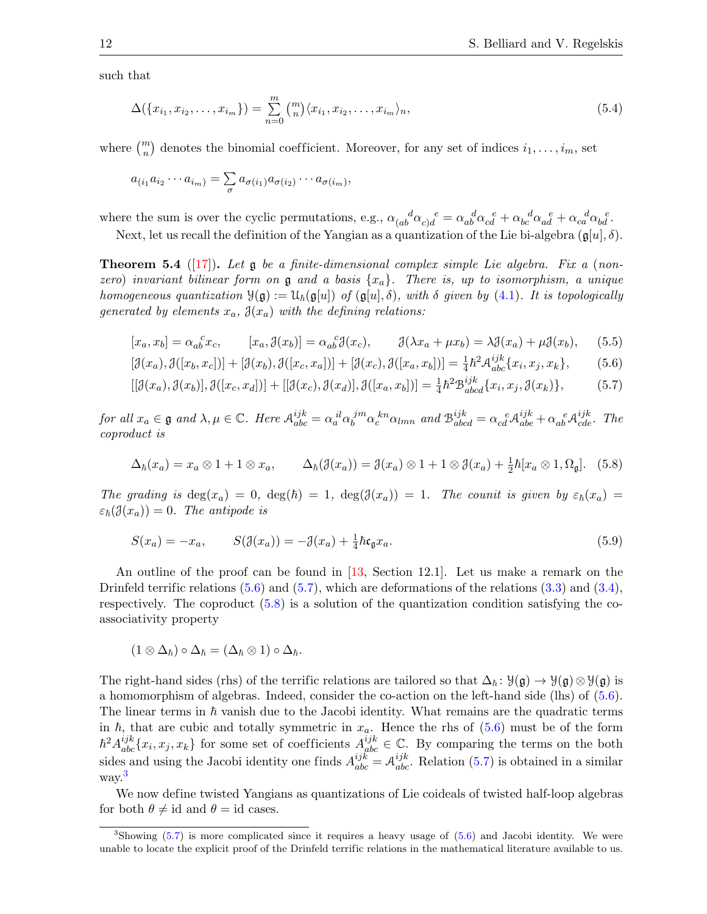such that

<span id="page-11-6"></span>
$$
\Delta(\{x_{i_1}, x_{i_2}, \dots, x_{i_m}\}) = \sum_{n=0}^{m} {m \choose n} \langle x_{i_1}, x_{i_2}, \dots, x_{i_m} \rangle_n,
$$
\n(5.4)

where  $\binom{m}{n}$  denotes the binomial coefficient. Moreover, for any set of indices  $i_1, \ldots, i_m$ , set

$$
a_{(i_1}a_{i_2}\cdots a_{i_m)}=\sum_{\sigma}a_{\sigma(i_1)}a_{\sigma(i_2)}\cdots a_{\sigma(i_m)},
$$

where the sum is over the cyclic permutations, e.g.,  $\alpha_{(ab}^{\ \ d}\alpha_{c)d}^{\ \ e} = \alpha_{ab}^{\ \ d}\alpha_{cd}^{\ \ e} + \alpha_{bc}^{\ \ d}\alpha_{ad}^{\ \ e} + \alpha_{ca}^{\ \ d}\alpha_{bd}^{\ \ e}.$ 

Next, let us recall the definition of the Yangian as a quantization of the Lie bi-algebra  $(g[u], \delta)$ .

**Theorem 5.4** ([\[17\]](#page-33-0)). Let  $\mathfrak{g}$  be a finite-dimensional complex simple Lie algebra. Fix a (nonzero) invariant bilinear form on  $\mathfrak g$  and a basis  $\{x_a\}$ . There is, up to isomorphism, a unique homogeneous quantization  $\mathcal{Y}(\mathfrak{g}) := \mathcal{U}_h(\mathfrak{g}[u])$  of  $(\mathfrak{g}[u], \delta)$ , with  $\delta$  given by [\(4.1\)](#page-6-1). It is topologically generated by elements  $x_a$ ,  $\mathfrak{J}(x_a)$  with the defining relations:

<span id="page-11-4"></span>
$$
[x_a, x_b] = \alpha_{ab}^c x_c, \qquad [x_a, \mathcal{J}(x_b)] = \alpha_{ab}^c \mathcal{J}(x_c), \qquad \mathcal{J}(\lambda x_a + \mu x_b) = \lambda \mathcal{J}(x_a) + \mu \mathcal{J}(x_b), \qquad (5.5)
$$

<span id="page-11-0"></span>
$$
[\mathcal{J}(x_a), \mathcal{J}([x_b, x_c])] + [\mathcal{J}(x_b), \mathcal{J}([x_c, x_a])] + [\mathcal{J}(x_c), \mathcal{J}([x_a, x_b])] = \frac{1}{4} \hbar^2 \mathcal{A}^{ijk}_{abc} \{x_i, x_j, x_k\},\tag{5.6}
$$

<span id="page-11-1"></span>
$$
[[\mathcal{J}(x_a),\mathcal{J}(x_b)],\mathcal{J}([x_c,x_d])] + [[\mathcal{J}(x_c),\mathcal{J}(x_d)],\mathcal{J}([x_a,x_b])] = \frac{1}{4}\hbar^2 \mathcal{B}_{abcd}^{ijk} \{x_i,x_j,\mathcal{J}(x_k)\},\tag{5.7}
$$

for all  $x_a \in \mathfrak{g}$  and  $\lambda, \mu \in \mathbb{C}$ . Here  $\mathcal{A}_{abc}^{ijk} = \alpha_a^{il} \alpha_b^{jm}$  $b \alpha_c^{kn} \alpha_{lmn}$  and  $\mathcal{B}_{abcd}^{ijk} = \alpha_{cd}^e \mathcal{A}_{abe}^{ijk} + \alpha_{ab}^e \mathcal{A}_{cde}^{ijk}$ . The coproduct is

<span id="page-11-2"></span>
$$
\Delta_{\hbar}(x_a) = x_a \otimes 1 + 1 \otimes x_a, \qquad \Delta_{\hbar}(\mathfrak{J}(x_a)) = \mathfrak{J}(x_a) \otimes 1 + 1 \otimes \mathfrak{J}(x_a) + \frac{1}{2}\hbar[x_a \otimes 1, \Omega_{\mathfrak{g}}]. \tag{5.8}
$$

The grading is  $\deg(x_a) = 0$ ,  $\deg(\hbar) = 1$ ,  $\deg(\mathcal{J}(x_a)) = 1$ . The counit is given by  $\varepsilon_{\hbar}(x_a) =$  $\varepsilon_{\hbar}(\mathfrak{J}(x_a)) = 0$ . The antipode is

<span id="page-11-5"></span>
$$
S(x_a) = -x_a, \qquad S(\mathcal{J}(x_a)) = -\mathcal{J}(x_a) + \frac{1}{4}\hbar \mathfrak{c}_\mathfrak{g} x_a. \tag{5.9}
$$

An outline of the proof can be found in [\[13,](#page-33-24) Section 12.1]. Let us make a remark on the Drinfeld terrific relations  $(5.6)$  and  $(5.7)$ , which are deformations of the relations  $(3.3)$  and  $(3.4)$ , respectively. The coproduct [\(5.8\)](#page-11-2) is a solution of the quantization condition satisfying the coassociativity property

$$
(1\otimes \Delta_{\hbar})\circ \Delta_{\hbar}=(\Delta_{\hbar}\otimes 1)\circ \Delta_{\hbar}.
$$

The right-hand sides (rhs) of the terrific relations are tailored so that  $\Delta_{\hbar}: \mathcal{Y}(\mathfrak{g}) \to \mathcal{Y}(\mathfrak{g}) \otimes \mathcal{Y}(\mathfrak{g})$  is a homomorphism of algebras. Indeed, consider the co-action on the left-hand side (lhs) of [\(5.6\)](#page-11-0). The linear terms in  $\hbar$  vanish due to the Jacobi identity. What remains are the quadratic terms in  $\hbar$ , that are cubic and totally symmetric in  $x_a$ . Hence the rhs of [\(5.6\)](#page-11-0) must be of the form  $\hbar^2 A_{abc}^{ijk} \{x_i, x_j, x_k\}$  for some set of coefficients  $A_{abc}^{ijk} \in \mathbb{C}$ . By comparing the terms on the both sides and using the Jacobi identity one finds  $A_{abc}^{ijk} = A_{abc}^{ijk}$ . Relation [\(5.7\)](#page-11-1) is obtained in a similar way.<sup>[3](#page-11-3)</sup>

We now define twisted Yangians as quantizations of Lie coideals of twisted half-loop algebras for both  $\theta \neq id$  and  $\theta = id$  cases.

<span id="page-11-3"></span> $3$ Showing [\(5.7\)](#page-11-1) is more complicated since it requires a heavy usage of  $(5.6)$  and Jacobi identity. We were unable to locate the explicit proof of the Drinfeld terrific relations in the mathematical literature available to us.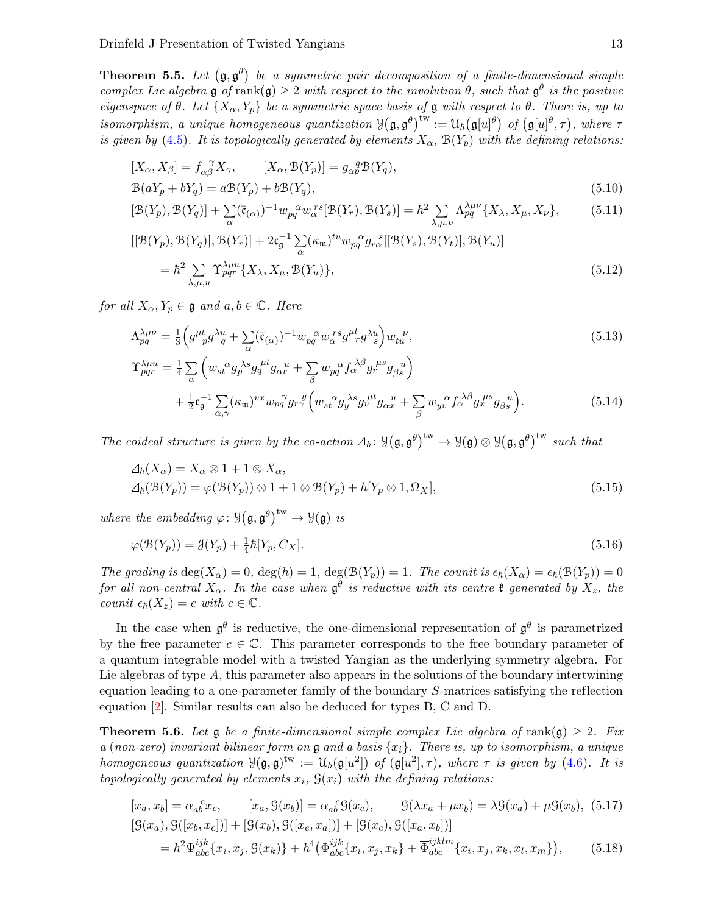<span id="page-12-0"></span>**Theorem 5.5.** Let  $(\mathfrak{g}, \mathfrak{g}^{\theta})$  be a symmetric pair decomposition of a finite-dimensional simple complex Lie algebra g of rank(g)  $\geq 2$  with respect to the involution  $\theta$ , such that  $\mathfrak{g}^{\theta}$  is the positive eigenspace of  $\theta$ . Let  $\{X_{\alpha}, Y_{p}\}$  be a symmetric space basis of  $\mathfrak g$  with respect to  $\theta$ . There is, up to isomorphism, a unique homogeneous quantization  $\mathcal{Y}(\mathfrak{g}, \mathfrak{g}^\theta)^{\text{tw}} := \mathcal{U}_h(\mathfrak{g}[u]^\theta)$  of  $(\mathfrak{g}[u]^\theta, \tau)$ , where  $\tau$ is given by [\(4.5\)](#page-8-2). It is topologically generated by elements  $X_{\alpha}$ ,  $\mathcal{B}(Y_p)$  with the defining relations:

$$
[X_{\alpha}, X_{\beta}] = f_{\alpha\beta}^{\ \gamma} X_{\gamma}, \qquad [X_{\alpha}, \mathcal{B}(Y_{p})] = g_{\alpha p}^{\ q} \mathcal{B}(Y_{q}),
$$
  

$$
\mathcal{B}(aY_{p} + bY_{q}) = a\mathcal{B}(Y_{p}) + b\mathcal{B}(Y_{q}),
$$
\n(5.10)

<span id="page-12-4"></span>
$$
[\mathcal{B}(Y_p), \mathcal{B}(Y_q)] + \sum_{\alpha} (\bar{\mathfrak{c}}_{(\alpha)})^{-1} w_{pq}^{\alpha} w_{\alpha}^{rs} [\mathcal{B}(Y_r), \mathcal{B}(Y_s)] = \hbar^2 \sum_{\lambda,\mu,\nu} \Lambda_{pq}^{\lambda \mu \nu} \{X_{\lambda}, X_{\mu}, X_{\nu}\},\tag{5.11}
$$

<span id="page-12-5"></span>
$$
[[\mathcal{B}(Y_p), \mathcal{B}(Y_q)], \mathcal{B}(Y_r)] + 2\mathfrak{c}_{\mathfrak{g}}^{-1} \sum_{\alpha} (\kappa_{\mathfrak{m}})^{tu} w_{pq}^{\alpha} g_{r\alpha}^{\ s}[[\mathcal{B}(Y_s), \mathcal{B}(Y_t)], \mathcal{B}(Y_u)]
$$
  
=  $\hbar^2 \sum_{\lambda,\mu,u} \Upsilon_{pqr}^{\lambda\mu u} \{X_{\lambda}, X_{\mu}, \mathcal{B}(Y_u)\},$  (5.12)

for all  $X_{\alpha}, Y_{p} \in \mathfrak{g}$  and  $a, b \in \mathbb{C}$ . Here

<span id="page-12-8"></span>
$$
\Lambda_{pq}^{\lambda\mu\nu} = \frac{1}{3} \left( g^{\mu\nu} g^{\lambda\mu} g^{\lambda\mu} + \sum_{\alpha} (\bar{\mathfrak{c}}_{(\alpha)})^{-1} w_{pq}^{\alpha} w_{\alpha}^{\ r s} g^{\mu\nu} g^{\lambda\mu} g^{\lambda\mu} g^{\nu}, \tag{5.13}
$$

<span id="page-12-9"></span>
$$
\begin{split} \Upsilon^{\lambda\mu u}_{pqr} &= \frac{1}{4} \sum_{\alpha} \left( w_{st}{}^{\alpha} g_{p}{}^{\lambda s} g_{q}{}^{\mu t} g_{\alpha r}{}^{u} + \sum_{\beta} w_{pq}{}^{\alpha} f_{\alpha}{}^{\lambda \beta} g_{r}{}^{\mu s} g_{\beta s}{}^{u} \right) \\ &+ \frac{1}{2} \mathfrak{c}_{\mathfrak{g}}^{-1} \sum_{\alpha,\gamma} (\kappa_{\mathfrak{m}})^{vx} w_{pq}{}^{\gamma} g_{rr}{}^{y} \left( w_{st}{}^{\alpha} g_{y}{}^{\lambda s} g_{v}{}^{\mu t} g_{\alpha x}{}^{u} + \sum_{\beta} w_{yv}{}^{\alpha} f_{\alpha}{}^{\lambda \beta} g_{x}{}^{\mu s} g_{\beta s}{}^{u} \right). \end{split} \tag{5.14}
$$

The coideal structure is given by the co-action  $\Delta_{\hbar}: \mathcal{Y}(\mathfrak{g}, \mathfrak{g}^{\theta})^{\text{tw}} \to \mathcal{Y}(\mathfrak{g}) \otimes \mathcal{Y}(\mathfrak{g}, \mathfrak{g}^{\theta})^{\text{tw}}$  such that

<span id="page-12-2"></span>
$$
\Delta_{\hbar}(X_{\alpha}) = X_{\alpha} \otimes 1 + 1 \otimes X_{\alpha},
$$
  
\n
$$
\Delta_{\hbar}(\mathcal{B}(Y_p)) = \varphi(\mathcal{B}(Y_p)) \otimes 1 + 1 \otimes \mathcal{B}(Y_p) + \hbar[Y_p \otimes 1, \Omega_X],
$$
\n(5.15)

where the embedding  $\varphi: \mathcal{Y}(\mathfrak{g}, \mathfrak{g}^{\theta})^{\mathrm{tw}} \to \mathcal{Y}(\mathfrak{g})$  is

<span id="page-12-3"></span>
$$
\varphi(\mathcal{B}(Y_p)) = \mathcal{J}(Y_p) + \frac{1}{4}\hbar[Y_p, C_X].\tag{5.16}
$$

The grading is  $\deg(X_\alpha) = 0$ ,  $\deg(\hbar) = 1$ ,  $\deg(\mathcal{B}(Y_p)) = 1$ . The counit is  $\epsilon_{\hbar}(X_\alpha) = \epsilon_{\hbar}(\mathcal{B}(Y_p)) = 0$ for all non-central  $X_\alpha$ . In the case when  $\mathfrak{g}^\theta$  is reductive with its centre  $\mathfrak k$  generated by  $X_z$ , the counit  $\epsilon_{\hbar}(X_z) = c$  with  $c \in \mathbb{C}$ .

In the case when  $\mathfrak{g}^{\theta}$  is reductive, the one-dimensional representation of  $\mathfrak{g}^{\theta}$  is parametrized by the free parameter  $c \in \mathbb{C}$ . This parameter corresponds to the free boundary parameter of a quantum integrable model with a twisted Yangian as the underlying symmetry algebra. For Lie algebras of type A, this parameter also appears in the solutions of the boundary intertwining equation leading to a one-parameter family of the boundary S-matrices satisfying the reflection equation [\[2\]](#page-32-9). Similar results can also be deduced for types B, C and D.

<span id="page-12-1"></span>**Theorem 5.6.** Let  $\mathfrak g$  be a finite-dimensional simple complex Lie algebra of rank $(\mathfrak g) \geq 2$ . Fix a (non-zero) invariant bilinear form on  $\mathfrak g$  and a basis  $\{x_i\}$ . There is, up to isomorphism, a unique homogeneous quantization  $\mathcal{Y}(\mathfrak{g},\mathfrak{g})^{\text{tw}} := \mathcal{U}_{\hbar}(\mathfrak{g}[u^2])$  of  $(\mathfrak{g}[u^2],\tau)$ , where  $\tau$  is given by [\(4.6\)](#page-8-3). It is topologically generated by elements  $x_i$ ,  $\mathcal{G}(x_i)$  with the defining relations:

<span id="page-12-7"></span><span id="page-12-6"></span>
$$
[x_a, x_b] = \alpha_{ab}^c x_c, \qquad [x_a, \mathcal{G}(x_b)] = \alpha_{ab}^c \mathcal{G}(x_c), \qquad \mathcal{G}(\lambda x_a + \mu x_b) = \lambda \mathcal{G}(x_a) + \mu \mathcal{G}(x_b), \tag{5.17}
$$

$$
[\mathcal{G}(x_a), \mathcal{G}([x_b, x_c])] + [\mathcal{G}(x_b), \mathcal{G}([x_c, x_a])] + [\mathcal{G}(x_c), \mathcal{G}([x_a, x_b])]
$$

$$
= \hbar^2 \Psi_{abc}^{ijk} \{x_i, x_j, \mathcal{G}(x_k)\} + \hbar^4 (\Phi_{abc}^{ijk} \{x_i, x_j, x_k\} + \overline{\Phi}_{abc}^{ijklm} \{x_i, x_j, x_k, x_l, x_m\}), \qquad (5.18)
$$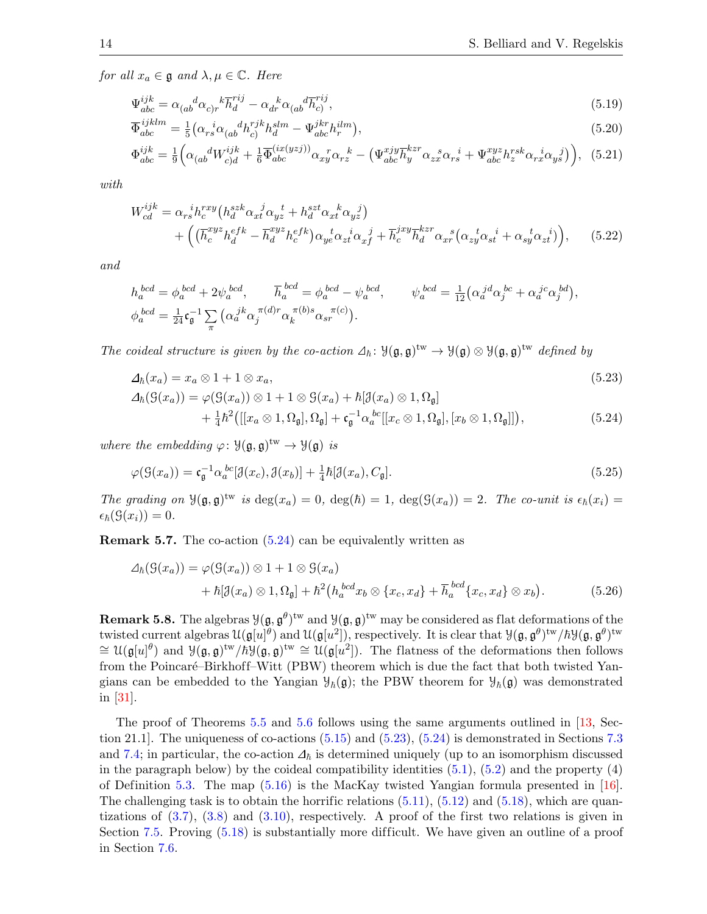for all  $x_a \in \mathfrak{g}$  and  $\lambda, \mu \in \mathbb{C}$ . Here

<span id="page-13-7"></span><span id="page-13-2"></span>
$$
\Psi_{abc}^{ijk} = \alpha_{(ab}^{\dagger} \alpha_{c)r}^{\dagger} \overline{h}_d^{rij} - \alpha_{dr}^{\dagger} \alpha_{(ab}^{\dagger} \overline{h}_c^{rij}, \qquad (5.19)
$$

$$
\overline{\Phi}_{abc}^{ijklm} = \frac{1}{5} \left( \alpha_{rs}^{\ \ i} \alpha_{(ab}^{\ \ d} h_{c)}^{rjk} h_{d}^{slm} - \Psi_{abc}^{jkr} h_{r}^{ilm} \right),\tag{5.20}
$$

<span id="page-13-3"></span>
$$
\Phi_{abc}^{ijk} = \frac{1}{9} \Big( \alpha_{(ab}^{\ d} W_{c)d}^{ijk} + \frac{1}{6} \overline{\Phi}_{abc}^{(ix(yzj))} \alpha_{xy}^{\ \ r} \alpha_{rz}^{\ \ k} - \left( \Psi_{abc}^{xjy} \overline{h}_y^{kz} \alpha_{zx}^{\ \ s} \alpha_{rs}^{\ \ i} + \Psi_{abc}^{xyz} h_z^{rsk} \alpha_{rx}^{\ \ i} \alpha_{ys}^{\ \ j} \right), \tag{5.21}
$$

with

<span id="page-13-5"></span>
$$
W_{cd}^{ijk} = \alpha_{rs}^{i} h_c^{rxy} \left( h_d^{szk} \alpha_{xt}^{j} \alpha_{yz}^{t} + h_d^{szt} \alpha_{xt}^{k} \alpha_{yz}^{j} \right) + \left( \left( \overline{h}_c^{xyz} h_d^{efk} - \overline{h}_d^{xyz} h_c^{efk} \right) \alpha_{ye}^{t} \alpha_{zt}^{i} \alpha_{xf}^{j} + \overline{h}_c^{jxy} \overline{h}_d^{kz} \alpha_{xr}^{s} \left( \alpha_{zy}^{t} \alpha_{st}^{i} + \alpha_{sy}^{t} \alpha_{zt}^{i} \right) \right), \tag{5.22}
$$

and

$$
h_a^{bcd} = \phi_a^{bcd} + 2\psi_a^{bcd}, \qquad \overline{h}_a^{bcd} = \phi_a^{bcd} - \psi_a^{bcd}, \qquad \psi_a^{bcd} = \frac{1}{12} (\alpha_a^{jd} \alpha_j^{bc} + \alpha_a^{jc} \alpha_j^{bd}),
$$
  

$$
\phi_a^{bcd} = \frac{1}{24} \mathfrak{c}_\mathfrak{g}^{-1} \sum_{\pi} (\alpha_a^{jk} \alpha_j^{i\pi(d)r} \alpha_k^{i\pi(b)s} \alpha_{sr}^{i\pi(c)}).
$$

The coideal structure is given by the co-action  $\Delta_{\hbar}$ :  $\mathcal{Y}(\mathfrak{g}, \mathfrak{g})^{\text{tw}} \to \mathcal{Y}(\mathfrak{g}) \otimes \mathcal{Y}(\mathfrak{g}, \mathfrak{g})^{\text{tw}}$  defined by

$$
\Delta_{\hbar}(x_a) = x_a \otimes 1 + 1 \otimes x_a,
$$
  
\n
$$
\Delta_{\hbar}(S(x_a)) = \varphi(S(x_a)) \otimes 1 + 1 \otimes S(x_a) + \hbar[\mathcal{J}(x_a) \otimes 1, \Omega_{\mathfrak{g}}]
$$
\n(5.23)

<span id="page-13-6"></span><span id="page-13-4"></span><span id="page-13-1"></span><span id="page-13-0"></span>
$$
+\frac{1}{4}\hbar^2\big([[x_a\otimes 1,\Omega_{\mathfrak{g}}],\Omega_{\mathfrak{g}}]+\mathfrak{c}_{\mathfrak{g}}^{-1}\alpha_a^{bc}[[x_c\otimes 1,\Omega_{\mathfrak{g}}],[x_b\otimes 1,\Omega_{\mathfrak{g}}]]\big),\tag{5.24}
$$

where the embedding  $\varphi: \mathcal{Y}(\mathfrak{g}, \mathfrak{g})^{\text{tw}} \to \mathcal{Y}(\mathfrak{g})$  is

$$
\varphi(\mathcal{G}(x_a)) = \mathfrak{c}_{\mathfrak{g}}^{-1} \alpha_a^{bc} [\mathcal{J}(x_c), \mathcal{J}(x_b)] + \frac{1}{4} \hbar [\mathcal{J}(x_a), C_{\mathfrak{g}}]. \tag{5.25}
$$

The grading on  $\mathcal{Y}(\mathfrak{g},\mathfrak{g})^{\text{tw}}$  is  $\deg(x_a)=0$ ,  $\deg(\hbar)=1$ ,  $\deg(\mathcal{G}(x_a))=2$ . The co-unit is  $\epsilon_{\hbar}(x_i)=$  $\epsilon_{\hbar}(\mathcal{G}(x_i)) = 0.$ 

Remark 5.7. The co-action [\(5.24\)](#page-13-0) can be equivalently written as

$$
\Delta_{\hbar}(G(x_a)) = \varphi(G(x_a)) \otimes 1 + 1 \otimes G(x_a)
$$
  
+  $\hbar[\partial(x_a) \otimes 1, \Omega_{\mathfrak{g}}] + \hbar^2(h_a^{bcd}x_b \otimes \{x_c, x_d\} + \overline{h}_a^{bcd}\{x_c, x_d\} \otimes x_b).$  (5.26)

**Remark 5.8.** The algebras  $\mathcal{Y}(\mathfrak{g}, \mathfrak{g}^{\theta})^{\text{tw}}$  and  $\mathcal{Y}(\mathfrak{g}, \mathfrak{g})^{\text{tw}}$  may be considered as flat deformations of the twisted current algebras  $\mathfrak{U}(\mathfrak{g}[u]^{\theta})$  and  $\mathfrak{U}(\mathfrak{g}[u^2])$ , respectively. It is clear that  $\mathfrak{Y}(\mathfrak{g}, \mathfrak{g}^{\theta})^{\text{tw}}/\hbar \mathfrak{Y}(\mathfrak{g}, \mathfrak{g}^{\theta})^{\text{tw}}$  $\cong \mathcal{U}(\mathfrak{g}[u]^{\theta})$  and  $\mathcal{Y}(\mathfrak{g}, \mathfrak{g})^{\text{tw}}/h\mathcal{Y}(\mathfrak{g}, \mathfrak{g})^{\text{tw}} \cong \mathcal{U}(\mathfrak{g}[u^2])$ . The flatness of the deformations then follows from the Poincaré–Birkhoff–Witt (PBW) theorem which is due the fact that both twisted Yangians can be embedded to the Yangian  $\mathcal{Y}_h(\mathfrak{g})$ ; the PBW theorem for  $\mathcal{Y}_h(\mathfrak{g})$  was demonstrated in [\[31\]](#page-33-26).

The proof of Theorems [5.5](#page-12-0) and [5.6](#page-12-1) follows using the same arguments outlined in [\[13,](#page-33-24) Section 21.1. The uniqueness of co-actions  $(5.15)$  and  $(5.23)$ ,  $(5.24)$  is demonstrated in Sections [7.3](#page-22-0) and [7.4;](#page-23-0) in particular, the co-action  $\Delta_{\hbar}$  is determined uniquely (up to an isomorphism discussed in the paragraph below) by the coideal compatibility identities  $(5.1)$ ,  $(5.2)$  and the property  $(4)$ of Definition [5.3.](#page-10-0) The map [\(5.16\)](#page-12-3) is the MacKay twisted Yangian formula presented in [\[16\]](#page-33-17). The challenging task is to obtain the horrific relations  $(5.11)$ ,  $(5.12)$  and  $(5.18)$ , which are quantizations of  $(3.7)$ ,  $(3.8)$  and  $(3.10)$ , respectively. A proof of the first two relations is given in Section [7.5.](#page-25-0) Proving  $(5.18)$  is substantially more difficult. We have given an outline of a proof in Section [7.6.](#page-30-0)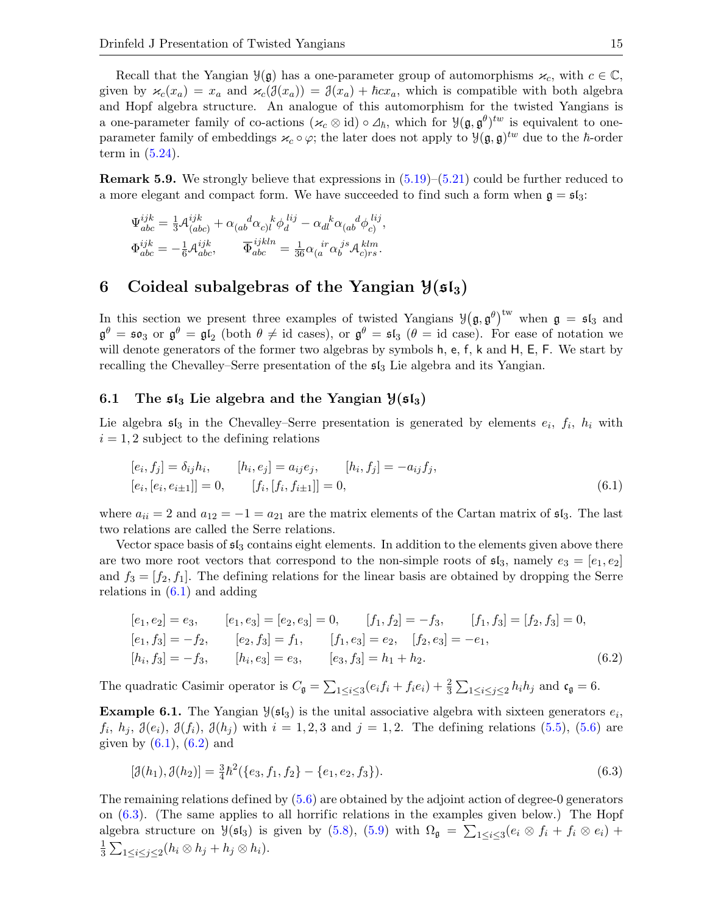Recall that the Yangian  $\mathcal{Y}(\mathfrak{g})$  has a one-parameter group of automorphisms  $\varkappa_c$ , with  $c \in \mathbb{C}$ , given by  $\varkappa_c(x_a) = x_a$  and  $\varkappa_c(\mathcal{J}(x_a)) = \mathcal{J}(x_a) + \hbar c x_a$ , which is compatible with both algebra and Hopf algebra structure. An analogue of this automorphism for the twisted Yangians is a one-parameter family of co-actions  $(\varkappa_c \otimes id) \circ \Delta_{\hbar}$ , which for  $\mathcal{Y}(\mathfrak{g}, \mathfrak{g}^{\theta})^{tw}$  is equivalent to oneparameter family of embeddings  $\varkappa_c \circ \varphi$ ; the later does not apply to  $\mathcal{Y}(\mathfrak{g}, \mathfrak{g})^{tw}$  due to the  $\hbar$ -order term in  $(5.24)$ .

**Remark 5.9.** We strongly believe that expressions in  $(5.19)$ – $(5.21)$  could be further reduced to a more elegant and compact form. We have succeeded to find such a form when  $\mathfrak{g} = \mathfrak{sl}_3$ :

$$
\begin{split} \Psi^{ijk}_{abc}&=\tfrac{1}{3}\mathcal{A}^{ijk}_{(abc)}+\alpha_{(ab}^{\phantom{ab}d}\alpha_{c)l}^{\phantom{c}k}\phi^{ \phantom{b}lij}_{d}-\alpha_{dl}^{\phantom{dl}\phantom{kl}\alpha}_{(ab}^{\phantom{ab}d}\phi^{ \phantom{b}lij}_{c)},\\ \Phi^{ijk}_{abc}&=-\tfrac{1}{6}\mathcal{A}^{ijk}_{abc},\qquad \overline{\Phi}^{ijkln}_{abc}&=\tfrac{1}{36}\alpha_{(a}^{\phantom{a}ir}\alpha_{b}^{\phantom{b}js}\mathcal{A}^{klm}_{c)rs}. \end{split}
$$

# <span id="page-14-0"></span>6 Coideal subalgebras of the Yangian  $\mathcal{Y}(\mathfrak{sl}_3)$

In this section we present three examples of twisted Yangians  $\mathcal{Y}(\mathfrak{g}, \mathfrak{g}^{\theta})^{\text{tw}}$  when  $\mathfrak{g} = \mathfrak{sl}_3$  and  $\mathfrak{g}^{\theta} = \mathfrak{so}_3$  or  $\mathfrak{g}^{\theta} = \mathfrak{gl}_2$  (both  $\theta \neq id$  cases), or  $\mathfrak{g}^{\theta} = \mathfrak{sl}_3$  ( $\theta = id$  case). For ease of notation we will denote generators of the former two algebras by symbols h, e, f, k and H, E, F. We start by recalling the Chevalley–Serre presentation of the  $\mathfrak{sl}_3$  Lie algebra and its Yangian.

#### 6.1 The  $\mathfrak{sl}_3$  Lie algebra and the Yangian  $\mathfrak{Z}(\mathfrak{sl}_3)$

Lie algebra  $\mathfrak{sl}_3$  in the Chevalley–Serre presentation is generated by elements  $e_i$ ,  $f_i$ ,  $h_i$  with  $i = 1, 2$  subject to the defining relations

<span id="page-14-1"></span>
$$
[e_i, f_j] = \delta_{ij} h_i, \qquad [h_i, e_j] = a_{ij} e_j, \qquad [h_i, f_j] = -a_{ij} f_j, [e_i, [e_i, e_{i\pm 1}]] = 0, \qquad [f_i, [f_i, f_{i\pm 1}]] = 0,
$$
\n(6.1)

where  $a_{ii} = 2$  and  $a_{12} = -1 = a_{21}$  are the matrix elements of the Cartan matrix of  $\mathfrak{sl}_3$ . The last two relations are called the Serre relations.

Vector space basis of  $\mathfrak{sl}_3$  contains eight elements. In addition to the elements given above there are two more root vectors that correspond to the non-simple roots of  $\mathfrak{sl}_3$ , namely  $e_3 = [e_1, e_2]$ and  $f_3 = [f_2, f_1]$ . The defining relations for the linear basis are obtained by dropping the Serre relations in  $(6.1)$  and adding

<span id="page-14-2"></span>
$$
[e_1, e_2] = e_3, \t [e_1, e_3] = [e_2, e_3] = 0, \t [f_1, f_2] = -f_3, \t [f_1, f_3] = [f_2, f_3] = 0,\n[e_1, f_3] = -f_2, \t [e_2, f_3] = f_1, \t [f_1, e_3] = e_2, \t [f_2, e_3] = -e_1,\n[h_i, f_3] = -f_3, \t [h_i, e_3] = e_3, \t [e_3, f_3] = h_1 + h_2.
$$
\n(6.2)

The quadratic Casimir operator is  $C_{\mathfrak{g}} = \sum_{1 \leq i \leq 3} (e_i f_i + f_i e_i) + \frac{2}{3} \sum_{1 \leq i \leq j \leq 2} h_i h_j$  and  $\mathfrak{c}_{\mathfrak{g}} = 6$ .

**Example 6.1.** The Yangian  $\mathcal{Y}(\mathfrak{sl}_3)$  is the unital associative algebra with sixteen generators  $e_i$ ,  $f_i, h_j, \mathcal{J}(e_i), \mathcal{J}(f_i), \mathcal{J}(h_j)$  with  $i = 1, 2, 3$  and  $j = 1, 2$ . The defining relations  $(5.5)$ ,  $(5.6)$  are given by  $(6.1)$ ,  $(6.2)$  and

<span id="page-14-3"></span>
$$
[\mathcal{J}(h_1), \mathcal{J}(h_2)] = \frac{3}{4}\hbar^2(\{e_3, f_1, f_2\} - \{e_1, e_2, f_3\}).
$$
\n(6.3)

The remaining relations defined by [\(5.6\)](#page-11-0) are obtained by the adjoint action of degree-0 generators on [\(6.3\)](#page-14-3). (The same applies to all horrific relations in the examples given below.) The Hopf algebra structure on  $\mathcal{Y}(\mathfrak{sl}_3)$  is given by [\(5.8\)](#page-11-2), [\(5.9\)](#page-11-5) with  $\Omega_{\mathfrak{g}} = \sum_{1 \leq i \leq 3} (e_i \otimes f_i + f_i \otimes e_i) +$ 1  $\frac{1}{3}\sum_{1\leq i\leq j\leq 2}(h_i\otimes h_j+h_j\otimes h_i).$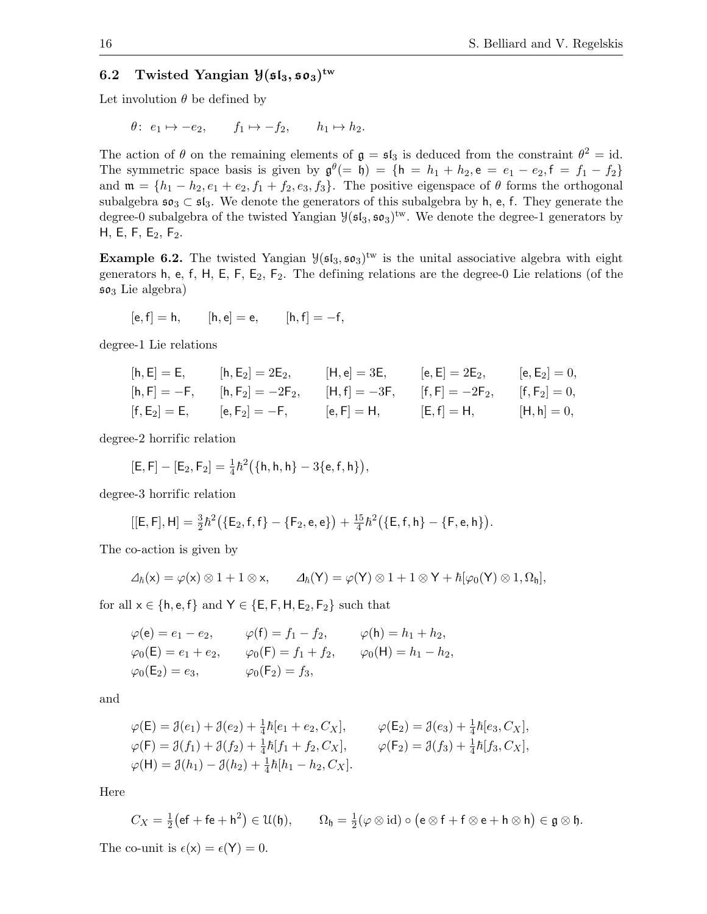# 6.2 Twisted Yangian  $\mathcal{Y}(\mathfrak{sl}_3, \mathfrak{so}_3)^{\mathrm{tw}}$

Let involution  $\theta$  be defined by

$$
\theta
$$
:  $e_1 \mapsto -e_2$ ,  $f_1 \mapsto -f_2$ ,  $h_1 \mapsto h_2$ .

The action of  $\theta$  on the remaining elements of  $\mathfrak{g} = \mathfrak{sl}_3$  is deduced from the constraint  $\theta^2 = id$ . The symmetric space basis is given by  $\mathfrak{g}^{\theta} (= \mathfrak{h}) = \{ \mathfrak{h} = h_1 + h_2, \mathfrak{e} = e_1 - e_2, \mathfrak{f} = f_1 - f_2 \}$ and  $\mathfrak{m} = \{h_1 - h_2, e_1 + e_2, f_1 + f_2, e_3, f_3\}$ . The positive eigenspace of  $\theta$  forms the orthogonal subalgebra  $\mathfrak{so}_3 \subset \mathfrak{sl}_3$ . We denote the generators of this subalgebra by h, e, f. They generate the degree-0 subalgebra of the twisted Yangian  $\mathcal{Y}(\mathfrak{sl}_3, \mathfrak{so}_3)^{\mathrm{tw}}$ . We denote the degree-1 generators by H, E, F, E<sub>2</sub>, F<sub>2</sub>.

**Example 6.2.** The twisted Yangian  $\mathcal{Y}(\mathfrak{sl}_3, \mathfrak{so}_3)^{\text{tw}}$  is the unital associative algebra with eight generators h, e, f, H, E, F,  $E_2$ ,  $F_2$ . The defining relations are the degree-0 Lie relations (of the  $\mathfrak{so}_3$  Lie algebra)

$$
[e, f] = h,
$$
  $[h, e] = e,$   $[h, f] = -f,$ 

degree-1 Lie relations

$$
\begin{array}{lllllllllll} [h,E]=E, &\quad [h,E_2]=2E_2, &\quad [H,e]=3E, &\quad [e,E]=2E_2, &\quad [e,E_2]=0,\\ [h,F]=-F, &\quad [h,F_2]=-2F_2, &\quad [H,f]=-3F, &\quad [f,F]=-2F_2, &\quad [f,F_2]=0,\\ [f,E_2]=E, &\quad [e,F_2]=-F, &\quad [e,F]=H, &\quad [E,f]=H, &\quad [H,h]=0, \end{array}
$$

degree-2 horrific relation

$$
[\mathsf{E},\mathsf{F}]-[\mathsf{E}_2,\mathsf{F}_2]=\tfrac{1}{4}\hbar^2\big(\{\mathsf{h},\mathsf{h},\mathsf{h}\}-3\{\mathsf{e},\mathsf{f},\mathsf{h}\}\big),
$$

degree-3 horrific relation

$$
[[\mathsf{E},\mathsf{F}],\mathsf{H}] = \frac{3}{2}\hbar^2 \big( \{\mathsf{E}_2,\mathsf{f},\mathsf{f}\} - \{\mathsf{F}_2,\mathsf{e},\mathsf{e}\} \big) + \frac{15}{4}\hbar^2 \big( \{\mathsf{E},\mathsf{f},\mathsf{h}\} - \{\mathsf{F},\mathsf{e},\mathsf{h}\} \big).
$$

The co-action is given by

$$
\varDelta_{\hbar}(x)=\varphi(x)\otimes 1+1\otimes x, \qquad \varDelta_{\hbar}(Y)=\varphi(Y)\otimes 1+1\otimes Y+\hbar[\varphi_0(Y)\otimes 1,\Omega_\mathfrak{h}],
$$

for all  $x \in \{h, e, f\}$  and  $Y \in \{E, F, H, E_2, F_2\}$  such that

$$
\varphi(\mathbf{e}) = e_1 - e_2,
$$
  $\varphi(\mathbf{f}) = f_1 - f_2,$   $\varphi(\mathbf{h}) = h_1 + h_2,$   
\n $\varphi_0(\mathbf{E}) = e_1 + e_2,$   $\varphi_0(\mathbf{F}) = f_1 + f_2,$   $\varphi_0(\mathbf{H}) = h_1 - h_2,$   
\n $\varphi_0(\mathbf{E}_2) = e_3,$   $\varphi_0(\mathbf{F}_2) = f_3,$ 

and

$$
\varphi(\mathsf{E}) = \mathcal{J}(e_1) + \mathcal{J}(e_2) + \frac{1}{4}\hbar[e_1 + e_2, C_X], \qquad \varphi(\mathsf{E}_2) = \mathcal{J}(e_3) + \frac{1}{4}\hbar[e_3, C_X], \n\varphi(\mathsf{F}) = \mathcal{J}(f_1) + \mathcal{J}(f_2) + \frac{1}{4}\hbar[f_1 + f_2, C_X], \qquad \varphi(\mathsf{F}_2) = \mathcal{J}(f_3) + \frac{1}{4}\hbar[f_3, C_X], \n\varphi(\mathsf{H}) = \mathcal{J}(h_1) - \mathcal{J}(h_2) + \frac{1}{4}\hbar[h_1 - h_2, C_X].
$$

Here

$$
C_X = \frac{1}{2}(\mathsf{ef} + \mathsf{fe} + \mathsf{h}^2) \in \mathcal{U}(\mathfrak{h}), \qquad \Omega_{\mathfrak{h}} = \frac{1}{2}(\varphi \otimes \mathrm{id}) \circ (\mathsf{e} \otimes \mathsf{f} + \mathsf{f} \otimes \mathsf{e} + \mathsf{h} \otimes \mathsf{h}) \in \mathfrak{g} \otimes \mathfrak{h}.
$$
  
The co-unit is  $\epsilon(x) = \epsilon(Y) = 0$ .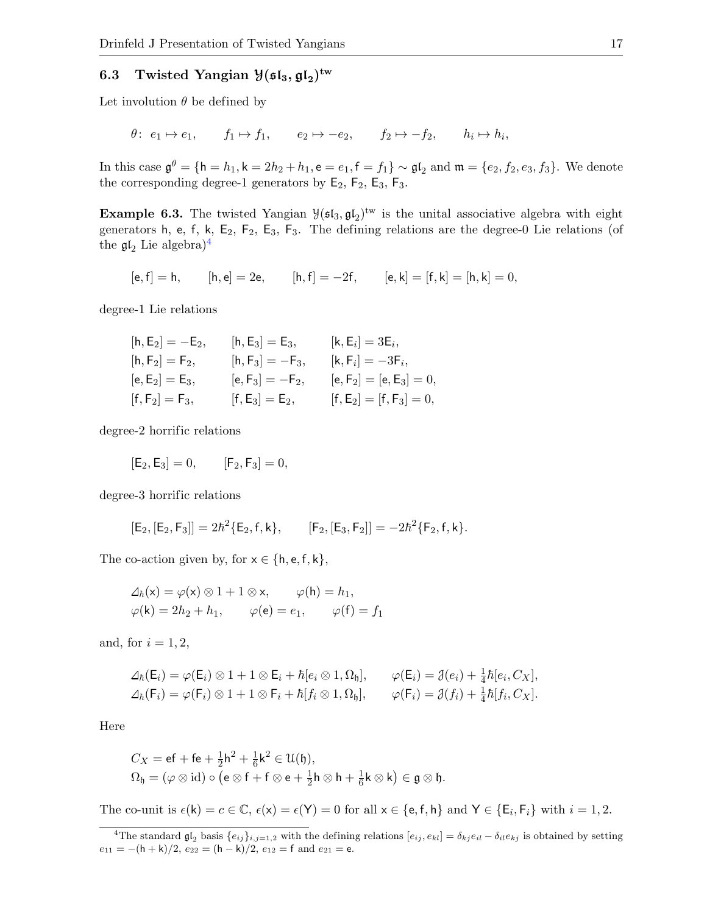# 6.3 Twisted Yangian  $\mathcal{Y}(\mathfrak{sl}_3, \mathfrak{gl}_2)^{\mathrm{tw}}$

Let involution  $\theta$  be defined by

$$
\theta
$$
:  $e_1 \mapsto e_1$ ,  $f_1 \mapsto f_1$ ,  $e_2 \mapsto -e_2$ ,  $f_2 \mapsto -f_2$ ,  $h_i \mapsto h_i$ ,

In this case  $\mathfrak{g}^{\theta} = \{\mathsf{h} = h_1, \mathsf{k} = 2h_2 + h_1, \mathsf{e} = e_1, \mathsf{f} = f_1\} \sim \mathfrak{gl}_2$  and  $\mathfrak{m} = \{e_2, f_2, e_3, f_3\}$ . We denote the corresponding degree-1 generators by  $E_2$ ,  $F_2$ ,  $E_3$ ,  $F_3$ .

**Example 6.3.** The twisted Yangian  $\mathcal{Y}(\mathfrak{sl}_3, \mathfrak{gl}_2)^{\text{tw}}$  is the unital associative algebra with eight generators h, e, f, k,  $E_2$ ,  $F_2$ ,  $E_3$ ,  $F_3$ . The defining relations are the degree-0 Lie relations (of the  $\mathfrak{gl}_2$  Lie algebra)<sup>[4](#page-16-0)</sup>

$$
[e,f]=h, \qquad [h,e]=2e, \qquad [h,f]=-2f, \qquad [e,k]=[f,k]=[h,k]=0,
$$

degree-1 Lie relations

| $[h, E_2] = -E_2,$ | $[h, E_3] = E_3,$  | $[\mathsf{k},\mathsf{E}_i]=3\mathsf{E}_i,$ |
|--------------------|--------------------|--------------------------------------------|
| $[h, F_2] = F_2,$  | $[h, F_3] = -F_3,$ | $[\mathsf k,\mathsf F_i] = -3\mathsf F_i,$ |
| $[e, E_2] = E_3,$  | $[e, F_3] = -F_2,$ | $[e, F_2] = [e, E_3] = 0,$                 |
| $[f, F_2] = F_3,$  | $[f, E_3] = E_2,$  | $[f, E_2] = [f, F_3] = 0,$                 |

degree-2 horrific relations

$$
[E_2, E_3] = 0, \t [F_2, F_3] = 0,
$$

degree-3 horrific relations

$$
[{\mathsf E}_2,[{\mathsf E}_2,{\mathsf F}_3]]=2\hbar^2\{{\mathsf E}_2,{\mathsf f},{\mathsf k}\},\qquad [{\mathsf F}_2,[{\mathsf E}_3,{\mathsf F}_2]]=-2\hbar^2\{{\mathsf F}_2,{\mathsf f},{\mathsf k}\}.
$$

The co-action given by, for  $x \in \{h, e, f, k\},\$ 

$$
\Delta_h(\mathsf{x}) = \varphi(\mathsf{x}) \otimes 1 + 1 \otimes \mathsf{x}, \qquad \varphi(\mathsf{h}) = h_1,
$$
  

$$
\varphi(\mathsf{k}) = 2h_2 + h_1, \qquad \varphi(\mathsf{e}) = e_1, \qquad \varphi(\mathsf{f}) = f_1
$$

and, for  $i = 1, 2$ ,

$$
\Delta_{\hbar}(\mathsf{E}_{i}) = \varphi(\mathsf{E}_{i}) \otimes 1 + 1 \otimes \mathsf{E}_{i} + \hbar [e_{i} \otimes 1, \Omega_{\mathfrak{h}}], \qquad \varphi(\mathsf{E}_{i}) = \mathfrak{J}(e_{i}) + \frac{1}{4}\hbar [e_{i}, C_{X}],
$$
  

$$
\Delta_{\hbar}(\mathsf{F}_{i}) = \varphi(\mathsf{F}_{i}) \otimes 1 + 1 \otimes \mathsf{F}_{i} + \hbar [f_{i} \otimes 1, \Omega_{\mathfrak{h}}], \qquad \varphi(\mathsf{F}_{i}) = \mathfrak{J}(f_{i}) + \frac{1}{4}\hbar [f_{i}, C_{X}].
$$

Here

$$
C_X = \mathsf{ef} + \mathsf{fe} + \frac{1}{2}\mathsf{h}^2 + \frac{1}{6}\mathsf{k}^2 \in \mathcal{U}(\mathfrak{h}),
$$
  

$$
\Omega_{\mathfrak{h}} = (\varphi \otimes \mathrm{id}) \circ (\mathsf{e} \otimes \mathsf{f} + \mathsf{f} \otimes \mathsf{e} + \frac{1}{2}\mathsf{h} \otimes \mathsf{h} + \frac{1}{6}\mathsf{k} \otimes \mathsf{k}) \in \mathfrak{g} \otimes \mathfrak{h}.
$$

The co-unit is  $\epsilon(\mathsf{k}) = c \in \mathbb{C}$ ,  $\epsilon(\mathsf{x}) = \epsilon(\mathsf{Y}) = 0$  for all  $\mathsf{x} \in \{\mathsf{e},\mathsf{f},\mathsf{h}\}$  and  $\mathsf{Y} \in \{\mathsf{E}_i,\mathsf{F}_i\}$  with  $i = 1,2$ .

<span id="page-16-0"></span><sup>&</sup>lt;sup>4</sup>The standard  $\mathfrak{gl}_2$  basis  $\{e_{ij}\}_{i,j=1,2}$  with the defining relations  $[e_{ij},e_{kl}]=\delta_{kj}e_{il}-\delta_{il}e_{kj}$  is obtained by setting  $e_{11}=-(\mathsf{h}+\mathsf{k})/2,\, e_{22}=(\mathsf{h}-\mathsf{k})/2,\, e_{12}=\mathsf{f}$  and  $e_{21}=\mathsf{e}.$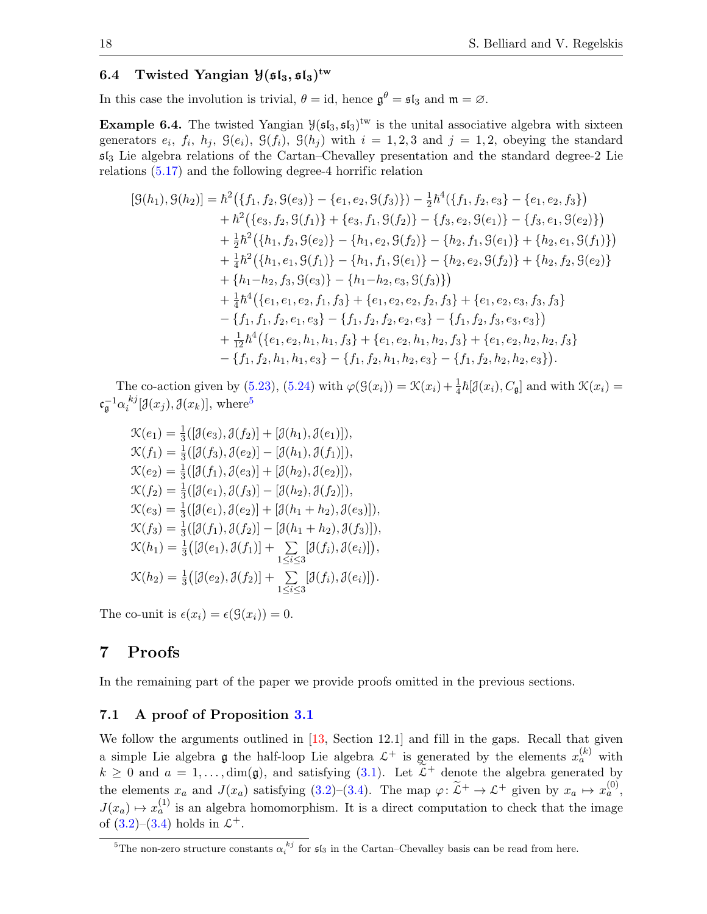# 6.4 Twisted Yangian  $\mathcal{Y}(\mathfrak{sl}_3, \mathfrak{sl}_3)^{\mathrm{tw}}$

In this case the involution is trivial,  $\theta = id$ , hence  $\mathfrak{g}^{\theta} = \mathfrak{sl}_3$  and  $\mathfrak{m} = \varnothing$ .

**Example 6.4.** The twisted Yangian  $\mathcal{Y}(\mathfrak{sl}_3, \mathfrak{sl}_3)^{\text{tw}}$  is the unital associative algebra with sixteen generators  $e_i$ ,  $f_i$ ,  $h_j$ ,  $\mathcal{G}(e_i)$ ,  $\mathcal{G}(f_i)$ ,  $\mathcal{G}(h_j)$  with  $i = 1, 2, 3$  and  $j = 1, 2$ , obeying the standard  $sI_3$  Lie algebra relations of the Cartan–Chevalley presentation and the standard degree-2 Lie relations [\(5.17\)](#page-12-7) and the following degree-4 horrific relation

$$
[\mathcal{G}(h_1),\mathcal{G}(h_2)] = \hbar^2(\{f_1,f_2,\mathcal{G}(e_3)\} - \{e_1,e_2,\mathcal{G}(f_3)\}) - \frac{1}{2}\hbar^4(\{f_1,f_2,e_3\} - \{e_1,e_2,f_3\}) + \hbar^2(\{e_3,f_2,\mathcal{G}(f_1)\} + \{e_3,f_1,\mathcal{G}(f_2)\} - \{f_3,e_2,\mathcal{G}(e_1)\} - \{f_3,e_1,\mathcal{G}(e_2)\}) + \frac{1}{2}\hbar^2(\{h_1,f_2,\mathcal{G}(e_2)\} - \{h_1,e_2,\mathcal{G}(f_2)\} - \{h_2,f_1,\mathcal{G}(e_1)\} + \{h_2,e_1,\mathcal{G}(f_1)\}) + \frac{1}{4}\hbar^2(\{h_1,e_1,\mathcal{G}(f_1)\} - \{h_1,f_1,\mathcal{G}(e_1)\} - \{h_2,e_2,\mathcal{G}(f_2)\} + \{h_2,f_2,\mathcal{G}(e_2)\} + \{h_1-h_2,f_3,\mathcal{G}(e_3)\} - \{h_1-h_2,e_3,\mathcal{G}(f_3)\}) + \frac{1}{4}\hbar^4(\{e_1,e_1,e_2,f_1,f_3\} + \{e_1,e_2,e_2,f_2,f_3\} + \{e_1,e_2,e_3,f_3,f_3\} - \{f_1,f_1,f_2,e_1,e_3\} - \{f_1,f_2,f_2,e_2,e_3\} - \{f_1,f_2,f_3,e_3,e_3\}) + \frac{1}{12}\hbar^4(\{e_1,e_2,h_1,h_1,f_3\} + \{e_1,e_2,h_1,h_2,f_3\} + \{e_1,e_2,h_2,h_2,f_3\} - \{f_1,f_2,h_1,h_1,e_3\} - \{f_1,f_2,h_1,h_2,e_3\} - \{f_1,f_2,h_2,e_3\}).
$$

The co-action given by [\(5.23\)](#page-13-1), [\(5.24\)](#page-13-0) with  $\varphi(\mathcal{G}(x_i)) = \mathcal{K}(x_i) + \frac{1}{4}\hbar[\mathcal{J}(x_i), C_{\mathfrak{g}}]$  and with  $\mathcal{K}(x_i) =$  $\mathfrak{c}_\mathfrak{g}^{-1} \alpha_i^{\phantom{i}kj}$  $i^{kj}[\mathcal{J}(x_j), \mathcal{J}(x_k)],$  where<sup>[5](#page-17-2)</sup>

$$
\mathcal{K}(e_1) = \frac{1}{3}([\mathcal{J}(e_3), \mathcal{J}(f_2)] + [\mathcal{J}(h_1), \mathcal{J}(e_1)]), \n\mathcal{K}(f_1) = \frac{1}{3}([\mathcal{J}(f_3), \mathcal{J}(e_2)] - [\mathcal{J}(h_1), \mathcal{J}(f_1)]), \n\mathcal{K}(e_2) = \frac{1}{3}([\mathcal{J}(f_1), \mathcal{J}(e_3)] + [\mathcal{J}(h_2), \mathcal{J}(e_2)]), \n\mathcal{K}(f_2) = \frac{1}{3}([\mathcal{J}(e_1), \mathcal{J}(f_3)] - [\mathcal{J}(h_2), \mathcal{J}(f_2)]), \n\mathcal{K}(e_3) = \frac{1}{3}([\mathcal{J}(e_1), \mathcal{J}(e_2)] + [\mathcal{J}(h_1 + h_2), \mathcal{J}(e_3)]), \n\mathcal{K}(f_3) = \frac{1}{3}([\mathcal{J}(f_1), \mathcal{J}(f_2)] - [\mathcal{J}(h_1 + h_2), \mathcal{J}(f_3)]), \n\mathcal{K}(h_1) = \frac{1}{3}([\mathcal{J}(e_1), \mathcal{J}(f_1)] + \sum_{1 \leq i \leq 3} [\mathcal{J}(f_i), \mathcal{J}(e_i)]), \n\mathcal{K}(h_2) = \frac{1}{3}([\mathcal{J}(e_2), \mathcal{J}(f_2)] + \sum_{1 \leq i \leq 3} [\mathcal{J}(f_i), \mathcal{J}(e_i)]).
$$

The co-unit is  $\epsilon(x_i) = \epsilon(\mathcal{G}(x_i)) = 0$ .

# <span id="page-17-0"></span>7 Proofs

In the remaining part of the paper we provide proofs omitted in the previous sections.

#### <span id="page-17-1"></span>7.1 A proof of Proposition [3.1](#page-5-3)

We follow the arguments outlined in [\[13,](#page-33-24) Section 12.1] and fill in the gaps. Recall that given a simple Lie algebra  $\mathfrak g$  the half-loop Lie algebra  $\mathcal L^+$  is generated by the elements  $x_a^{(k)}$  with  $k \geq 0$  and  $a = 1, \ldots, \text{dim}(\mathfrak{g})$ , and satisfying [\(3.1\)](#page-5-4). Let  $\tilde{\mathfrak{L}}^+$  denote the algebra generated by the elements  $x_a$  and  $J(x_a)$  satisfying [\(3.2\)](#page-5-5)–[\(3.4\)](#page-5-2). The map  $\varphi: \widetilde{\mathcal{L}}^+ \to \mathcal{L}^+$  given by  $x_a \mapsto x_a^{(0)}$ ,  $J(x_a) \mapsto x_a^{(1)}$  is an algebra homomorphism. It is a direct computation to check that the image of  $(3.2)$ – $(3.4)$  holds in  $\mathcal{L}^+$ .

<span id="page-17-2"></span><sup>&</sup>lt;sup>5</sup>The non-zero structure constants  $\alpha_i^{kj}$  for  $\mathfrak{sl}_3$  in the Cartan–Chevalley basis can be read from here.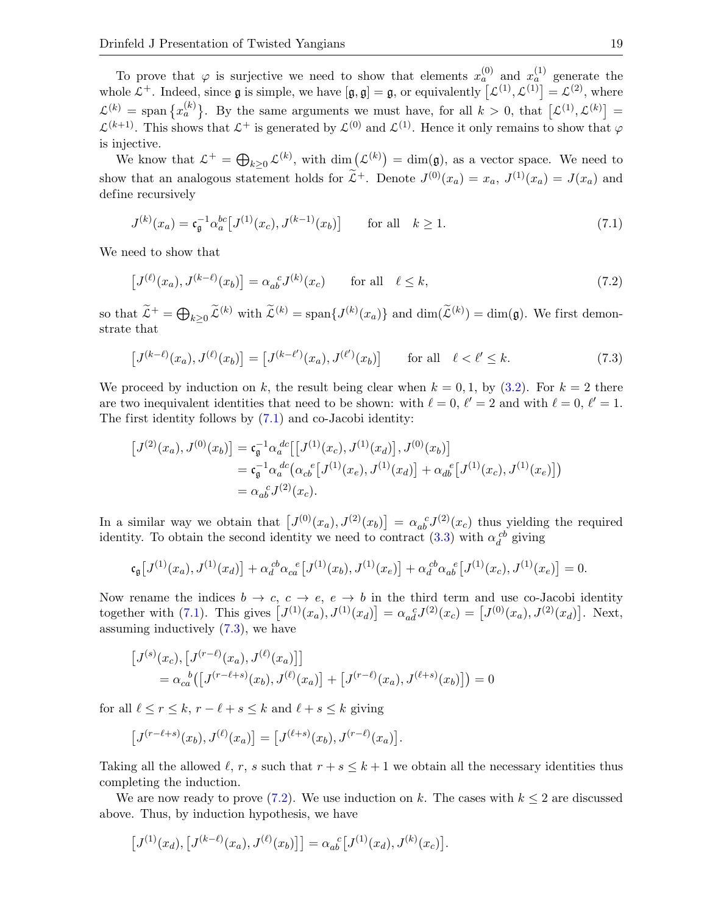To prove that  $\varphi$  is surjective we need to show that elements  $x_a^{(0)}$  and  $x_a^{(1)}$  generate the whole  $\mathcal{L}^+$ . Indeed, since **g** is simple, we have  $[\mathfrak{g}, \mathfrak{g}] = \mathfrak{g}$ , or equivalently  $[\mathcal{L}^{(1)}, \mathcal{L}^{(1)}] = \mathcal{L}^{(2)}$ , where  $\mathcal{L}^{(k)} = \text{span} \left\{ x_a^{(k)} \right\}$ . By the same arguments we must have, for all  $k > 0$ , that  $\left[ \mathcal{L}^{(1)}, \mathcal{L}^{(k)} \right] =$  $\mathcal{L}^{(k+1)}$ . This shows that  $\mathcal{L}^+$  is generated by  $\mathcal{L}^{(0)}$  and  $\mathcal{L}^{(1)}$ . Hence it only remains to show that  $\varphi$ is injective.

We know that  $\mathcal{L}^+ = \bigoplus_{k \geq 0} \mathcal{L}^{(k)}$ , with  $\dim(\mathcal{L}^{(k)}) = \dim(\mathfrak{g})$ , as a vector space. We need to show that an analogous statement holds for  $\tilde{\mathcal{L}}^+$ . Denote  $J^{(0)}(x_a) = x_a$ ,  $J^{(1)}(x_a) = J(x_a)$  and define recursively

<span id="page-18-0"></span>
$$
J^{(k)}(x_a) = \mathfrak{c}_{\mathfrak{g}}^{-1} \alpha_a^{bc} \left[ J^{(1)}(x_c), J^{(k-1)}(x_b) \right] \quad \text{for all} \quad k \ge 1. \tag{7.1}
$$

We need to show that

<span id="page-18-2"></span>
$$
\left[J^{(\ell)}(x_a), J^{(k-\ell)}(x_b)\right] = \alpha_{ab}^{\ \ c} J^{(k)}(x_c) \qquad \text{for all} \quad \ell \le k,
$$
\n
$$
(7.2)
$$

so that  $\tilde{\mathcal{L}}^+ = \bigoplus_{k \geq 0} \tilde{\mathcal{L}}^{(k)}$  with  $\tilde{\mathcal{L}}^{(k)} = \text{span}\{J^{(k)}(x_a)\}\$  and  $\dim(\tilde{\mathcal{L}}^{(k)}) = \dim(\mathfrak{g})$ . We first demonstrate that

<span id="page-18-1"></span>
$$
\left[J^{(k-\ell)}(x_a), J^{(\ell)}(x_b)\right] = \left[J^{(k-\ell')}(x_a), J^{(\ell')}(x_b)\right] \qquad \text{for all} \quad \ell < \ell' \le k. \tag{7.3}
$$

We proceed by induction on k, the result being clear when  $k = 0, 1$ , by [\(3.2\)](#page-5-5). For  $k = 2$  there are two inequivalent identities that need to be shown: with  $\ell = 0, \, \ell' = 2$  and with  $\ell = 0, \, \ell' = 1$ . The first identity follows by [\(7.1\)](#page-18-0) and co-Jacobi identity:

$$
\begin{aligned}\n\left[J^{(2)}(x_a), J^{(0)}(x_b)\right] &= \mathfrak{c}_{\mathfrak{g}}^{-1} \alpha_a^{d\bar{c}} \left[ \left[J^{(1)}(x_c), J^{(1)}(x_d)\right], J^{(0)}(x_b) \right] \\
&= \mathfrak{c}_{\mathfrak{g}}^{-1} \alpha_a^{d\bar{c}} \left( \alpha_{c\bar{b}}^{e} \left[ J^{(1)}(x_e), J^{(1)}(x_d) \right] + \alpha_{d\bar{b}}^{e} \left[ J^{(1)}(x_c), J^{(1)}(x_e) \right] \right) \\
&= \alpha_{a\bar{b}}^{e} J^{(2)}(x_c).\n\end{aligned}
$$

In a similar way we obtain that  $[J^{(0)}(x_a), J^{(2)}(x_b)] = \alpha_{ab}^{\ \ c} J^{(2)}(x_c)$  thus yielding the required identity. To obtain the second identity we need to contract [\(3.3\)](#page-5-1) with  $\alpha_d^{cb}$  giving

$$
\mathfrak{c}_{\mathfrak{g}}[J^{(1)}(x_a), J^{(1)}(x_d)] + \alpha_d^{cb} \alpha_{ca}^{e}[J^{(1)}(x_b), J^{(1)}(x_e)] + \alpha_d^{cb} \alpha_{ab}^{e}[J^{(1)}(x_c), J^{(1)}(x_e)] = 0.
$$

Now rename the indices  $b \to c, c \to e, e \to b$  in the third term and use co-Jacobi identity together with [\(7.1\)](#page-18-0). This gives  $[J^{(1)}(x_a), J^{(1)}(x_d)] = \alpha_{ad}^{\ c} J^{(2)}(x_c) = [J^{(0)}(x_a), J^{(2)}(x_d)].$  Next, assuming inductively [\(7.3\)](#page-18-1), we have

$$
\begin{aligned} \left[J^{(s)}(x_c), \left[J^{(r-\ell)}(x_a), J^{(\ell)}(x_a)\right]\right] \\ &= \alpha_{ca}{}^b \left(\left[J^{(r-\ell+s)}(x_b), J^{(\ell)}(x_a)\right] + \left[J^{(r-\ell)}(x_a), J^{(\ell+s)}(x_b)\right]\right) = 0 \end{aligned}
$$

for all  $\ell \leq r \leq k$ ,  $r - \ell + s \leq k$  and  $\ell + s \leq k$  giving

$$
[J^{(r-\ell+s)}(x_b), J^{(\ell)}(x_a)] = [J^{(\ell+s)}(x_b), J^{(r-\ell)}(x_a)].
$$

Taking all the allowed  $\ell, r, s$  such that  $r + s \leq k + 1$  we obtain all the necessary identities thus completing the induction.

We are now ready to prove [\(7.2\)](#page-18-2). We use induction on k. The cases with  $k \leq 2$  are discussed above. Thus, by induction hypothesis, we have

$$
[J^{(1)}(x_d), [J^{(k-\ell)}(x_a), J^{(\ell)}(x_b)]] = \alpha_{ab}^{\ c} [J^{(1)}(x_d), J^{(k)}(x_c)].
$$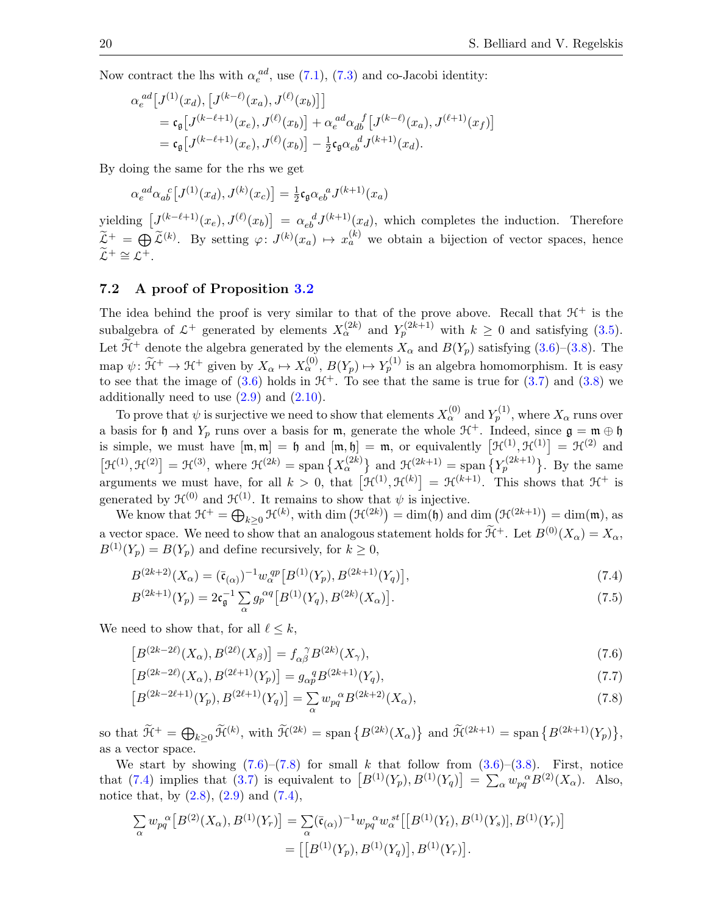Now contract the lhs with  $\alpha_e^{ad}$ , use [\(7.1\)](#page-18-0), [\(7.3\)](#page-18-1) and co-Jacobi identity:

$$
\alpha_e^{ad}[J^{(1)}(x_d), [J^{(k-\ell)}(x_a), J^{(\ell)}(x_b)]]
$$
  
=  $\mathfrak{c}_{\mathfrak{g}}[J^{(k-\ell+1)}(x_e), J^{(\ell)}(x_b)] + \alpha_e^{ad} \alpha_{db}^{f}[J^{(k-\ell)}(x_a), J^{(\ell+1)}(x_f)]$   
=  $\mathfrak{c}_{\mathfrak{g}}[J^{(k-\ell+1)}(x_e), J^{(\ell)}(x_b)] - \frac{1}{2} \mathfrak{c}_{\mathfrak{g}} \alpha_{eb}^{d} J^{(k+1)}(x_d).$ 

By doing the same for the rhs we get

$$
\alpha_e^{ad} \alpha_{ab}^{\ c} \big[ J^{(1)}(x_d), J^{(k)}(x_c) \big] = \frac{1}{2} \mathfrak{c}_{\mathfrak{g}} \alpha_{eb}^{\ a} J^{(k+1)}(x_a)
$$

yielding  $[J^{(k-\ell+1)}(x_e), J^{(\ell)}(x_b)] = \alpha_{eb}^d J^{(k+1)}(x_d)$ , which completes the induction. Therefore  $\widetilde{\mathcal{L}}^+=\bigoplus_{i}\widetilde{\mathcal{L}}^{(k)}$ . By setting  $\varphi\colon J^{(k)}(x_a)\mapsto x_a^{(k)}$  we obtain a bijection of vector spaces, hence  $\widetilde{\mathcal{L}}^+ \cong \mathcal{L}^+.$ 

#### <span id="page-19-0"></span>7.2 A proof of Proposition [3.2](#page-6-5)

The idea behind the proof is very similar to that of the prove above. Recall that  $\mathcal{H}^+$  is the subalgebra of  $\mathcal{L}^+$  generated by elements  $X_\alpha^{(2k)}$  and  $Y_p^{(2k+1)}$  with  $k \geq 0$  and satisfying [\(3.5\)](#page-5-6). Let  $\widetilde{\mathcal{H}}^+$  denote the algebra generated by the elements  $X_\alpha$  and  $B(Y_p)$  satisfying [\(3.6\)](#page-6-6)–[\(3.8\)](#page-6-3). The map  $\psi: \widetilde{\mathcal{H}}^+ \to \mathcal{H}^+$  given by  $X_\alpha \mapsto X_\alpha^{(0)}, B(Y_p) \mapsto Y_p^{(1)}$  is an algebra homomorphism. It is easy to see that the image of [\(3.6\)](#page-6-6) holds in  $H^+$ . To see that the same is true for [\(3.7\)](#page-6-2) and [\(3.8\)](#page-6-3) we additionally need to use  $(2.9)$  and  $(2.10)$ .

To prove that  $\psi$  is surjective we need to show that elements  $X_\alpha^{(0)}$  and  $Y_p^{(1)}$ , where  $X_\alpha$  runs over a basis for h and  $Y_p$  runs over a basis for m, generate the whole  $\mathfrak{H}^+$ . Indeed, since  $\mathfrak{g} = \mathfrak{m} \oplus \mathfrak{h}$ is simple, we must have  $[\mathfrak{m},\mathfrak{m}]=\mathfrak{h}$  and  $[\mathfrak{m},\mathfrak{h}]=\mathfrak{m}$ , or equivalently  $[\mathfrak{H}^{(1)},\mathfrak{H}^{(1)}]=\mathfrak{H}^{(2)}$  and  $[\mathcal{H}^{(1)},\mathcal{H}^{(2)}]=\mathcal{H}^{(3)},$  where  $\mathcal{H}^{(2k)}=\text{span}\left\{X_{\alpha}^{(2k)}\right\}$  and  $\mathcal{H}^{(2k+1)}=\text{span}\left\{Y_{p}^{(2k+1)}\right\}$ . By the same arguments we must have, for all  $k > 0$ , that  $[\mathcal{H}^{(1)}, \mathcal{H}^{(k)}] = \mathcal{H}^{(k+1)}$ . This shows that  $\mathcal{H}^+$  is generated by  $\mathfrak{H}^{(0)}$  and  $\mathfrak{H}^{(1)}$ . It remains to show that  $\psi$  is injective.

We know that  $\mathcal{H}^+ = \bigoplus_{k \geq 0} \mathcal{H}^{(k)}$ , with dim  $(\mathcal{H}^{(2k)}) = \dim(\mathfrak{h})$  and dim  $(\mathcal{H}^{(2k+1)}) = \dim(\mathfrak{m})$ , as a vector space. We need to show that an analogous statement holds for  $\widetilde{\mathcal{H}}^+$ . Let  $B^{(0)}(X_\alpha) = X_\alpha$ ,  $B^{(1)}(Y_p) = B(Y_p)$  and define recursively, for  $k \geq 0$ ,

<span id="page-19-3"></span>
$$
B^{(2k+2)}(X_{\alpha}) = (\bar{\mathfrak{c}}_{(\alpha)})^{-1} w_{\alpha}^{qp} \left[ B^{(1)}(Y_p), B^{(2k+1)}(Y_q) \right],\tag{7.4}
$$

<span id="page-19-4"></span>
$$
B^{(2k+1)}(Y_p) = 2c_{\mathfrak{g}}^{-1} \sum_{\alpha} g_p^{\alpha q} \left[ B^{(1)}(Y_q), B^{(2k)}(X_{\alpha}) \right]. \tag{7.5}
$$

We need to show that, for all  $\ell \leq k$ ,

<span id="page-19-1"></span>
$$
[B^{(2k-2\ell)}(X_{\alpha}), B^{(2\ell)}(X_{\beta})] = f_{\alpha\beta}^{\ \gamma} B^{(2k)}(X_{\gamma}),\tag{7.6}
$$

<span id="page-19-5"></span>
$$
[B^{(2k-2\ell)}(X_{\alpha}), B^{(2\ell+1)}(Y_p)] = g_{\alpha p}^{\quad q} B^{(2k+1)}(Y_q),\tag{7.7}
$$

<span id="page-19-2"></span>
$$
[B^{(2k-2\ell+1)}(Y_p), B^{(2\ell+1)}(Y_q)] = \sum_{\alpha} w_{pq}^{\alpha} B^{(2k+2)}(X_{\alpha}), \tag{7.8}
$$

so that  $\mathcal{H}^+ = \bigoplus_{k \geq 0} \tilde{\mathcal{H}}^{(k)}$ , with  $\tilde{\mathcal{H}}^{(2k)} = \text{span} \{ B^{(2k)}(X_\alpha) \}$  and  $\tilde{\mathcal{H}}^{(2k+1)} = \text{span} \{ B^{(2k+1)}(Y_p) \},$ as a vector space.

We start by showing  $(7.6)$ – $(7.8)$  for small k that follow from  $(3.6)$ – $(3.8)$ . First, notice that [\(7.4\)](#page-19-3) implies that [\(3.7\)](#page-6-2) is equivalent to  $[B^{(1)}(Y_p), B^{(1)}(Y_q)] = \sum_{\alpha} w_{pq}^{\alpha} B^{(2)}(X_{\alpha})$ . Also, notice that, by  $(2.8)$ ,  $(2.9)$  and  $(7.4)$ ,

$$
\sum_{\alpha} w_{pq}^{\alpha} [B^{(2)}(X_{\alpha}), B^{(1)}(Y_{r})] = \sum_{\alpha} (\bar{\mathfrak{c}}_{(\alpha)})^{-1} w_{pq}^{\alpha} w_{\alpha}^{st} [[B^{(1)}(Y_{t}), B^{(1)}(Y_{s})], B^{(1)}(Y_{r})] \n= [[B^{(1)}(Y_{p}), B^{(1)}(Y_{q})], B^{(1)}(Y_{r})].
$$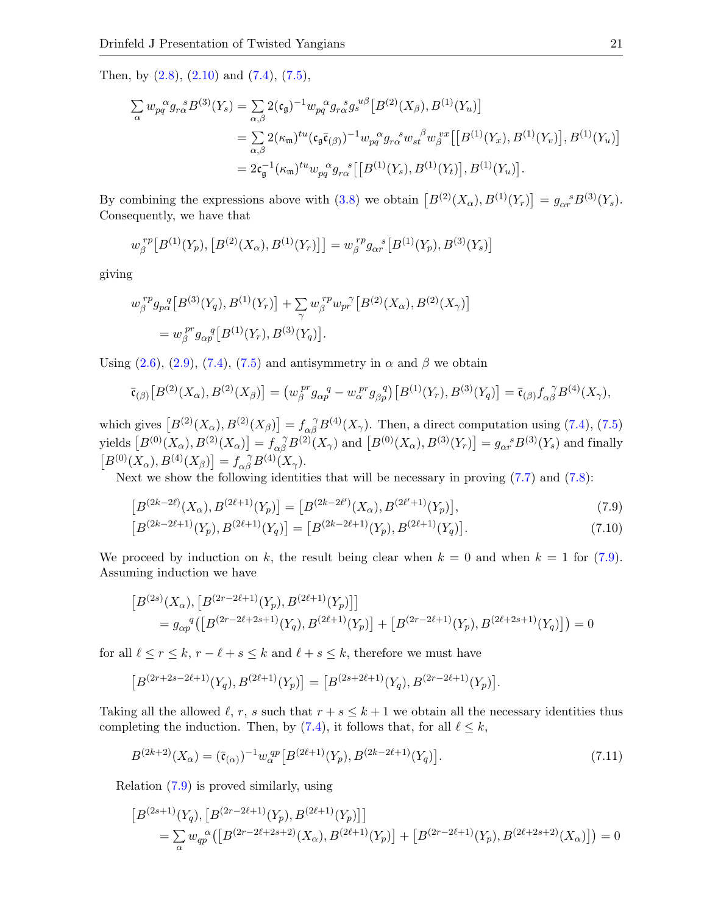Then, by [\(2.8\)](#page-4-3), [\(2.10\)](#page-4-1) and [\(7.4\)](#page-19-3), [\(7.5\)](#page-19-4),

$$
\sum_{\alpha} w_{pq}^{\alpha} g_{r\alpha}^{\ \ s} B^{(3)}(Y_s) = \sum_{\alpha,\beta} 2(\mathfrak{c}_{\mathfrak{g}})^{-1} w_{pq}^{\ \alpha} g_{r\alpha}^{\ \ s} g_s^{u\beta} [B^{(2)}(X_{\beta}), B^{(1)}(Y_u)]
$$
  
\n
$$
= \sum_{\alpha,\beta} 2(\kappa_{\mathfrak{m}})^{tu} (\mathfrak{c}_{\mathfrak{g}} \bar{\mathfrak{c}}_{(\beta)})^{-1} w_{pq}^{\ \alpha} g_{r\alpha}^{\ \ s} w_{st}^{\ \beta} w_{\beta}^{vx} [[B^{(1)}(Y_x), B^{(1)}(Y_v)], B^{(1)}(Y_u)]
$$
  
\n
$$
= 2\mathfrak{c}_{\mathfrak{g}}^{-1} (\kappa_{\mathfrak{m}})^{tu} w_{pq}^{\ \alpha} g_{r\alpha}^{\ \ s} [[B^{(1)}(Y_s), B^{(1)}(Y_t)], B^{(1)}(Y_u)].
$$

By combining the expressions above with [\(3.8\)](#page-6-3) we obtain  $[B^{(2)}(X_{\alpha}), B^{(1)}(Y_{r})] = g_{\alpha r}^{s} B^{(3)}(Y_{s}).$ Consequently, we have that

$$
w_{\beta}^{rp}[B^{(1)}(Y_p), [B^{(2)}(X_{\alpha}), B^{(1)}(Y_r)]] = w_{\beta}^{rp} g_{\alpha r}^{s}[B^{(1)}(Y_p), B^{(3)}(Y_s)]
$$

giving

$$
w_{\beta}^{rp} g_{p\alpha}^{q} [B^{(3)}(Y_q), B^{(1)}(Y_r)] + \sum_{\gamma} w_{\beta}^{rp} w_{pr}^{\gamma} [B^{(2)}(X_{\alpha}), B^{(2)}(X_{\gamma})] = w_{\beta}^{pr} g_{\alpha p}^{q} [B^{(1)}(Y_r), B^{(3)}(Y_q)].
$$

Using  $(2.6)$ ,  $(2.9)$ ,  $(7.4)$ ,  $(7.5)$  and antisymmetry in  $\alpha$  and  $\beta$  we obtain

$$
\bar{\mathfrak{r}}_{(\beta)}[B^{(2)}(X_{\alpha}), B^{(2)}(X_{\beta})] = (w_{\beta}^{pr}g_{\alpha p}^{q} - w_{\alpha}^{pr}g_{\beta p}^{q})[B^{(1)}(Y_{r}), B^{(3)}(Y_{q})] = \bar{\mathfrak{r}}_{(\beta)}f_{\alpha\beta}^{q}B^{(4)}(X_{\gamma}),
$$

which gives  $[B^{(2)}(X_{\alpha}), B^{(2)}(X_{\beta})] = f_{\alpha\beta}^{\gamma} B^{(4)}(X_{\gamma})$ . Then, a direct computation using [\(7.4\)](#page-19-3), [\(7.5\)](#page-19-4) yields  $[B^{(0)}(X_{\alpha}), B^{(2)}(X_{\alpha})] = f_{\alpha\beta}^{\gamma} B^{(2)}(X_{\gamma})$  and  $[B^{(0)}(X_{\alpha}), B^{(3)}(Y_{r})] = g_{\alpha r}^{\gamma} B^{(3)}(Y_{s})$  and finally  $[B^{(0)}(X_{\alpha}), B^{(4)}(X_{\beta})] = f_{\alpha\beta}^{\ \gamma} B^{(4)}(X_{\gamma}).$ 

Next we show the following identities that will be necessary in proving  $(7.7)$  and  $(7.8)$ :

<span id="page-20-0"></span>
$$
\left[B^{(2k-2\ell)}(X_{\alpha}), B^{(2\ell+1)}(Y_p)\right] = \left[B^{(2k-2\ell')}(X_{\alpha}), B^{(2\ell'+1)}(Y_p)\right],\tag{7.9}
$$

<span id="page-20-2"></span>
$$
[B^{(2k-2\ell+1)}(Y_p), B^{(2\ell+1)}(Y_q)] = [B^{(2k-2\ell+1)}(Y_p), B^{(2\ell+1)}(Y_q)].
$$
\n(7.10)

We proceed by induction on k, the result being clear when  $k = 0$  and when  $k = 1$  for [\(7.9\)](#page-20-0). Assuming induction we have

$$
[B^{(2s)}(X_{\alpha}), [B^{(2r-2\ell+1)}(Y_p), B^{(2\ell+1)}(Y_p)]]
$$
  
=  $g_{\alpha p}^q([B^{(2r-2\ell+2s+1)}(Y_q), B^{(2\ell+1)}(Y_p)] + [B^{(2r-2\ell+1)}(Y_p), B^{(2\ell+2s+1)}(Y_q)]) = 0$ 

for all  $\ell \le r \le k$ ,  $r - \ell + s \le k$  and  $\ell + s \le k$ , therefore we must have

$$
[B^{(2r+2s-2\ell+1)}(Y_q),B^{(2\ell+1)}(Y_p)]=[B^{(2s+2\ell+1)}(Y_q),B^{(2r-2\ell+1)}(Y_p)].
$$

Taking all the allowed  $\ell, r, s$  such that  $r + s \leq k + 1$  we obtain all the necessary identities thus completing the induction. Then, by [\(7.4\)](#page-19-3), it follows that, for all  $\ell \leq k$ ,

<span id="page-20-1"></span>
$$
B^{(2k+2)}(X_{\alpha}) = (\bar{\mathfrak{c}}_{(\alpha)})^{-1} w_{\alpha}^{qp} \left[ B^{(2\ell+1)}(Y_p), B^{(2k-2\ell+1)}(Y_q) \right]. \tag{7.11}
$$

Relation [\(7.9\)](#page-20-0) is proved similarly, using

$$
[B^{(2s+1)}(Y_q), [B^{(2r-2\ell+1)}(Y_p), B^{(2\ell+1)}(Y_p)]]
$$
  
=  $\sum_{\alpha} w_{qp}^{\alpha} ([B^{(2r-2\ell+2s+2)}(X_{\alpha}), B^{(2\ell+1)}(Y_p)] + [B^{(2r-2\ell+1)}(Y_p), B^{(2\ell+2s+2)}(X_{\alpha})]) = 0$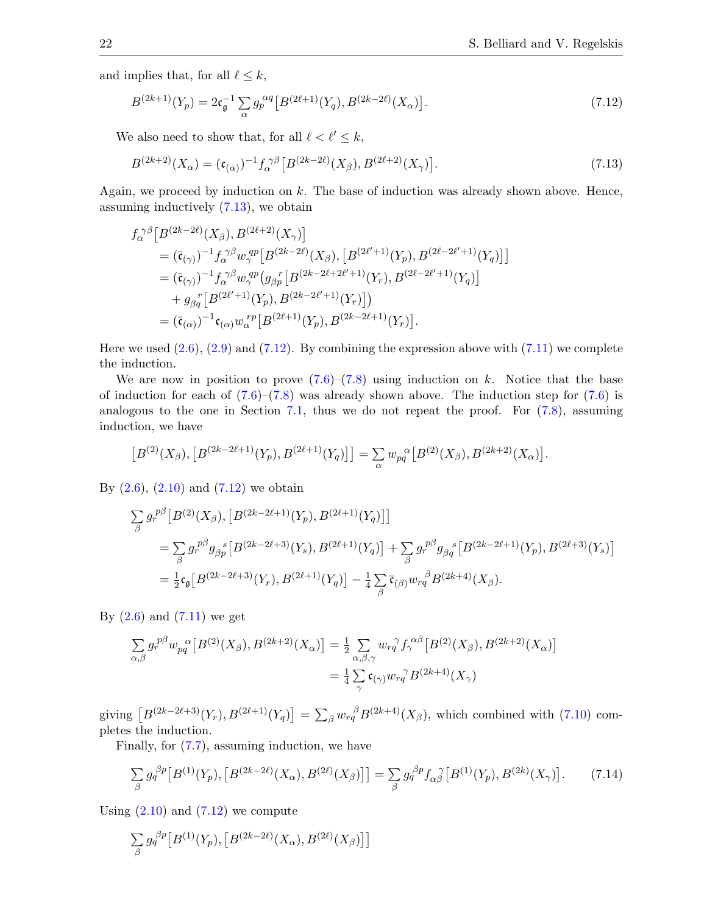and implies that, for all  $\ell \leq k$ ,

<span id="page-21-1"></span>
$$
B^{(2k+1)}(Y_p) = 2c_{\mathfrak{g}}^{-1} \sum_{\alpha} g_p^{\alpha q} \left[ B^{(2\ell+1)}(Y_q), B^{(2k-2\ell)}(X_\alpha) \right]. \tag{7.12}
$$

We also need to show that, for all  $\ell < \ell' \leq k$ ,

<span id="page-21-0"></span>
$$
B^{(2k+2)}(X_{\alpha}) = (\mathfrak{c}_{(\alpha)})^{-1} f_{\alpha}^{\ \gamma\beta} \left[ B^{(2k-2\ell)}(X_{\beta}), B^{(2\ell+2)}(X_{\gamma}) \right]. \tag{7.13}
$$

Again, we proceed by induction on k. The base of induction was already shown above. Hence, assuming inductively [\(7.13\)](#page-21-0), we obtain

$$
\begin{split} f_{\alpha}^{\ \gamma\beta} & \left[ B^{(2k-2\ell)}(X_{\beta}), B^{(2\ell+2)}(X_{\gamma}) \right] \\ & = (\bar{\mathfrak{c}}_{(\gamma)})^{-1} f_{\alpha}^{\ \gamma\beta} w_{\gamma}^{~qp} \left[ B^{(2k-2\ell)}(X_{\beta}), \left[ B^{(2\ell'+1)}(Y_p), B^{(2\ell-2\ell'+1)}(Y_q) \right] \right] \\ & = (\bar{\mathfrak{c}}_{(\gamma)})^{-1} f_{\alpha}^{\ \gamma\beta} w_{\gamma}^{~qp} \left( g_{\beta p}^{\ \gamma} \left[ B^{(2k-2\ell+2\ell'+1)}(Y_r), B^{(2\ell-2\ell'+1)}(Y_q) \right] \right. \\ & \left. + g_{\beta q}^{\ \gamma} \left[ B^{(2\ell'+1)}(Y_p), B^{(2k-2\ell'+1)}(Y_r) \right] \right) \\ & = (\bar{\mathfrak{c}}_{(\alpha)})^{-1} \mathfrak{c}_{(\alpha)} w_{\alpha}^{\ \gamma p} \left[ B^{(2\ell+1)}(Y_p), B^{(2k-2\ell+1)}(Y_r) \right]. \end{split}
$$

Here we used  $(2.6)$ ,  $(2.9)$  and  $(7.12)$ . By combining the expression above with  $(7.11)$  we complete the induction.

We are now in position to prove  $(7.6)$ – $(7.8)$  using induction on k. Notice that the base of induction for each of  $(7.6)$ – $(7.8)$  was already shown above. The induction step for  $(7.6)$  is analogous to the one in Section [7.1,](#page-17-1) thus we do not repeat the proof. For [\(7.8\)](#page-19-2), assuming induction, we have

$$
[B^{(2)}(X_{\beta}), [B^{(2k-2\ell+1)}(Y_p), B^{(2\ell+1)}(Y_q)]] = \sum_{\alpha} w_{pq}^{\alpha} [B^{(2)}(X_{\beta}), B^{(2k+2)}(X_{\alpha})].
$$

By  $(2.6)$ ,  $(2.10)$  and  $(7.12)$  we obtain

$$
\sum_{\beta} g_r^{p\beta} \left[ B^{(2)}(X_{\beta}), \left[ B^{(2k-2\ell+1)}(Y_p), B^{(2\ell+1)}(Y_q) \right] \right]
$$
\n
$$
= \sum_{\beta} g_r^{p\beta} g_{\beta p}^s \left[ B^{(2k-2\ell+3)}(Y_s), B^{(2\ell+1)}(Y_q) \right] + \sum_{\beta} g_r^{p\beta} g_{\beta q}^s \left[ B^{(2k-2\ell+1)}(Y_p), B^{(2\ell+3)}(Y_s) \right]
$$
\n
$$
= \frac{1}{2} \mathfrak{c}_{\mathfrak{g}} \left[ B^{(2k-2\ell+3)}(Y_r), B^{(2\ell+1)}(Y_q) \right] - \frac{1}{4} \sum_{\beta} \bar{\mathfrak{c}}_{(\beta)} w_r^{\beta} B^{(2k+4)}(X_{\beta}).
$$

By  $(2.6)$  and  $(7.11)$  we get

$$
\sum_{\alpha,\beta} g_r^{\beta\beta} w_{pq}^{\alpha} \left[ B^{(2)}(X_{\beta}), B^{(2k+2)}(X_{\alpha}) \right] = \frac{1}{2} \sum_{\alpha,\beta,\gamma} w_{rq}^{\gamma} f_{\gamma}^{\alpha\beta} \left[ B^{(2)}(X_{\beta}), B^{(2k+2)}(X_{\alpha}) \right]
$$

$$
= \frac{1}{4} \sum_{\gamma} \mathfrak{c}_{(\gamma)} w_{rq}^{\gamma} B^{(2k+4)}(X_{\gamma})
$$

giving  $[B^{(2k-2\ell+3)}(Y_r), B^{(2\ell+1)}(Y_q)] = \sum_{\beta} w_{rq}^{\beta} B^{(2k+4)}(X_{\beta}),$  which combined with [\(7.10\)](#page-20-2) completes the induction.

Finally, for [\(7.7\)](#page-19-5), assuming induction, we have

<span id="page-21-2"></span>
$$
\sum_{\beta} g_q^{\beta p} \left[ B^{(1)}(Y_p), \left[ B^{(2k-2\ell)}(X_\alpha), B^{(2\ell)}(X_\beta) \right] \right] = \sum_{\beta} g_q^{\beta p} f_{\alpha\beta}^{\ \ \gamma} \left[ B^{(1)}(Y_p), B^{(2k)}(X_\gamma) \right]. \tag{7.14}
$$

Using  $(2.10)$  and  $(7.12)$  we compute

$$
\sum_{\beta} g_q^{\beta p} [B^{(1)}(Y_p), [B^{(2k-2\ell)}(X_\alpha), B^{(2\ell)}(X_\beta)]]
$$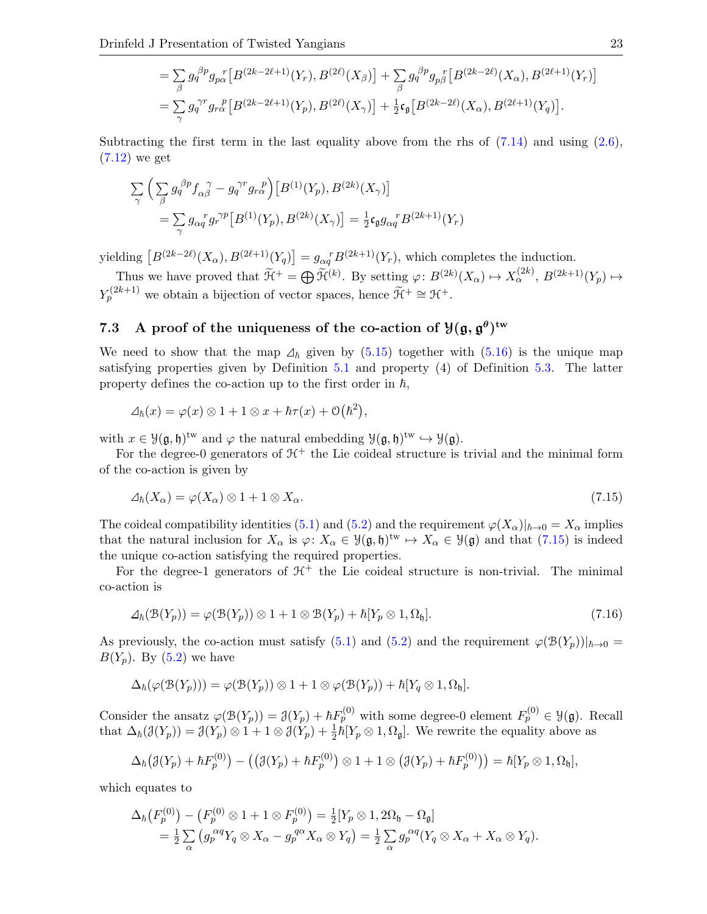$$
= \sum_{\beta} g_q^{\beta p} g_{p\alpha}^{\ r} \left[ B^{(2k-2\ell+1)}(Y_r), B^{(2\ell)}(X_{\beta}) \right] + \sum_{\beta} g_q^{\beta p} g_{p\beta}^{\ r} \left[ B^{(2k-2\ell)}(X_{\alpha}), B^{(2\ell+1)}(Y_r) \right]
$$
  

$$
= \sum_{\gamma} g_q^{\gamma r} g_{r\alpha}^{\ r} \left[ B^{(2k-2\ell+1)}(Y_p), B^{(2\ell)}(X_{\gamma}) \right] + \frac{1}{2} \mathfrak{c}_{\mathfrak{g}} \left[ B^{(2k-2\ell)}(X_{\alpha}), B^{(2\ell+1)}(Y_q) \right].
$$

Subtracting the first term in the last equality above from the rhs of  $(7.14)$  and using  $(2.6)$ , [\(7.12\)](#page-21-1) we get

$$
\sum_{\gamma} \left( \sum_{\beta} g_q^{\beta p} f_{\alpha \beta}^{\gamma} - g_q^{\gamma r} g_{r\alpha}^{\gamma p} \right) \left[ B^{(1)}(Y_p), B^{(2k)}(X_{\gamma}) \right]
$$
  
= 
$$
\sum_{\gamma} g_{\alpha q}^r g_r^{\gamma p} \left[ B^{(1)}(Y_p), B^{(2k)}(X_{\gamma}) \right] = \frac{1}{2} \mathfrak{c}_\mathfrak{g} g_{\alpha q}^{\gamma} B^{(2k+1)}(Y_r)
$$

yielding  $[B^{(2k-2\ell)}(X_{\alpha}), B^{(2\ell+1)}(Y_q)] = g_{\alpha q}^{\ r} B^{(2k+1)}(Y_r)$ , which completes the induction.

Thus we have proved that  $\widetilde{\mathcal{H}}^+ = \bigoplus \widetilde{\mathcal{H}}^{(k)}$ . By setting  $\varphi: B^{(2k)}(X_\alpha) \mapsto X_\alpha^{(2k)}, B^{(2k+1)}(Y_p) \mapsto$  $Y_p^{(2k+1)}$  we obtain a bijection of vector spaces, hence  $\widetilde{\mathcal{H}}^+ \cong \mathcal{H}^+$ .

# <span id="page-22-0"></span>7.3 A proof of the uniqueness of the co-action of  $\mathcal{Y}(\mathfrak{g}, \mathfrak{g}^{\theta})^{\text{tw}}$

We need to show that the map  $\Delta_h$  given by [\(5.15\)](#page-12-2) together with [\(5.16\)](#page-12-3) is the unique map satisfying properties given by Definition [5.1](#page-9-3) and property (4) of Definition [5.3.](#page-10-0) The latter property defines the co-action up to the first order in  $\hbar$ ,

$$
\Delta_{\hbar}(x) = \varphi(x) \otimes 1 + 1 \otimes x + \hbar \tau(x) + \mathcal{O}(\hbar^2),
$$

with  $x \in \mathcal{Y}(\mathfrak{g},\mathfrak{h})^{\text{tw}}$  and  $\varphi$  the natural embedding  $\mathcal{Y}(\mathfrak{g},\mathfrak{h})^{\text{tw}} \hookrightarrow \mathcal{Y}(\mathfrak{g})$ .

For the degree-0 generators of  $H^+$  the Lie coideal structure is trivial and the minimal form of the co-action is given by

<span id="page-22-1"></span>
$$
\Delta_{\hbar}(X_{\alpha}) = \varphi(X_{\alpha}) \otimes 1 + 1 \otimes X_{\alpha}.\tag{7.15}
$$

The coideal compatibility identities [\(5.1\)](#page-9-1) and [\(5.2\)](#page-9-2) and the requirement  $\varphi(X_\alpha)|_{\hbar\to 0} = X_\alpha$  implies that the natural inclusion for  $X_{\alpha}$  is  $\varphi: X_{\alpha} \in \mathcal{Y}(\mathfrak{g},\mathfrak{h})^{\mathrm{tw}} \mapsto X_{\alpha} \in \mathcal{Y}(\mathfrak{g})$  and that  $(7.15)$  is indeed the unique co-action satisfying the required properties.

For the degree-1 generators of  $H^+$  the Lie coideal structure is non-trivial. The minimal co-action is

<span id="page-22-2"></span>
$$
\Delta_{\hbar}(\mathcal{B}(Y_p)) = \varphi(\mathcal{B}(Y_p)) \otimes 1 + 1 \otimes \mathcal{B}(Y_p) + \hbar[Y_p \otimes 1, \Omega_{\mathfrak{h}}]. \tag{7.16}
$$

As previously, the co-action must satisfy [\(5.1\)](#page-9-1) and [\(5.2\)](#page-9-2) and the requirement  $\varphi(\mathcal{B}(Y_p))|_{\hbar\to 0} =$  $B(Y_n)$ . By  $(5.2)$  we have

$$
\Delta_{\hbar}(\varphi(\mathcal{B}(Y_p))) = \varphi(\mathcal{B}(Y_p)) \otimes 1 + 1 \otimes \varphi(\mathcal{B}(Y_p)) + \hbar[Y_q \otimes 1, \Omega_{\mathfrak{h}}].
$$

Consider the ansatz  $\varphi(\mathcal{B}(Y_p)) = \mathcal{J}(Y_p) + \hbar F_p^{(0)}$  with some degree-0 element  $F_p^{(0)} \in \mathcal{Y}(\mathfrak{g})$ . Recall that  $\Delta_{\hbar}(\mathcal{J}(Y_p)) = \mathcal{J}(Y_p) \otimes 1 + 1 \otimes \mathcal{J}(Y_p) + \frac{1}{2}\hbar[Y_p \otimes 1, \Omega_{\mathfrak{g}}]$ . We rewrite the equality above as

$$
\Delta_{\hbar}(\mathcal{J}(Y_p)+\hbar F_p^{(0)})-\big(\big(\mathcal{J}(Y_p)+\hbar F_p^{(0)}\big)\otimes 1+1\otimes\big(\mathcal{J}(Y_p)+\hbar F_p^{(0)}\big)\big)=\hbar[Y_p\otimes 1,\Omega_{\mathfrak{h}}],
$$

which equates to

$$
\Delta_{\hbar}\big(F_p^{(0)}\big) - \big(F_p^{(0)} \otimes 1 + 1 \otimes F_p^{(0)}\big) = \frac{1}{2} [Y_p \otimes 1, 2\Omega_{\mathfrak{h}} - \Omega_{\mathfrak{g}}] \n= \frac{1}{2} \sum_{\alpha} \big(g_p^{\alpha q} Y_q \otimes X_{\alpha} - g_p^{q\alpha} X_{\alpha} \otimes Y_q\big) = \frac{1}{2} \sum_{\alpha} g_p^{\alpha q} (Y_q \otimes X_{\alpha} + X_{\alpha} \otimes Y_q).
$$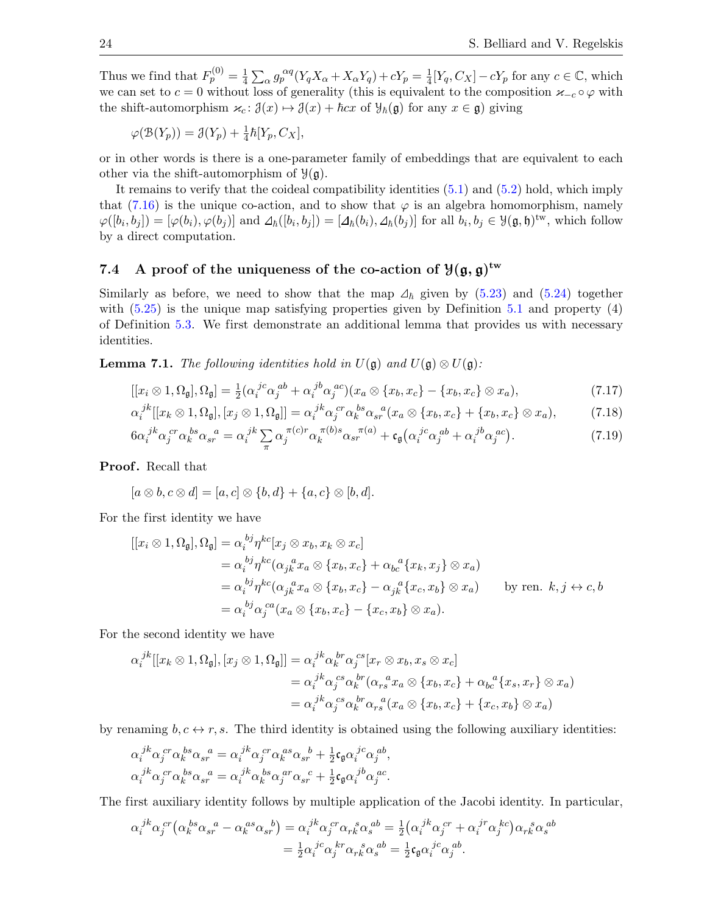Thus we find that  $F_p^{(0)} = \frac{1}{4}$  $\frac{1}{4}\sum_{\alpha}g_{p}^{\alpha q}(Y_qX_{\alpha}+X_{\alpha}Y_q)+cY_p=\frac{1}{4}$  $\frac{1}{4}[Y_q, C_X] - cY_p$  for any  $c \in \mathbb{C}$ , which we can set to  $c = 0$  without loss of generality (this is equivalent to the composition  $\varkappa_{-c} \circ \varphi$  with the shift-automorphism  $\varkappa_c$ :  $\mathcal{J}(x) \mapsto \mathcal{J}(x) + \hbar c x$  of  $\mathcal{Y}_{\hbar}(\mathfrak{g})$  for any  $x \in \mathfrak{g}$ ) giving

$$
\varphi(\mathfrak{B}(Y_p)) = \mathfrak{J}(Y_p) + \frac{1}{4}\hbar[Y_p, C_X],
$$

or in other words is there is a one-parameter family of embeddings that are equivalent to each other via the shift-automorphism of  $\mathcal{Y}(\mathfrak{g})$ .

It remains to verify that the coideal compatibility identities [\(5.1\)](#page-9-1) and [\(5.2\)](#page-9-2) hold, which imply that [\(7.16\)](#page-22-2) is the unique co-action, and to show that  $\varphi$  is an algebra homomorphism, namely  $\varphi([b_i, b_j]) = [\varphi(b_i), \varphi(b_j)]$  and  $\varphi(\underline{b}_i, b_j]) = [\varphi(\underline{b}_i), \varphi(\underline{b}_j)]$  for all  $b_i, b_j \in \mathcal{Y}(\mathfrak{g}, \mathfrak{h})^{\text{tw}}$ , which follow by a direct computation.

# <span id="page-23-0"></span>7.4 A proof of the uniqueness of the co-action of  $\mathcal{Y}(\mathfrak{g},\mathfrak{g})^{\mathrm{tw}}$

Similarly as before, we need to show that the map  $\Delta_{\hbar}$  given by [\(5.23\)](#page-13-1) and [\(5.24\)](#page-13-0) together with  $(5.25)$  is the unique map satisfying properties given by Definition [5.1](#page-9-3) and property  $(4)$ of Definition [5.3.](#page-10-0) We first demonstrate an additional lemma that provides us with necessary identities.

<span id="page-23-2"></span>**Lemma 7.1.** The following identities hold in  $U(\mathfrak{g})$  and  $U(\mathfrak{g}) \otimes U(\mathfrak{g})$ :

$$
[[x_i \otimes 1, \Omega_{\mathfrak{g}}], \Omega_{\mathfrak{g}}] = \frac{1}{2} (\alpha_i^{j c} \alpha_j^{a b} + \alpha_i^{j b} \alpha_j^{a c})(x_a \otimes \{x_b, x_c\} - \{x_b, x_c\} \otimes x_a),
$$
\n(7.17)

$$
\alpha_i^{jk}[[x_k \otimes 1, \Omega_{\mathfrak{g}}], [x_j \otimes 1, \Omega_{\mathfrak{g}}]] = \alpha_i^{jk} \alpha_j^{cr} \alpha_k^{bs} \alpha_{sr}^{a}(x_a \otimes \{x_b, x_c\} + \{x_b, x_c\} \otimes x_a), \tag{7.18}
$$

<span id="page-23-1"></span>
$$
6\alpha_i^{jk}\alpha_j^{cr}\alpha_k^{bs}\alpha_{sr}^{a} = \alpha_i^{jk}\sum_{\pi}\alpha_j^{\pi(c)r}\alpha_k^{\pi(b)s}\alpha_{sr}^{\pi(a)} + \mathfrak{c}_{\mathfrak{g}}(\alpha_i^{jc}\alpha_j^{ab} + \alpha_i^{jb}\alpha_j^{ac}).\tag{7.19}
$$

**Proof.** Recall that

$$
[a \otimes b, c \otimes d] = [a, c] \otimes \{b, d\} + \{a, c\} \otimes [b, d].
$$

For the first identity we have

$$
[[x_i \otimes 1, \Omega_{\mathfrak{g}}], \Omega_{\mathfrak{g}}] = \alpha_i^{bj} \eta^{kc} [x_j \otimes x_b, x_k \otimes x_c]
$$
  
\n
$$
= \alpha_i^{bj} \eta^{kc} (\alpha_{jk}^a x_a \otimes \{x_b, x_c\} + \alpha_{bc}^a \{x_k, x_j\} \otimes x_a)
$$
  
\n
$$
= \alpha_i^{bj} \eta^{kc} (\alpha_{jk}^a x_a \otimes \{x_b, x_c\} - \alpha_{jk}^a \{x_c, x_b\} \otimes x_a)
$$
 by ren.  $k, j \leftrightarrow c, b$   
\n
$$
= \alpha_i^{bj} \alpha_j^{ca} (x_a \otimes \{x_b, x_c\} - \{x_c, x_b\} \otimes x_a).
$$

For the second identity we have

$$
\alpha_i^{jk}[[x_k \otimes 1, \Omega_{\mathfrak{g}}], [x_j \otimes 1, \Omega_{\mathfrak{g}}]] = \alpha_i^{jk} \alpha_k^{br} \alpha_j^{cs} [x_r \otimes x_b, x_s \otimes x_c]
$$
  
\n
$$
= \alpha_i^{jk} \alpha_j^{cs} \alpha_k^{br} (\alpha_{rs}^{a} x_a \otimes \{x_b, x_c\} + \alpha_{bc}^{a} \{x_s, x_r\} \otimes x_a)
$$
  
\n
$$
= \alpha_i^{jk} \alpha_j^{cs} \alpha_k^{br} \alpha_{rs}^{a} (x_a \otimes \{x_b, x_c\} + \{x_c, x_b\} \otimes x_a)
$$

by renaming  $b, c \leftrightarrow r, s$ . The third identity is obtained using the following auxiliary identities:

$$
\alpha_i^{~jk}\alpha_j^{~cr}\alpha_k^{~bs}\alpha_{sr}^{~a} = \alpha_i^{~jk}\alpha_j^{~cr}\alpha_k^{~as}\alpha_{sr}^{~b} + \frac{1}{2}\mathfrak{c}_{\mathfrak{g}}\alpha_i^{~jc}\alpha_j^{~ab},\alpha_i^{~jk}\alpha_j^{~cr}\alpha_k^{~bs}\alpha_{sr}^{~a} = \alpha_i^{~jk}\alpha_k^{~bs}\alpha_j^{~ar}\alpha_{sr}^{~c} + \frac{1}{2}\mathfrak{c}_{\mathfrak{g}}\alpha_i^{~jb}\alpha_j^{~ac}.
$$

The first auxiliary identity follows by multiple application of the Jacobi identity. In particular,

$$
\alpha_i^{jk}\alpha_j^{cr}\left(\alpha_k^{bs}\alpha_{sr}^{a}-\alpha_k^{as}\alpha_{sr}^{b}\right)=\alpha_i^{jk}\alpha_j^{cr}\alpha_{rk}^{s}\alpha_s^{ab}=\frac{1}{2}\left(\alpha_i^{jk}\alpha_j^{cr}+\alpha_i^{jr}\alpha_j^{kc}\right)\alpha_{rk}^{s}\alpha_s^{ab}
$$

$$
=\frac{1}{2}\alpha_i^{jc}\alpha_j^{kr}\alpha_{rk}^{s}\alpha_s^{ab}=\frac{1}{2}\mathfrak{c}_{\mathfrak{g}}\alpha_i^{jc}\alpha_j^{ab}.
$$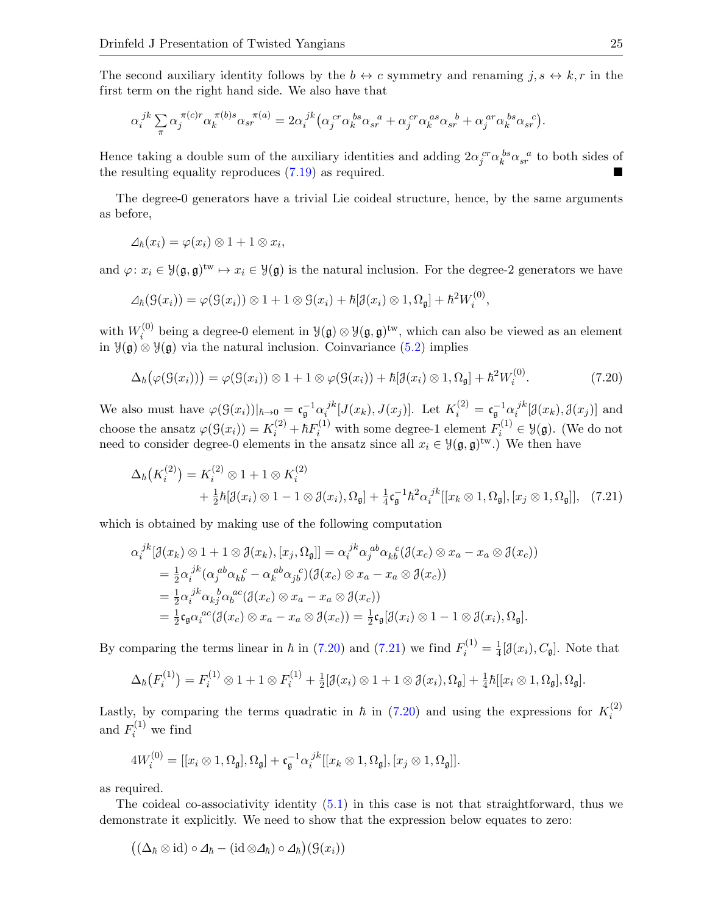The second auxiliary identity follows by the  $b \leftrightarrow c$  symmetry and renaming  $j, s \leftrightarrow k, r$  in the first term on the right hand side. We also have that

$$
\alpha_i^{jk} \sum_{\pi} \alpha_j^{\pi(c)r} \alpha_k^{\pi(b)s} \alpha_{sr}^{\pi(a)} = 2\alpha_i^{jk} \left( \alpha_j^{cr} \alpha_k^{bs} \alpha_{sr}^{a} + \alpha_j^{cr} \alpha_k^{as} \alpha_{sr}^{b} + \alpha_j^{ar} \alpha_k^{bs} \alpha_{sr}^{c} \right).
$$

Hence taking a double sum of the auxiliary identities and adding  $2\alpha_j^{cr}\alpha_k^{bs}\alpha_{sr}^{a}$  to both sides of the resulting equality reproduces [\(7.19\)](#page-23-1) as required.

The degree-0 generators have a trivial Lie coideal structure, hence, by the same arguments as before,

$$
\Delta_{\hbar}(x_i) = \varphi(x_i) \otimes 1 + 1 \otimes x_i,
$$

and  $\varphi: x_i \in \mathcal{Y}(\mathfrak{g}, \mathfrak{g})^{\text{tw}} \mapsto x_i \in \mathcal{Y}(\mathfrak{g})$  is the natural inclusion. For the degree-2 generators we have

$$
\varDelta_{\hbar}(\mathcal{G}(x_i)) = \varphi(\mathcal{G}(x_i)) \otimes 1 + 1 \otimes \mathcal{G}(x_i) + \hbar[\mathfrak{J}(x_i) \otimes 1, \Omega_{\mathfrak{g}}] + \hbar^2 W_i^{(0)},
$$

with  $W_i^{(0)}$ <sup>(0)</sup> being a degree-0 element in  $\mathcal{Y}(\mathfrak{g}) \otimes \mathcal{Y}(\mathfrak{g}, \mathfrak{g})^{\text{tw}}$ , which can also be viewed as an element in Y(g) ⊗ Y(g) via the natural inclusion. Coinvariance [\(5.2\)](#page-9-2) implies

<span id="page-24-0"></span>
$$
\Delta_{\hbar}(\varphi(\mathcal{G}(x_i))) = \varphi(\mathcal{G}(x_i)) \otimes 1 + 1 \otimes \varphi(\mathcal{G}(x_i)) + \hbar[\mathcal{J}(x_i) \otimes 1, \Omega_{\mathfrak{g}}] + \hbar^2 W_i^{(0)}.
$$
\n(7.20)

We also must have  $\varphi(\mathcal{G}(x_i))|_{\hbar \to 0} = \mathfrak{c}_\mathfrak{g}^{-1} \alpha_i^{jk}$  $i^{jk}[J(x_k), J(x_j)]$ . Let  $K_i^{(2)} = \mathfrak{c}_{\mathfrak{g}}^{-1} \alpha_i^{jk}$  $i^{jk}[\mathcal{J}(x_k), \mathcal{J}(x_j)]$  and choose the ansatz  $\varphi(\mathcal{G}(x_i)) = K_i^{(2)} + \hbar F_i^{(1)}$  with some degree-1 element  $F_i^{(1)} \in \mathcal{Y}(\mathfrak{g})$ . (We do not need to consider degree-0 elements in the ansatz since all  $x_i \in \mathcal{Y}(\mathfrak{g}, \mathfrak{g})^{\text{tw}}$ .) We then have

<span id="page-24-1"></span>
$$
\Delta_{\hbar}\left(K_{i}^{(2)}\right) = K_{i}^{(2)} \otimes 1 + 1 \otimes K_{i}^{(2)} \n+ \frac{1}{2}\hbar[\mathcal{J}(x_{i}) \otimes 1 - 1 \otimes \mathcal{J}(x_{i}), \Omega_{\mathfrak{g}}] + \frac{1}{4}\mathfrak{c}_{\mathfrak{g}}^{-1}\hbar^{2}\alpha_{i}^{jk}[[x_{k} \otimes 1, \Omega_{\mathfrak{g}}], [x_{j} \otimes 1, \Omega_{\mathfrak{g}}]], \quad (7.21)
$$

which is obtained by making use of the following computation

$$
\alpha_i^{jk}[\mathcal{J}(x_k) \otimes 1 + 1 \otimes \mathcal{J}(x_k), [x_j, \Omega_{\mathfrak{g}}]] = \alpha_i^{jk} \alpha_j^{ab} \alpha_k^{c} (\mathcal{J}(x_c) \otimes x_a - x_a \otimes \mathcal{J}(x_c))
$$
  
\n
$$
= \frac{1}{2} \alpha_i^{jk} (\alpha_j^{ab} \alpha_k^{c} - \alpha_k^{ab} \alpha_j^{c}) (\mathcal{J}(x_c) \otimes x_a - x_a \otimes \mathcal{J}(x_c))
$$
  
\n
$$
= \frac{1}{2} \alpha_i^{jk} \alpha_k^{b} \alpha_b^{ac} (\mathcal{J}(x_c) \otimes x_a - x_a \otimes \mathcal{J}(x_c))
$$
  
\n
$$
= \frac{1}{2} \mathfrak{c}_{\mathfrak{g}} \alpha_i^{ac} (\mathcal{J}(x_c) \otimes x_a - x_a \otimes \mathcal{J}(x_c)) = \frac{1}{2} \mathfrak{c}_{\mathfrak{g}}[\mathcal{J}(x_i) \otimes 1 - 1 \otimes \mathcal{J}(x_i), \Omega_{\mathfrak{g}}].
$$

By comparing the terms linear in  $\hbar$  in [\(7.20\)](#page-24-0) and [\(7.21\)](#page-24-1) we find  $F_i^{(1)} = \frac{1}{4}$  $\frac{1}{4}[\mathcal{J}(x_i), C_{\mathfrak{g}}]$ . Note that

$$
\Delta_{\hbar}\big(F_i^{(1)}\big)=F_i^{(1)}\otimes 1+1\otimes F_i^{(1)}+\tfrac{1}{2}[\mathcal{J}(x_i)\otimes 1+1\otimes \mathcal{J}(x_i),\Omega_{\mathfrak{g}}]+\tfrac{1}{4}\hbar[[x_i\otimes 1,\Omega_{\mathfrak{g}}],\Omega_{\mathfrak{g}}].
$$

Lastly, by comparing the terms quadratic in  $\hbar$  in [\(7.20\)](#page-24-0) and using the expressions for  $K_i^{(2)}$ i and  $F_i^{(1)}$  we find

$$
4W_i^{(0)} = [[x_i \otimes 1, \Omega_{\mathfrak{g}}], \Omega_{\mathfrak{g}}] + \mathfrak{c}_{\mathfrak{g}}^{-1} \alpha_i^{jk} [[x_k \otimes 1, \Omega_{\mathfrak{g}}], [x_j \otimes 1, \Omega_{\mathfrak{g}}]].
$$

as required.

The coideal co-associativity identity [\(5.1\)](#page-9-1) in this case is not that straightforward, thus we demonstrate it explicitly. We need to show that the expression below equates to zero:

$$
((\Delta_{\hbar}\otimes \mathrm{id})\circ \Delta_{\hbar}-(\mathrm{id}\otimes \Delta_{\hbar})\circ \Delta_{\hbar})(\mathfrak{S}(x_i))
$$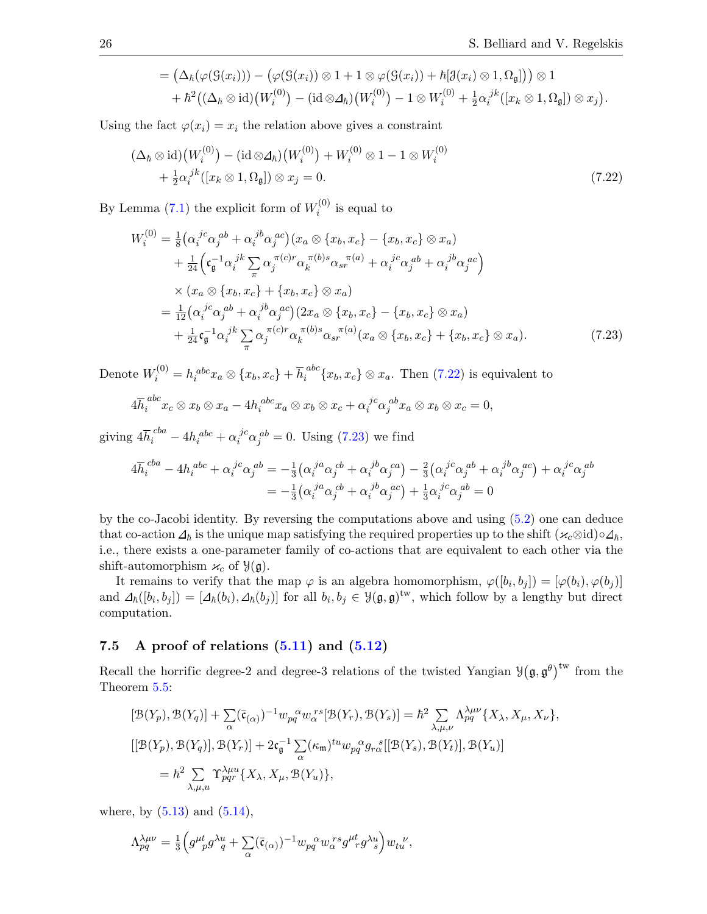<span id="page-25-1"></span>
$$
= (\Delta_{\hbar}(\varphi(\mathcal{G}(x_i))) - (\varphi(\mathcal{G}(x_i)) \otimes 1 + 1 \otimes \varphi(\mathcal{G}(x_i)) + \hbar[\mathcal{J}(x_i) \otimes 1, \Omega_{\mathfrak{g}}])) \otimes 1 + \hbar^2((\Delta_{\hbar} \otimes id)(W_i^{(0)}) - (id \otimes \Delta_{\hbar})(W_i^{(0)}) - 1 \otimes W_i^{(0)} + \frac{1}{2}\alpha_i^{jk}([x_k \otimes 1, \Omega_{\mathfrak{g}}]) \otimes x_j).
$$

Using the fact  $\varphi(x_i) = x_i$  the relation above gives a constraint

$$
(\Delta_{\hbar} \otimes \mathrm{id})(W_i^{(0)}) - (\mathrm{id} \otimes \Delta_{\hbar})(W_i^{(0)}) + W_i^{(0)} \otimes 1 - 1 \otimes W_i^{(0)}
$$
  
+ 
$$
\frac{1}{2} \alpha_i^{jk} ([x_k \otimes 1, \Omega_{\mathfrak{g}}]) \otimes x_j = 0.
$$
 (7.22)

By Lemma [\(7.1\)](#page-23-2) the explicit form of  $W_i^{(0)}$  $i^{(0)}$  is equal to

$$
W_i^{(0)} = \frac{1}{8} \left( \alpha_i^{jc} \alpha_j^{ab} + \alpha_i^{jb} \alpha_j^{ac} \right) (x_a \otimes \{x_b, x_c\} - \{x_b, x_c\} \otimes x_a)
$$
  
+ 
$$
\frac{1}{24} \left( \mathbf{c}_g^{-1} \alpha_i^{jk} \sum_{\pi} \alpha_j^{(\pi c)r} \alpha_k^{(\pi b)s} \alpha_{sr}^{(\pi a)} + \alpha_i^{jc} \alpha_j^{ab} + \alpha_i^{jb} \alpha_j^{ac} \right)
$$
  

$$
\times (x_a \otimes \{x_b, x_c\} + \{x_b, x_c\} \otimes x_a)
$$
  
= 
$$
\frac{1}{12} \left( \alpha_i^{jc} \alpha_j^{ab} + \alpha_i^{jb} \alpha_j^{ac} \right) (2x_a \otimes \{x_b, x_c\} - \{x_b, x_c\} \otimes x_a)
$$
  
+ 
$$
\frac{1}{24} \mathbf{c}_g^{-1} \alpha_i^{jk} \sum_{\pi} \alpha_j^{(\pi c)r} \alpha_k^{(\pi b)s} \alpha_{sr}^{(\pi a)} (x_a \otimes \{x_b, x_c\} + \{x_b, x_c\} \otimes x_a).
$$
 (7.23)

Denote  $W_i^{(0)} = h_i^{abc} x_a \otimes \{x_b, x_c\} + \overline{h}_i^{abc} \{x_b, x_c\} \otimes x_a$ . Then [\(7.22\)](#page-25-1) is equivalent to

<span id="page-25-2"></span>
$$
4\overline{h}_i^{abc}x_c\otimes x_b\otimes x_a - 4h_i^{abc}x_a\otimes x_b\otimes x_c + \alpha_i^{jc}\alpha_j^{ab}x_a\otimes x_b\otimes x_c = 0,
$$

giving  $4\overline{h}_i^{cba} - 4h_i^{abc} + \alpha_i^{jc}\alpha_j^{ab} = 0$ . Using [\(7.23\)](#page-25-2) we find

$$
4\overline{h}_i^{cba} - 4h_i^{abc} + \alpha_i^{jc}\alpha_j^{ab} = -\frac{1}{3}(\alpha_i^{ja}\alpha_j^{cb} + \alpha_i^{jb}\alpha_j^{ca}) - \frac{2}{3}(\alpha_i^{jc}\alpha_j^{ab} + \alpha_i^{jb}\alpha_j^{ac}) + \alpha_i^{jc}\alpha_j^{ab}
$$

$$
= -\frac{1}{3}(\alpha_i^{ja}\alpha_j^{cb} + \alpha_i^{jb}\alpha_j^{ac}) + \frac{1}{3}\alpha_i^{jc}\alpha_j^{ab} = 0
$$

by the co-Jacobi identity. By reversing the computations above and using [\(5.2\)](#page-9-2) one can deduce that co-action  $\Delta_{\hbar}$  is the unique map satisfying the required properties up to the shift  $(\varkappa_c \otimes id) \circ \Delta_{\hbar}$ , i.e., there exists a one-parameter family of co-actions that are equivalent to each other via the shift-automorphism  $\varkappa_c$  of  $\mathcal{Y}(\mathfrak{g})$ .

It remains to verify that the map  $\varphi$  is an algebra homomorphism,  $\varphi([b_i, b_j]) = [\varphi(b_i), \varphi(b_j)]$ and  $\Delta_{\hbar}([b_i, b_j]) = [\Delta_{\hbar}(b_i), \Delta_{\hbar}(b_j)]$  for all  $b_i, b_j \in \mathcal{Y}(\mathfrak{g}, \mathfrak{g})^{\text{tw}}$ , which follow by a lengthy but direct computation.

#### <span id="page-25-0"></span>7.5 A proof of relations  $(5.11)$  and  $(5.12)$

Recall the horrific degree-2 and degree-3 relations of the twisted Yangian  $\mathcal{Y}(\mathfrak{g}, \mathfrak{g}^{\theta})^{\text{tw}}$  from the Theorem [5.5:](#page-12-0)

$$
[\mathcal{B}(Y_p), \mathcal{B}(Y_q)] + \sum_{\alpha} (\bar{\mathfrak{c}}_{(\alpha)})^{-1} w_{pq}^{\alpha} w_{\alpha}^{rs} [\mathcal{B}(Y_r), \mathcal{B}(Y_s)] = \hbar^2 \sum_{\lambda, \mu, \nu} \Lambda_{pq}^{\lambda \mu \nu} \{X_{\lambda}, X_{\mu}, X_{\nu}\},
$$
  
\n
$$
[[\mathcal{B}(Y_p), \mathcal{B}(Y_q)], \mathcal{B}(Y_r)] + 2\mathfrak{c}_{\mathfrak{g}}^{-1} \sum_{\alpha} (\kappa_{\mathfrak{m}})^{tu} w_{pq}^{\alpha} g_{r\alpha}^{\ s} [[\mathcal{B}(Y_s), \mathcal{B}(Y_t)], \mathcal{B}(Y_u)]
$$
  
\n
$$
= \hbar^2 \sum_{\lambda, \mu, u} \Upsilon_{pqr}^{\lambda \mu u} \{X_{\lambda}, X_{\mu}, \mathcal{B}(Y_u)\},
$$

where, by  $(5.13)$  and  $(5.14)$ ,

$$
\Lambda^{\lambda\mu\nu}_{pq}=\tfrac{1}{3}\Big(g^{\mu t}_{\ \ p}g^{\lambda u}_{\ \ q}+\sum_{\alpha}(\bar{\mathfrak{c}}_{(\alpha)})^{-1}w_{pq}^{\ \ \alpha}w_{\alpha}^{\ r s}g^{\mu t}_{\ \ r}g^{\lambda u}_{\ \ s}\Big)w_{tu}^{\ \ \nu},
$$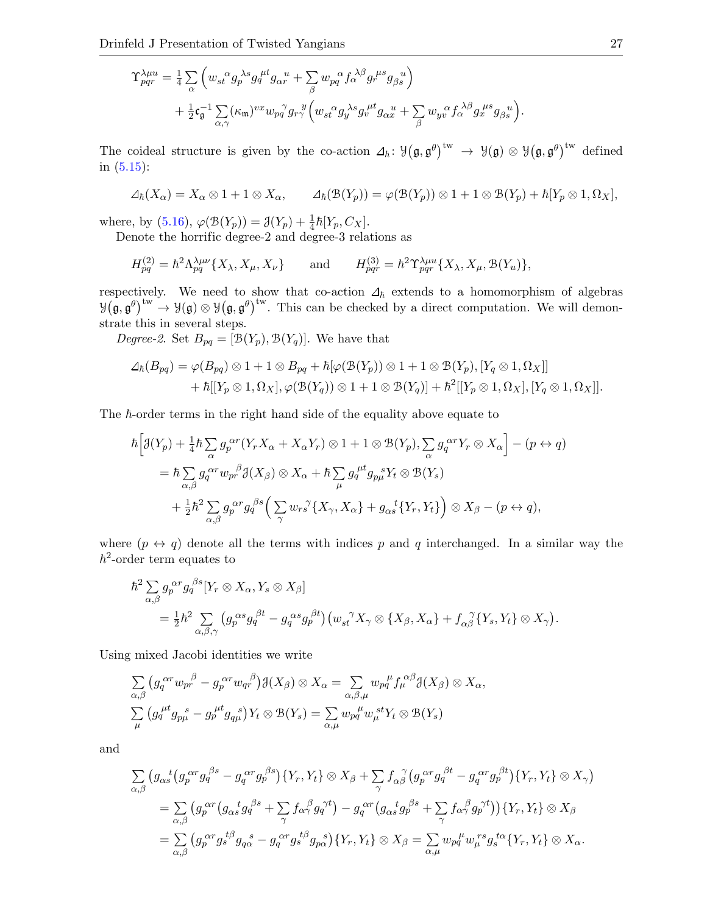$$
\begin{split} \Upsilon^{\lambda\mu u}_{pqr} &= \tfrac{1}{4} \sum_{\alpha} \left( w_{st}{}^{\alpha} g_{p}{}^{\lambda s} g_{q}{}^{\mu t} g_{\alpha r}{}^{u} + \sum_{\beta} w_{pq}{}^{\alpha} f_{\alpha}{}^{\lambda \beta} g_{r}{}^{\mu s} g_{\beta s}{}^{u} \right) \\ &+ \tfrac{1}{2} \mathfrak{c}_{\mathfrak{g}}^{-1} \sum_{\alpha,\gamma} (\kappa_{\mathfrak{m}})^{vx} w_{pq}{}^{\gamma} g_{r\gamma}{}^{y} \Big( w_{st}{}^{\alpha} g_{y}{}^{\lambda s} g_{v}{}^{\mu t} g_{\alpha x}{}^{u} + \sum_{\beta} w_{yv}{}^{\alpha} f_{\alpha}{}^{\lambda \beta} g_{x}{}^{\mu s} g_{\beta s}{}^{u} \Big). \end{split}
$$

The coideal structure is given by the co-action  $\Delta_{\hbar}: \mathcal{Y}(\mathfrak{g}, \mathfrak{g}^{\theta})^{\text{tw}} \to \mathcal{Y}(\mathfrak{g}) \otimes \mathcal{Y}(\mathfrak{g}, \mathfrak{g}^{\theta})^{\text{tw}}$  defined in [\(5.15\)](#page-12-2):

$$
\Delta_{\hbar}(X_{\alpha})=X_{\alpha}\otimes 1+1\otimes X_{\alpha}, \qquad \Delta_{\hbar}(\mathcal{B}(Y_p))=\varphi(\mathcal{B}(Y_p))\otimes 1+1\otimes \mathcal{B}(Y_p)+\hbar[Y_p\otimes 1,\Omega_X],
$$

where, by [\(5.16\)](#page-12-3),  $\varphi(\mathcal{B}(Y_p)) = \mathcal{J}(Y_p) + \frac{1}{4}\hbar[Y_p, C_X]$ .

Denote the horrific degree-2 and degree-3 relations as

$$
H_{pq}^{(2)} = \hbar^2 \Lambda_{pq}^{\lambda \mu \nu} \{ X_{\lambda}, X_{\mu}, X_{\nu} \} \quad \text{and} \quad H_{pqr}^{(3)} = \hbar^2 \Upsilon_{pqr}^{\lambda \mu u} \{ X_{\lambda}, X_{\mu}, \mathcal{B}(Y_u) \},
$$

respectively. We need to show that co-action  $\Delta_{\hbar}$  extends to a homomorphism of algebras  $\mathcal{Y}(\mathfrak{g}, \mathfrak{g}^{\theta})^{\text{tw}} \to \mathcal{Y}(\mathfrak{g}) \otimes \mathcal{Y}(\mathfrak{g}, \mathfrak{g}^{\theta})^{\text{tw}}$ . This can be checked by a direct computation. We will demonstrate this in several steps.

 $Degree\text{-}2.$  Set  $B_{pq} = [\mathcal{B}(Y_p), \mathcal{B}(Y_q)].$  We have that

$$
\Delta_{\hbar}(B_{pq}) = \varphi(B_{pq}) \otimes 1 + 1 \otimes B_{pq} + \hbar[\varphi(\mathfrak{B}(Y_p)) \otimes 1 + 1 \otimes \mathfrak{B}(Y_p), [Y_q \otimes 1, \Omega_X]] + \hbar[[Y_p \otimes 1, \Omega_X], \varphi(\mathfrak{B}(Y_q)) \otimes 1 + 1 \otimes \mathfrak{B}(Y_q)] + \hbar^2[[Y_p \otimes 1, \Omega_X], [Y_q \otimes 1, \Omega_X]].
$$

The  $\hbar$ -order terms in the right hand side of the equality above equate to

$$
\begin{split} \hbar \Big[ & \mathcal{J}(Y_p) + \tfrac{1}{4} \hbar \sum_{\alpha} g_p^{\alpha r} (Y_r X_{\alpha} + X_{\alpha} Y_r) \otimes 1 + 1 \otimes \mathcal{B}(Y_p), \sum_{\alpha} g_q^{\alpha r} Y_r \otimes X_{\alpha} \Big] - (p \leftrightarrow q) \\ & = \hbar \sum_{\alpha, \beta} g_q^{\alpha r} w_{pr}^{\beta} \mathcal{J}(X_{\beta}) \otimes X_{\alpha} + \hbar \sum_{\mu} g_q^{\mu t} g_{p\mu}^{\ \ s} Y_t \otimes \mathcal{B}(Y_s) \\ & + \tfrac{1}{2} \hbar^2 \sum_{\alpha, \beta} g_p^{\ \alpha r} g_q^{\ \beta s} \Big( \sum_{\gamma} w_{rs}^{\ \gamma} \{ X_{\gamma}, X_{\alpha} \} + g_{\alpha s}^{\ \ t} \{ Y_r, Y_t \} \Big) \otimes X_{\beta} - (p \leftrightarrow q), \end{split}
$$

where  $(p \leftrightarrow q)$  denote all the terms with indices p and q interchanged. In a similar way the  $\hbar^2$ -order term equates to

$$
\begin{split} \hbar^2 \sum_{\alpha,\beta} g_p^{\alpha r} g_q^{\beta s} [Y_r \otimes X_\alpha, Y_s \otimes X_\beta] \\ &= \frac{1}{2} \hbar^2 \sum_{\alpha,\beta,\gamma} \left( g_p^{\ \alpha s} g_q^{\ \beta t} - g_q^{\ \alpha s} g_p^{\ \beta t} \right) \left( w_{st}^{\ \gamma} X_\gamma \otimes \{ X_\beta, X_\alpha \} + f_{\alpha\beta}^{\ \gamma} \{ Y_s, Y_t \} \otimes X_\gamma \right). \end{split}
$$

Using mixed Jacobi identities we write

$$
\sum_{\alpha,\beta} \left( g_q^{\alpha r} w_{pr}^{\beta} - g_p^{\alpha r} w_{qr}^{\beta} \right) \mathcal{J}(X_{\beta}) \otimes X_{\alpha} = \sum_{\alpha,\beta,\mu} w_{pq}^{\mu} f_{\mu}^{\alpha \beta} \mathcal{J}(X_{\beta}) \otimes X_{\alpha},
$$
  

$$
\sum_{\mu} \left( g_q^{\mu t} g_{p\mu}^{\ \ s} - g_{p}^{\mu t} g_{q\mu}^{\ \ s} \right) Y_t \otimes \mathcal{B}(Y_s) = \sum_{\alpha,\mu} w_{pq}^{\ \mu} w_{\mu}^{\ s t} Y_t \otimes \mathcal{B}(Y_s)
$$

and

$$
\sum_{\alpha,\beta} \left( g_{\alpha s}^{\ \ t} \left( g_{p}^{\ \alpha r} g_{q}^{\ \beta s} - g_{q}^{\ \alpha r} g_{p}^{\ \beta s} \right) \{ Y_{r}, Y_{t} \} \otimes X_{\beta} + \sum_{\gamma} f_{\alpha \beta}^{\ \gamma} \left( g_{p}^{\ \alpha r} g_{q}^{\ \beta t} - g_{q}^{\ \alpha r} g_{p}^{\ \beta t} \right) \{ Y_{r}, Y_{t} \} \otimes X_{\gamma} \right) \n= \sum_{\alpha,\beta} \left( g_{p}^{\ \alpha r} \left( g_{\alpha s}^{\ \ t} g_{q}^{\ \beta s} + \sum_{\gamma} f_{\alpha \gamma}^{\ \beta} g_{q}^{\ \gamma t} \right) - g_{q}^{\ \alpha r} \left( g_{\alpha s}^{\ \ t} g_{p}^{\ \beta s} + \sum_{\gamma} f_{\alpha \gamma}^{\ \beta} g_{p}^{\ \gamma t} \right) \right) \{ Y_{r}, Y_{t} \} \otimes X_{\beta} \n= \sum_{\alpha,\beta} \left( g_{p}^{\ \alpha r} g_{s}^{\ t\beta} g_{q}^{\ \ s} - g_{q}^{\ \alpha r} g_{s}^{\ t\beta} g_{p}^{\ \ s} \right) \{ Y_{r}, Y_{t} \} \otimes X_{\beta} = \sum_{\alpha,\mu} w_{p}^{\ \mu} w_{\mu}^{\ r s} g_{s}^{\ t\alpha} \{ Y_{r}, Y_{t} \} \otimes X_{\alpha}.
$$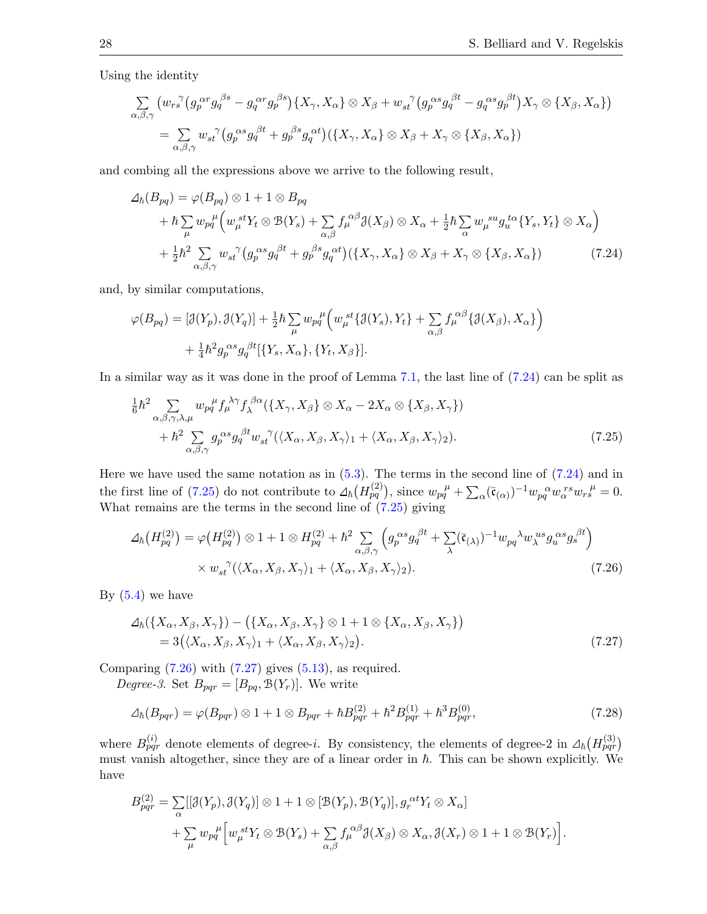Using the identity

$$
\sum_{\alpha,\beta,\gamma} \left( w_{rs}^{\gamma} \left( g_{p}^{\alpha r} g_{q}^{\beta s} - g_{q}^{\alpha r} g_{p}^{\beta s} \right) \{ X_{\gamma}, X_{\alpha} \} \otimes X_{\beta} + w_{st}^{\gamma} \left( g_{p}^{\alpha s} g_{q}^{\beta t} - g_{q}^{\alpha s} g_{p}^{\beta t} \right) X_{\gamma} \otimes \{ X_{\beta}, X_{\alpha} \} \right) \n= \sum_{\alpha,\beta,\gamma} w_{st}^{\gamma} \left( g_{p}^{\alpha s} g_{q}^{\beta t} + g_{p}^{\beta s} g_{q}^{\alpha t} \right) \left( \{ X_{\gamma}, X_{\alpha} \} \otimes X_{\beta} + X_{\gamma} \otimes \{ X_{\beta}, X_{\alpha} \} \right)
$$

and combing all the expressions above we arrive to the following result,

<span id="page-27-0"></span>
$$
\Delta_{\hbar}(B_{pq}) = \varphi(B_{pq}) \otimes 1 + 1 \otimes B_{pq}
$$
\n
$$
+ \hbar \sum_{\mu} w_{pq}^{\mu} \Big( w_{\mu}^{\,st} Y_t \otimes \mathcal{B}(Y_s) + \sum_{\alpha,\beta} f_{\mu}^{\, \alpha\beta} \mathcal{J}(X_{\beta}) \otimes X_{\alpha} + \frac{1}{2} \hbar \sum_{\alpha} w_{\mu}^{\,su} g_{u}^{\,t\alpha} \{Y_s, Y_t\} \otimes X_{\alpha} \Big)
$$
\n
$$
+ \frac{1}{2} \hbar^2 \sum_{\alpha,\beta,\gamma} w_{st}^{\,\gamma} \big( g_{p}^{\, \alpha s} g_{q}^{\, \beta t} + g_{p}^{\, \beta s} g_{q}^{\, \alpha t} \big) \big( \{X_{\gamma}, X_{\alpha}\} \otimes X_{\beta} + X_{\gamma} \otimes \{X_{\beta}, X_{\alpha}\} \big) \tag{7.24}
$$

and, by similar computations,

$$
\varphi(B_{pq}) = [\mathcal{J}(Y_p), \mathcal{J}(Y_q)] + \frac{1}{2}\hbar \sum_{\mu} w_{pq}^{\mu} \Big( w_{\mu}^{\,\,st} \{\mathcal{J}(Y_s), Y_t\} + \sum_{\alpha,\beta} f_{\mu}^{\,\, \alpha\beta} \{\mathcal{J}(X_{\beta}), X_{\alpha}\} \Big) + \frac{1}{4}\hbar^2 g_p^{\,\, \alpha s} g_q^{\,\, \beta t} [\{Y_s, X_{\alpha}\}, \{Y_t, X_{\beta}\}].
$$

In a similar way as it was done in the proof of Lemma [7.1,](#page-23-2) the last line of  $(7.24)$  can be split as

<span id="page-27-1"></span>
$$
\frac{1}{6}\hbar^2 \sum_{\alpha,\beta,\gamma,\lambda,\mu} w_{pq}{}^{\mu} f_{\mu}{}^{\lambda\gamma} f_{\lambda}{}^{\beta\alpha} (\{X_{\gamma}, X_{\beta}\} \otimes X_{\alpha} - 2X_{\alpha} \otimes \{X_{\beta}, X_{\gamma}\}) \n+ \hbar^2 \sum_{\alpha,\beta,\gamma} g_{p}^{\alpha s} g_{q}^{\beta t} w_{st}^{\gamma} (\langle X_{\alpha}, X_{\beta}, X_{\gamma} \rangle_{1} + \langle X_{\alpha}, X_{\beta}, X_{\gamma} \rangle_{2}).
$$
\n(7.25)

Here we have used the same notation as in  $(5.3)$ . The terms in the second line of  $(7.24)$  and in the first line of [\(7.25\)](#page-27-1) do not contribute to  $\Delta_{\hbar} (H_{pq}^{(2)})$ , since  $w_{pq}^{\mu} + \sum_{\alpha} (\bar{c}_{(\alpha)})^{-1} w_{pq}^{\alpha} w_{\alpha}^{\ r s} w_{rs}^{\ \mu} = 0$ . What remains are the terms in the second line of [\(7.25\)](#page-27-1) giving

<span id="page-27-2"></span>
$$
\Delta_{\hbar}(H_{pq}^{(2)}) = \varphi\big(H_{pq}^{(2)}\big) \otimes 1 + 1 \otimes H_{pq}^{(2)} + \hbar^2 \sum_{\alpha,\beta,\gamma} \left(g_p^{\alpha s} g_q^{\beta t} + \sum_{\lambda} (\bar{\mathfrak{c}}_{(\lambda)})^{-1} w_{pq}^{\lambda} w_{\lambda}^{us} g_u^{\alpha s} g_s^{\beta t}\right) \times w_{st}^{\gamma}(\langle X_{\alpha}, X_{\beta}, X_{\gamma} \rangle_1 + \langle X_{\alpha}, X_{\beta}, X_{\gamma} \rangle_2). \tag{7.26}
$$

By  $(5.4)$  we have

<span id="page-27-3"></span>
$$
\Delta_{\hbar}(\{X_{\alpha}, X_{\beta}, X_{\gamma}\}) - (\{X_{\alpha}, X_{\beta}, X_{\gamma}\} \otimes 1 + 1 \otimes \{X_{\alpha}, X_{\beta}, X_{\gamma}\})
$$
  
= 3( $(X_{\alpha}, X_{\beta}, X_{\gamma})_1 + \langle X_{\alpha}, X_{\beta}, X_{\gamma}\rangle_2$ ). (7.27)

Comparing  $(7.26)$  with  $(7.27)$  gives  $(5.13)$ , as required.

Degree-3. Set  $B_{pqr} = [B_{pq}, \mathcal{B}(Y_r)]$ . We write

<span id="page-27-4"></span>
$$
\Delta_{\hbar}(B_{pqr}) = \varphi(B_{pqr}) \otimes 1 + 1 \otimes B_{pqr} + \hbar B_{pqr}^{(2)} + \hbar^2 B_{pqr}^{(1)} + \hbar^3 B_{pqr}^{(0)},\tag{7.28}
$$

where  $B_{pqr}^{(i)}$  denote elements of degree-*i*. By consistency, the elements of degree-2 in  $\Delta_{\hbar}(H_{pqr}^{(3)})$ must vanish altogether, since they are of a linear order in  $\hbar$ . This can be shown explicitly. We have

$$
B_{pqr}^{(2)} = \sum_{\alpha} [[\mathcal{J}(Y_p), \mathcal{J}(Y_q)] \otimes 1 + 1 \otimes [\mathcal{B}(Y_p), \mathcal{B}(Y_q)], g_r^{\alpha t} Y_t \otimes X_{\alpha}] + \sum_{\mu} w_{pq}^{\mu} \Big[ w_{\mu}^{\ \ st} Y_t \otimes \mathcal{B}(Y_s) + \sum_{\alpha, \beta} f_{\mu}^{\ \alpha \beta} \mathcal{J}(X_{\beta}) \otimes X_{\alpha}, \mathcal{J}(X_r) \otimes 1 + 1 \otimes \mathcal{B}(Y_r) \Big].
$$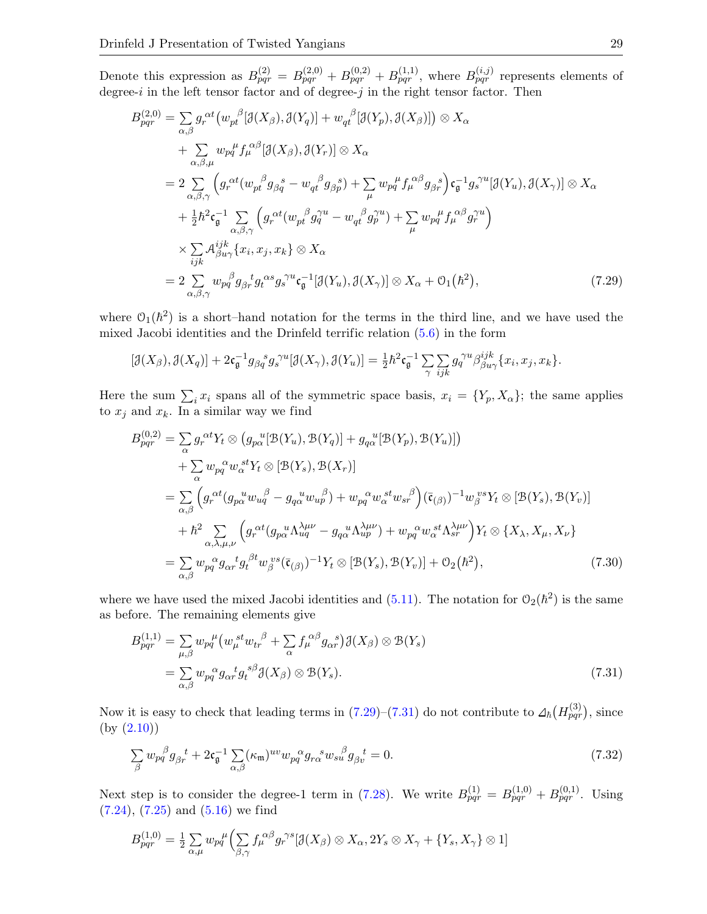Denote this expression as  $B_{pqr}^{(2)} = B_{pqr}^{(2,0)} + B_{pqr}^{(0,2)} + B_{pqr}^{(1,1)}$ , where  $B_{pqr}^{(i,j)}$  represents elements of degree-i in the left tensor factor and of degree-j in the right tensor factor. Then

$$
B_{pqr}^{(2,0)} = \sum_{\alpha,\beta} g_r^{\alpha t} \left( w_{pt}^{\beta} [\mathcal{J}(X_{\beta}), \mathcal{J}(Y_q)] + w_{qt}^{\beta} [\mathcal{J}(Y_p), \mathcal{J}(X_{\beta})] \right) \otimes X_{\alpha}
$$
  
+ 
$$
\sum_{\alpha,\beta,\mu} w_{pq}^{\mu} f_{\mu}^{\alpha \beta} [\mathcal{J}(X_{\beta}), \mathcal{J}(Y_r)] \otimes X_{\alpha}
$$
  
= 
$$
2 \sum_{\alpha,\beta,\gamma} \left( g_r^{\alpha t} (w_{pt}^{\beta} g_{\beta q}^{\beta} - w_{qt}^{\beta} g_{\beta p}^{\beta}) + \sum_{\mu} w_{pq}^{\mu} f_{\mu}^{\alpha \beta} g_{\beta r}^{\beta} \right) \mathfrak{c}_{\mathfrak{g}}^{-1} g_s^{\gamma u} [\mathcal{J}(Y_u), \mathcal{J}(X_{\gamma})] \otimes X_{\alpha}
$$
  
+ 
$$
\frac{1}{2} \hbar^2 \mathfrak{c}_{\mathfrak{g}}^{-1} \sum_{\alpha,\beta,\gamma} \left( g_r^{\alpha t} (w_{pt}^{\beta} g_q^{\gamma u} - w_{qt}^{\beta} g_p^{\gamma u}) + \sum_{\mu} w_{pq}^{\mu} f_{\mu}^{\alpha \beta} g_r^{\gamma u} \right)
$$
  

$$
\times \sum_{ijk} \mathcal{A}_{\beta u \gamma}^{ijk} \{x_i, x_j, x_k\} \otimes X_{\alpha}
$$
  
= 
$$
2 \sum_{\alpha,\beta,\gamma} w_{pq}^{\beta} g_{\beta r}^{\ i} g_{\alpha}^{\alpha s} g_s^{\gamma u} \mathfrak{c}_{\mathfrak{g}}^{-1} [\mathcal{J}(Y_u), \mathcal{J}(X_{\gamma})] \otimes X_{\alpha} + \mathcal{O}_1(\hbar^2), \tag{7.29}
$$

where  $O_1(\hbar^2)$  is a short-hand notation for the terms in the third line, and we have used the mixed Jacobi identities and the Drinfeld terrific relation [\(5.6\)](#page-11-0) in the form

<span id="page-28-0"></span>
$$
[\mathcal{J}(X_{\beta}),\mathcal{J}(X_q)]+2\mathfrak{c}_{\mathfrak{g}}^{-1}g_{\beta q}^{\quad \ s}g_{s}^{\ \gamma u}[\mathcal{J}(X_{\gamma}),\mathcal{J}(Y_u)]=\tfrac{1}{2}\hbar^2\mathfrak{c}_{\mathfrak{g}}^{-1}\sum_{\gamma}\sum_{ijk}g_{q}^{\gamma u}\beta_{\beta u\gamma}^{ijk}\{x_i,x_j,x_k\}.
$$

Here the sum  $\sum_i x_i$  spans all of the symmetric space basis,  $x_i = \{Y_p, X_\alpha\}$ ; the same applies to  $x_j$  and  $x_k$ . In a similar way we find

$$
B_{pqr}^{(0,2)} = \sum_{\alpha} g_r^{\alpha t} Y_t \otimes (g_{p\alpha}^{u} [\mathcal{B}(Y_u), \mathcal{B}(Y_q)] + g_{q\alpha}^{u} [\mathcal{B}(Y_p), \mathcal{B}(Y_u)]
$$
  
+ 
$$
\sum_{\alpha} w_{pq}^{\alpha} w_{\alpha}^{st} Y_t \otimes [\mathcal{B}(Y_s), \mathcal{B}(X_r)]
$$
  
= 
$$
\sum_{\alpha,\beta} \left( g_r^{\alpha t} (g_{p\alpha}^{u} w_{uq}^{\beta} - g_{q\alpha}^{u} w_{up}^{\beta}) + w_{pq}^{\alpha} w_{\alpha}^{st} w_{sr}^{\beta} \right) (\bar{\mathfrak{c}}_{(\beta)})^{-1} w_{\beta}^{vs} Y_t \otimes [\mathcal{B}(Y_s), \mathcal{B}(Y_v)]
$$
  
+ 
$$
\hbar^2 \sum_{\alpha,\lambda,\mu,\nu} \left( g_r^{\alpha t} (g_{p\alpha}^{u} \Lambda_{uq}^{\lambda \mu \nu} - g_{q\alpha}^{u} \Lambda_{up}^{\lambda \mu \nu}) + w_{pq}^{\alpha} w_{\alpha}^{st} \Lambda_{sr}^{\lambda \mu \nu} \right) Y_t \otimes \{X_{\lambda}, X_{\mu}, X_{\nu}\}
$$
  
= 
$$
\sum_{\alpha,\beta} w_{pq}^{\alpha} g_{\alpha r}^{t} g_t^{\beta t} w_{\beta}^{vs} (\bar{\mathfrak{c}}_{(\beta)})^{-1} Y_t \otimes [\mathcal{B}(Y_s), \mathcal{B}(Y_v)] + \mathcal{O}_2(\hbar^2), \tag{7.30}
$$

where we have used the mixed Jacobi identities and  $(5.11)$ . The notation for  $\mathcal{O}_2(\hbar^2)$  is the same as before. The remaining elements give

<span id="page-28-3"></span><span id="page-28-1"></span>
$$
B_{pqr}^{(1,1)} = \sum_{\mu,\beta} w_{pq}^{\mu} \left( w_{\mu}^{\ \ st} w_{tr}^{\ \beta} + \sum_{\alpha} f_{\mu}^{\ \alpha\beta} g_{\alpha r}^{\ \ s} \right) \mathcal{J}(X_{\beta}) \otimes \mathcal{B}(Y_s)
$$
  

$$
= \sum_{\alpha,\beta} w_{pq}^{\ \alpha} g_{\alpha r}^{\ \ t} g_t^{\ s\beta} \mathcal{J}(X_{\beta}) \otimes \mathcal{B}(Y_s).
$$
 (7.31)

Now it is easy to check that leading terms in  $(7.29)-(7.31)$  $(7.29)-(7.31)$  $(7.29)-(7.31)$  do not contribute to  $\Delta_{\hbar}(H_{pqr}^{(3)})$ , since (by [\(2.10\)](#page-4-1))

<span id="page-28-2"></span>
$$
\sum_{\beta} w_{pq}^{\beta} g_{\beta r}^{\ \ t} + 2\mathfrak{c}_{\mathfrak{g}}^{-1} \sum_{\alpha,\beta} (\kappa_{\mathfrak{m}})^{uv} w_{pq}^{\ \alpha} g_{r\alpha}^{\ \ s} w_{su}^{\ \beta} g_{\beta v}^{\ \ t} = 0. \tag{7.32}
$$

Next step is to consider the degree-1 term in [\(7.28\)](#page-27-4). We write  $B_{pqr}^{(1)} = B_{pqr}^{(1,0)} + B_{pqr}^{(0,1)}$ . Using [\(7.24\)](#page-27-0), [\(7.25\)](#page-27-1) and [\(5.16\)](#page-12-3) we find

$$
B_{pqr}^{(1,0)} = \frac{1}{2} \sum_{\alpha,\mu} w_{pq}^{\mu} \Biggl( \sum_{\beta,\gamma} f_{\mu}^{\alpha\beta} g_{r}^{\gamma s} [\mathcal{J}(X_{\beta}) \otimes X_{\alpha}, 2Y_{s} \otimes X_{\gamma} + \{Y_{s}, X_{\gamma}\} \otimes 1]
$$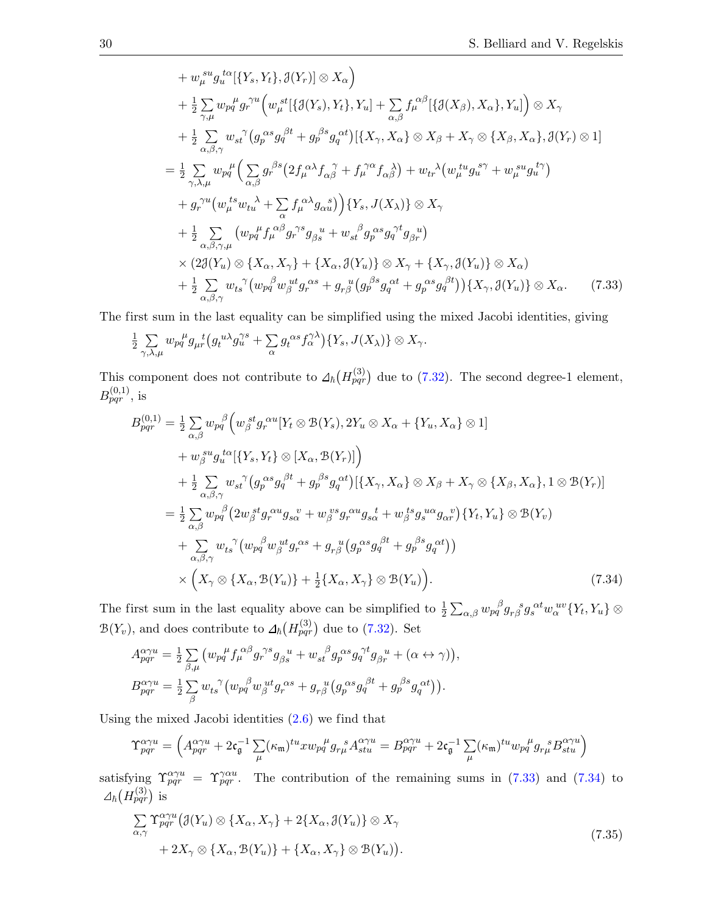+ 
$$
w_{\mu}^{su} g_{u}^{t\alpha} [\{Y_s, Y_t\}, \mathcal{J}(Y_r)] \otimes X_{\alpha}
$$
  
\n+  $\frac{1}{2} \sum_{\gamma,\mu} w_{pq}^{\mu} g_{\gamma}^{\gamma u} \Big( w_{\mu}^{st} [\{\mathcal{J}(Y_s), Y_t\}, Y_u] + \sum_{\alpha,\beta} f_{\mu}^{\alpha\beta} [\{\mathcal{J}(X_{\beta}), X_{\alpha}\}, Y_u] \Big) \otimes X_{\gamma}$   
\n+  $\frac{1}{2} \sum_{\alpha,\beta,\gamma} w_{st}^{\gamma} (g_{p}^{\alpha s} g_{q}^{\beta t} + g_{p}^{\beta s} g_{q}^{\alpha t}) [\{X_{\gamma}, X_{\alpha}\} \otimes X_{\beta} + X_{\gamma} \otimes \{X_{\beta}, X_{\alpha}\}, \mathcal{J}(Y_r) \otimes 1]$   
\n=  $\frac{1}{2} \sum_{\gamma,\lambda,\mu} w_{pq}^{\mu} \Big( \sum_{\alpha,\beta} g_{r}^{\beta s} \big( 2f_{\mu}^{\alpha\lambda} f_{\alpha\beta}^{\gamma} + f_{\mu}^{\gamma\alpha} f_{\alpha\beta}^{\lambda} \big) + w_{tr}^{\lambda} (w_{\mu}^{\mu u} g_{u}^{s\gamma} + w_{\mu}^{s u} g_{u}^{t\gamma})$   
\n+  $g_{r}^{\gamma u} (w_{\mu}^{\mu s} w_{tu}^{\lambda} + \sum_{\alpha} f_{\mu}^{\alpha\lambda} g_{\alpha u}^{\alpha s}) \Big) \{Y_s, J(X_{\lambda})\} \otimes X_{\gamma}$   
\n+  $\frac{1}{2} \sum_{\alpha,\beta,\gamma,\mu} (w_{pq}^{\mu} f_{\mu}^{\alpha\beta} g_{r}^{\gamma s} g_{\beta s}^{\alpha t} + w_{st}^{\beta} g_{p}^{\alpha s} g_{q}^{\gamma t} g_{\beta r})$   
\n $\times (2\mathcal{J}(Y_u) \otimes \{X_{\alpha}, X_{\gamma}\} + \{X_{\alpha}, \mathcal{J}(Y_u)\} \otimes X_{\gamma} + \{X_{\gamma}, \mathcal{J}(Y_u)\} \otimes X_{\alpha})$   
\n+  $\frac{1}{2} \sum_{\alpha,\beta,\gamma} w_{ts}^{\gamma} ($ 

The first sum in the last equality can be simplified using the mixed Jacobi identities, giving

$$
\frac{1}{2} \sum_{\gamma,\lambda,\mu} w_{pq}^{\mu} g_{\mu r}^{\ \ t} \big( g_t^{u\lambda} g_u^{\gamma s} + \sum_{\alpha} g_t^{\alpha s} f_{\alpha}^{\gamma \lambda} \big) \{ Y_s, J(X_\lambda) \} \otimes X_\gamma.
$$

This component does not contribute to  $\Delta_{\hbar}(H_{pqr}^{(3)})$  due to [\(7.32\)](#page-28-2). The second degree-1 element,  $B_{pqr}^{(0,1)}$ , is

$$
B_{pqr}^{(0,1)} = \frac{1}{2} \sum_{\alpha,\beta} w_{pq}^{\beta} \Big( w_{\beta}^{\, st} g_{r}^{\, \alpha u} [Y_t \otimes \mathcal{B}(Y_s), 2Y_u \otimes X_{\alpha} + \{Y_u, X_{\alpha}\} \otimes 1] + w_{\beta}^{\, su} g_{u}^{\, t\alpha} [\{Y_s, Y_t\} \otimes [X_{\alpha}, \mathcal{B}(Y_r)] \Big) + \frac{1}{2} \sum_{\alpha,\beta,\gamma} w_{st}^{\,\gamma} \Big( g_{p}^{\, \alpha s} g_{q}^{\, \beta t} + g_{p}^{\, \beta s} g_{q}^{\, \alpha t} \Big) [\{X_{\gamma}, X_{\alpha}\} \otimes X_{\beta} + X_{\gamma} \otimes \{X_{\beta}, X_{\alpha}\}, 1 \otimes \mathcal{B}(Y_r)] = \frac{1}{2} \sum_{\alpha,\beta} w_{pq}^{\,\beta} \Big( 2w_{\beta}^{\, st} g_{r}^{\, \alpha u} g_{s\alpha}^{\, v} + w_{\beta}^{\, vs} g_{r}^{\, \alpha u} g_{s\alpha}^{\, t} + w_{\beta}^{\, ts} g_{s}^{\, u\alpha} g_{\alpha}^{\, v} \Big) \{Y_t, Y_u\} \otimes \mathcal{B}(Y_v) + \sum_{\alpha,\beta,\gamma} w_{ts}^{\,\gamma} \Big( w_{pq}^{\,\beta} w_{\beta}^{\, ut} g_{r}^{\, \alpha s} + g_{r\beta}^{\,\gamma} \Big( g_{p}^{\,\alpha s} g_{q}^{\,\beta t} + g_{p}^{\,\beta s} g_{q}^{\,\alpha t} \Big) \Big) \times \Big( X_{\gamma} \otimes \{ X_{\alpha}, \mathcal{B}(Y_u) \} + \frac{1}{2} \{ X_{\alpha}, X_{\gamma} \} \otimes \mathcal{B}(Y_u) \Big).
$$
 (7.34)

The first sum in the last equality above can be simplified to  $\frac{1}{2} \sum_{\alpha,\beta} w_{pq}^{\beta} g_{r\beta}^{\ \beta} g_s^{\alpha t} w_\alpha^{\ u v} \{Y_t, Y_u\} \otimes$  $\mathcal{B}(Y_v)$ , and does contribute to  $\mathcal{A}_{\hbar}(H_{pqr}^{(3)})$  due to [\(7.32\)](#page-28-2). Set

<span id="page-29-2"></span><span id="page-29-1"></span><span id="page-29-0"></span>,

$$
A_{pqr}^{\alpha\gamma u} = \frac{1}{2} \sum_{\beta,\mu} \left( w_{pq}^{\mu} f_{\mu}^{\alpha\beta} g_{r}^{\gamma s} g_{\beta s}^{\ \ u} + w_{st}^{\ \beta} g_{p}^{\ \alpha s} g_{q}^{\ \gamma t} g_{\beta r}^{\ \ u} + (\alpha \leftrightarrow \gamma) \right)
$$
  

$$
B_{pqr}^{\alpha\gamma u} = \frac{1}{2} \sum_{\beta} w_{ts}^{\ \gamma} \left( w_{pq}^{\ \beta} w_{\beta}^{\ u t} g_{r}^{\ \alpha s} + g_{r\beta}^{\ u} \left( g_{p}^{\ \alpha s} g_{q}^{\ \beta t} + g_{p}^{\ \beta s} g_{q}^{\ \alpha t} \right) \right).
$$

Using the mixed Jacobi identities [\(2.6\)](#page-4-4) we find that

$$
\Upsilon^{\alpha\gamma u}_{pqr}=\Big(A^{\alpha\gamma u}_{pqr}+2\mathfrak{c}^{-1}_{\mathfrak{g}}\sum_{\mu}(\kappa_{\mathfrak{m}})^{tu}xw_{pq}^{\quad \ \mu}g_{r\mu}^{\quad \ s}A^{\alpha\gamma u}_{stu}=B^{\alpha\gamma u}_{pqr}+2\mathfrak{c}^{-1}_{\mathfrak{g}}\sum_{\mu}(\kappa_{\mathfrak{m}})^{tu}w_{pq}^{\quad \ \mu}g_{r\mu}^{\quad \ s}B^{\alpha\gamma u}_{stu}\Big)
$$

satisfying  $\Upsilon_{pqr}^{\alpha\gamma u} = \Upsilon_{pqr}^{\gamma\alpha u}$ . The contribution of the remaining sums in [\(7.33\)](#page-29-0) and [\(7.34\)](#page-29-1) to  $_{\hbar}(H_{pqr}^{(3)})$  is

$$
\sum_{\alpha,\gamma} \Upsilon_{pqr}^{\alpha\gamma u} \left( \mathcal{J}(Y_u) \otimes \{ X_\alpha, X_\gamma \} + 2 \{ X_\alpha, \mathcal{J}(Y_u) \} \otimes X_\gamma \right. \\
 \left. + 2X_\gamma \otimes \{ X_\alpha, \mathcal{B}(Y_u) \} + \{ X_\alpha, X_\gamma \} \otimes \mathcal{B}(Y_u) \right). \tag{7.35}
$$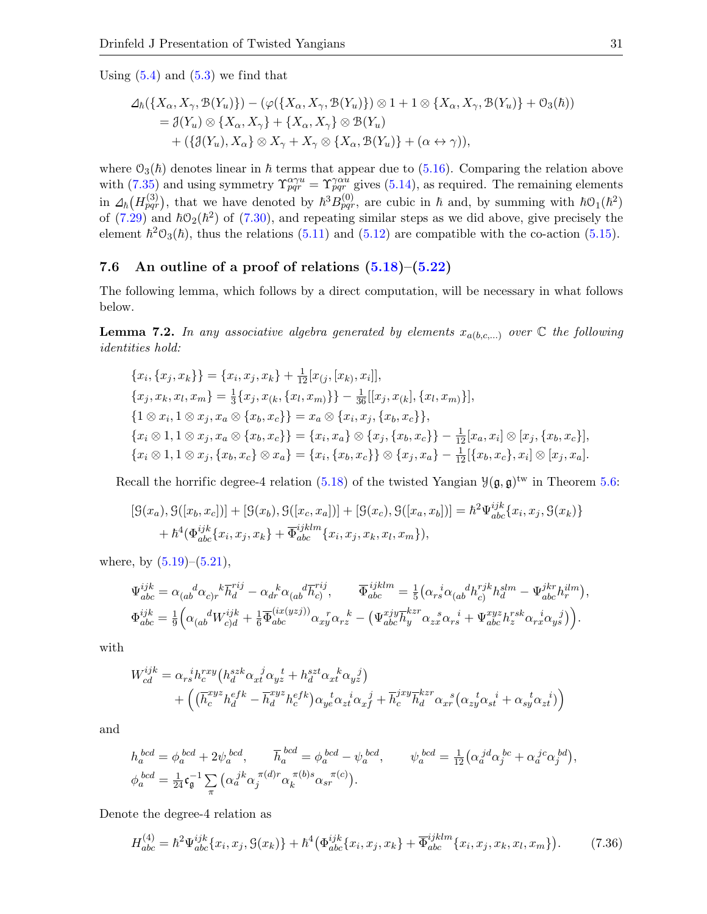Using  $(5.4)$  and  $(5.3)$  we find that

$$
\Delta_{\hbar}(\{X_{\alpha}, X_{\gamma}, \mathcal{B}(Y_{u})\}) - (\varphi(\{X_{\alpha}, X_{\gamma}, \mathcal{B}(Y_{u})\}) \otimes 1 + 1 \otimes \{X_{\alpha}, X_{\gamma}, \mathcal{B}(Y_{u})\} + \mathcal{O}_{3}(\hbar))
$$
  
=  $\mathcal{J}(Y_{u}) \otimes \{X_{\alpha}, X_{\gamma}\} + \{X_{\alpha}, X_{\gamma}\} \otimes \mathcal{B}(Y_{u})$   
+  $({\mathcal{J}(Y_{u}), X_{\alpha}\} \otimes X_{\gamma} + X_{\gamma} \otimes {\{X_{\alpha}, \mathcal{B}(Y_{u})\} + (\alpha \leftrightarrow \gamma)}),$ 

where  $\mathcal{O}_3(\hbar)$  denotes linear in  $\hbar$  terms that appear due to [\(5.16\)](#page-12-3). Comparing the relation above with [\(7.35\)](#page-29-2) and using symmetry  $\Upsilon_{pqr}^{\alpha\gamma u} = \Upsilon_{pqr}^{\gamma\alpha u}$  gives [\(5.14\)](#page-12-9), as required. The remaining elements in  $\Delta_{\hbar} (H_{pqr}^{(3)})$ , that we have denoted by  $\hbar^3 B_{pqr}^{(0)}$ , are cubic in  $\hbar$  and, by summing with  $\hbar \mathcal{O}_1(\hbar^2)$ of  $(7.29)$  and  $\hbar O_2(\hbar^2)$  of  $(7.30)$ , and repeating similar steps as we did above, give precisely the element  $\hbar^2O_3(\hbar)$ , thus the relations [\(5.11\)](#page-12-4) and [\(5.12\)](#page-12-5) are compatible with the co-action [\(5.15\)](#page-12-2).

#### <span id="page-30-0"></span>7.6 An outline of a proof of relations  $(5.18)$ – $(5.22)$

The following lemma, which follows by a direct computation, will be necessary in what follows below.

<span id="page-30-2"></span>**Lemma 7.2.** In any associative algebra generated by elements  $x_{a(b,c,...)}$  over  $\mathbb C$  the following identities hold:

$$
\{x_i, \{x_j, x_k\}\} = \{x_i, x_j, x_k\} + \frac{1}{12}[x_{(j)}, [x_k), x_i]],
$$
  
\n
$$
\{x_j, x_k, x_l, x_m\} = \frac{1}{3}\{x_j, x_{(k)}, \{x_l, x_m\}\} - \frac{1}{36}[[x_j, x_{(k)}, \{x_l, x_m\}]],
$$
  
\n
$$
\{1 \otimes x_i, 1 \otimes x_j, x_a \otimes \{x_b, x_c\}\} = x_a \otimes \{x_i, x_j, \{x_b, x_c\}\},
$$
  
\n
$$
\{x_i \otimes 1, 1 \otimes x_j, x_a \otimes \{x_b, x_c\}\} = \{x_i, x_a\} \otimes \{x_j, \{x_b, x_c\}\} - \frac{1}{12}[x_a, x_i] \otimes [x_j, \{x_b, x_c\}],
$$
  
\n
$$
\{x_i \otimes 1, 1 \otimes x_j, \{x_b, x_c\} \otimes x_a\} = \{x_i, \{x_b, x_c\}\} \otimes \{x_j, x_a\} - \frac{1}{12}[\{x_b, x_c\}, x_i] \otimes [x_j, x_a].
$$

Recall the horrific degree-4 relation [\(5.18\)](#page-12-6) of the twisted Yangian  $\mathcal{Y}(\mathfrak{g}, \mathfrak{g})^{\text{tw}}$  in Theorem [5.6:](#page-12-1)

$$
[G(x_a), G([x_b, x_c])] + [G(x_b), G([x_c, x_a])] + [G(x_c), G([x_a, x_b])] = \hbar^2 \Psi_{abc}^{ijk} \{x_i, x_j, G(x_k)\} + \hbar^4(\Phi_{abc}^{ijk} \{x_i, x_j, x_k\} + \overline{\Phi}_{abc}^{ijklm} \{x_i, x_j, x_k, x_l, x_m\}),
$$

where, by  $(5.19)$ – $(5.21)$ ,

$$
\Psi_{abc}^{ijk} = \alpha_{(ab}^{\ \ d}\alpha_{c)r}^{\ \ k}\overline{h}_{d}^{rij} - \alpha_{dr}^{\ \ k}\alpha_{(ab}^{\ \ d}\overline{h}_{c}^{rij}, \qquad \overline{\Phi}_{abc}^{ijklm} = \frac{1}{5} \left( \alpha_{rs}^{\ \ i}\alpha_{(ab}^{\ \ d}h_{c)}^{rjk} h_{d}^{klm} - \Psi_{abc}^{jkr} h_{r}^{ilm} \right),
$$
\n
$$
\Phi_{abc}^{ijk} = \frac{1}{9} \left( \alpha_{(ab}^{\ \ d}W_{c)d}^{ijk} + \frac{1}{6} \overline{\Phi}_{abc}^{(ix(yzj))} \alpha_{xy}^{\ \ r} \alpha_{rz}^{\ \ k} - \left( \Psi_{abc}^{xjy} \overline{h}_{y}^{kzr} \alpha_{zx}^{\ \ s} \alpha_{rs}^{\ \ i} + \Psi_{abc}^{xyz} h_{z}^{rsk} \alpha_{rx}^{\ \ i}\alpha_{ys}^{\ \ j} \right) \right).
$$

with

$$
W_{cd}^{ijk} = \alpha_{rs}^{i} h_c^{rxy} \left( h_d^{szk} \alpha_{xt}^{j} \alpha_{yz}^{t} + h_d^{szt} \alpha_{xt}^{k} \alpha_{yz}^{j} \right) + \left( \left( \overline{h}_c^{xyz} h_d^{efk} - \overline{h}_d^{xyz} h_c^{efk} \right) \alpha_{ye}^{t} \alpha_{zt}^{i} \alpha_{xf}^{j} + \overline{h}_c^{jxy} \overline{h}_d^{kz} \alpha_{xr}^{s} \left( \alpha_{zy}^{t} \alpha_{st}^{i} + \alpha_{sy}^{t} \alpha_{zt}^{i} \right) \right)
$$

and

$$
\begin{aligned} &h_a^{~bcd}=\phi_a^{~bcd}+2\psi_a^{~bcd},\qquad \overline{h}_a^{~bcd}=\phi_a^{~bcd}-\psi_a^{~bcd},\qquad \psi_a^{~bcd}=\tfrac{1}{12}\big(\alpha_a^{~jd}\alpha_j^{~bc}+\alpha_a^{~jc}\alpha_j^{~bd}\big),\\ &\phi_a^{~bcd}=\tfrac{1}{24}\mathfrak{c}_\mathfrak{g}^{-1}\sum_\pi\big(\alpha_a^{~jk}\alpha_j^{~\pi(d)r}\alpha_k^{~\pi(b)s}\alpha_{sr}^{~\pi(c)}\big). \end{aligned}
$$

Denote the degree-4 relation as

<span id="page-30-1"></span>
$$
H_{abc}^{(4)} = \hbar^2 \Psi_{abc}^{ijk} \{x_i, x_j, \mathcal{G}(x_k)\} + \hbar^4 \big(\Phi_{abc}^{ijk} \{x_i, x_j, x_k\} + \overline{\Phi}_{abc}^{ijklm} \{x_i, x_j, x_k, x_l, x_m\}\big). \tag{7.36}
$$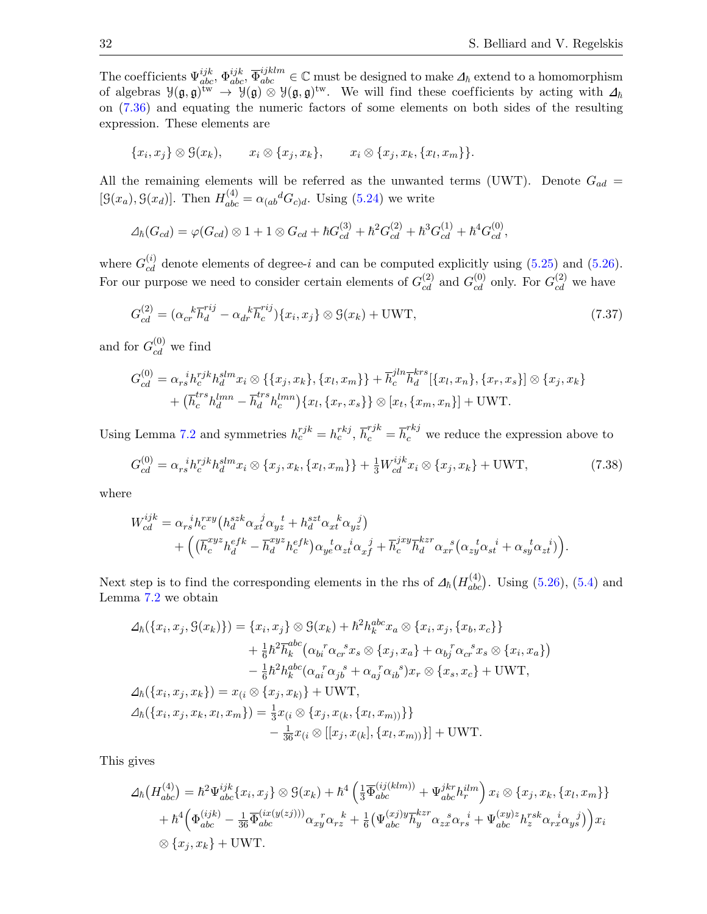The coefficients  $\Psi_{abc}^{ijk}, \Phi_{abc}^{ijk}, \overline{\Phi}_{abc}^{ijklm} \in \mathbb{C}$  must be designed to make  $\Delta_{\hbar}$  extend to a homomorphism of algebras  $\mathcal{Y}(\mathfrak{g},\mathfrak{g})^{\mathrm{tw}} \to \mathcal{Y}(\mathfrak{g}) \otimes \mathcal{Y}(\mathfrak{g},\mathfrak{g})^{\mathrm{tw}}$ . We will find these coefficients by acting with  $\Delta_{\hbar}$ on [\(7.36\)](#page-30-1) and equating the numeric factors of some elements on both sides of the resulting expression. These elements are

$$
\{x_i, x_j\} \otimes \mathcal{G}(x_k), \qquad x_i \otimes \{x_j, x_k\}, \qquad x_i \otimes \{x_j, x_k, \{x_l, x_m\}\}.
$$

All the remaining elements will be referred as the unwanted terms (UWT). Denote  $G_{ad}$  =  $[\mathcal{G}(x_a), \mathcal{G}(x_d)]$ . Then  $H_{abc}^{(4)} = \alpha_{(ab}{}^d G_{c)d}$ . Using [\(5.24\)](#page-13-0) we write

$$
\Delta_{\hbar}(G_{cd}) = \varphi(G_{cd}) \otimes 1 + 1 \otimes G_{cd} + \hbar G_{cd}^{(3)} + \hbar^2 G_{cd}^{(2)} + \hbar^3 G_{cd}^{(1)} + \hbar^4 G_{cd}^{(0)},
$$

where  $G_{cd}^{(i)}$  denote elements of degree-i and can be computed explicitly using [\(5.25\)](#page-13-4) and [\(5.26\)](#page-13-6). For our purpose we need to consider certain elements of  $G_{cd}^{(2)}$  and  $G_{cd}^{(0)}$  only. For  $G_{cd}^{(2)}$  we have

<span id="page-31-0"></span>
$$
G_{cd}^{(2)} = (\alpha_{cr}^{\ \ k} \overline{h}_d^{rij} - \alpha_{dr}^{\ \ k} \overline{h}_c^{rij}) \{x_i, x_j\} \otimes \mathcal{G}(x_k) + \text{UWT},\tag{7.37}
$$

and for  $G_{cd}^{(0)}$  we find

$$
G_{cd}^{(0)} = \alpha_{rs}{}^{i}h_{c}^{rjk}h_{d}^{slm}x_{i} \otimes \{ \{x_{j}, x_{k}\}, \{x_{l}, x_{m}\} \} + \overline{h}_{c}^{jln}\overline{h}_{d}^{krs}[\{x_{l}, x_{n}\}, \{x_{r}, x_{s}\}] \otimes \{x_{j}, x_{k}\}\n+ (\overline{h}_{c}^{trs}h_{d}^{lmn} - \overline{h}_{d}^{trs}h_{c}^{lmn})\{x_{l}, \{x_{r}, x_{s}\}\} \otimes [x_{t}, \{x_{m}, x_{n}\}] + \text{UWT}.
$$

Using Lemma [7.2](#page-30-2) and symmetries  $h_c^{rjk} = h_c^{rkj}$ ,  $\overline{h}_c^{rjk} = \overline{h}_c^{rkj}$  we reduce the expression above to

<span id="page-31-1"></span>
$$
G_{cd}^{(0)} = \alpha_{rs}^{i} h_c^{rjk} h_d^{slm} x_i \otimes \{x_j, x_k, \{x_l, x_m\}\} + \frac{1}{3} W_{cd}^{ijk} x_i \otimes \{x_j, x_k\} + \text{UWT},\tag{7.38}
$$

where

$$
W_{cd}^{ijk} = \alpha_{rs}{}^i h_c^{xxy} \left( h_d^{szk} \alpha_{xt}{}^j \alpha_{yz}{}^t + h_d^{szk} \alpha_{xt}{}^k \alpha_{yz}{}^j \right) + \left( \left( \overline{h}_c^{xyz} h_d^{efk} - \overline{h}_d^{xyz} h_c^{efk} \right) \alpha_{ye}{}^t \alpha_{zt}{}^i \alpha_{xf}{}^j + \overline{h}_c^{jxy} \overline{h}_d^{kzr} \alpha_{xr}{}^s \left( \alpha_{zy}{}^t \alpha_{st}{}^i + \alpha_{sy}{}^t \alpha_{zt}{}^i \right) \right).
$$

Next step is to find the corresponding elements in the rhs of  $\Delta_{\hbar}(H_{abc}^{(4)})$ . Using [\(5.26\)](#page-13-6), [\(5.4\)](#page-11-6) and Lemma [7.2](#page-30-2) we obtain

$$
\Delta_{\hbar}(\{x_{i}, x_{j}, \mathcal{G}(x_{k})\}) = \{x_{i}, x_{j}\} \otimes \mathcal{G}(x_{k}) + \hbar^{2}h_{k}^{abc}x_{a} \otimes \{x_{i}, x_{j}, \{x_{b}, x_{c}\}\}\n+ \frac{1}{6}\hbar^{2}\overline{h}_{k}^{abc}(\alpha_{bi}^{r}\alpha_{cr}^{s}x_{s} \otimes \{x_{j}, x_{a}\} + \alpha_{bj}^{r}\alpha_{cr}^{s}x_{s} \otimes \{x_{i}, x_{a}\})\n- \frac{1}{6}\hbar^{2}h_{k}^{abc}(\alpha_{ai}^{r}\alpha_{jb}^{s} + \alpha_{aj}^{r}\alpha_{ib}^{s})x_{r} \otimes \{x_{s}, x_{c}\} + \text{UWT},\n\Delta_{\hbar}(\{x_{i}, x_{j}, x_{k}\}) = x_{(i} \otimes \{x_{j}, x_{k}\}) + \text{UWT},\n\Delta_{\hbar}(\{x_{i}, x_{j}, x_{k}, x_{l}, x_{m}\}) = \frac{1}{3}x_{(i} \otimes \{x_{j}, x_{(k}, \{x_{l}, x_{m}))\}\n- \frac{1}{36}x_{(i} \otimes [[x_{j}, x_{(k)}, \{x_{l}, x_{m})\}]+ \text{UWT}.
$$

This gives

$$
\Delta_{\hbar} \left( H_{abc}^{(4)} \right) = \hbar^{2} \Psi_{abc}^{ijk} \{ x_{i}, x_{j} \} \otimes \mathcal{G}(x_{k}) + \hbar^{4} \left( \frac{1}{3} \overline{\Phi}_{abc}^{(ij(klm))} + \Psi_{abc}^{jkr} h_{r}^{ilm} \right) x_{i} \otimes \{ x_{j}, x_{k}, \{ x_{l}, x_{m} \} \} + \hbar^{4} \left( \Phi_{abc}^{(ijk)} - \frac{1}{36} \overline{\Phi}_{abc}^{(ix(y(zj)))} \alpha_{xy}^{r} \alpha_{xz}^{k} + \frac{1}{6} \left( \Psi_{abc}^{(xj)y} \overline{h}_{y}^{kzr} \alpha_{zx}^{s} \alpha_{rs}^{i} + \Psi_{abc}^{(xy)z} h_{z}^{rsk} \alpha_{rx}^{i} \alpha_{ys}^{j} \right) \right) x_{i} \otimes \{ x_{j}, x_{k} \} + \text{UWT.}
$$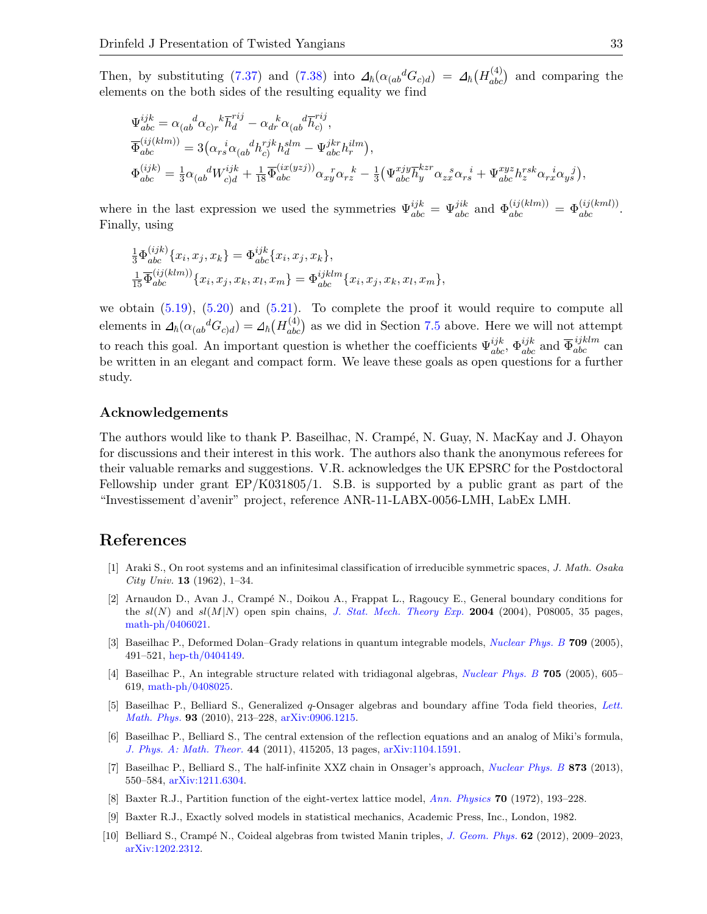Then, by substituting [\(7.37\)](#page-31-0) and [\(7.38\)](#page-31-1) into  $\Delta_{\hbar}(\alpha_{(ab}{}^d G_{c)d}) = \Delta_{\hbar}(H_{abc}^{(4)})$  and comparing the elements on the both sides of the resulting equality we find

$$
\begin{split} &\Psi_{abc}^{ijk}=\alpha_{(ab}^{\phantom{ab}d}\alpha_{c)r}^{\phantom{ab}k}\overline{h}_{d}^{rij}-\alpha_{dr}^{\phantom{dr}\alpha}(\alpha_{(ab}^{\phantom{dr}\bar{l}}\overline{h}_{c}^{rij},\\ &\overline{\Phi}_{abc}^{(ij(klm))}=3\big(\alpha_{rs}^{\phantom{rs}i}\alpha_{(ab}^{\phantom{rs}d}h_{c)}^{rjk}h_{d}^{slm}-\Psi_{abc}^{jkr}h_{r}^{ilm}\big),\\ &\Phi_{abc}^{(ijk)}=\tfrac{1}{3}\alpha_{(ab}^{\phantom{ds}d}W_{c)d}^{ijk}+\tfrac{1}{18}\overline{\Phi}_{abc}^{(ix(yzj))}\alpha_{xy}^{\phantom{rs}r}\alpha_{rz}^{\phantom{rs}k}-\tfrac{1}{3}\big(\Psi_{abc}^{xjy}\overline{h}_{y}^{kzr}\alpha_{zx}^{\phantom{rs} s}\alpha_{rs}^{\phantom{rs}i}+\Psi_{abc}^{xyz}h_{z}^{rsk}\alpha_{rx}^{\phantom{rs}i}\alpha_{y\overline{s}}^{\phantom{rs}j}\big), \end{split}
$$

where in the last expression we used the symmetries  $\Psi_{abc}^{ijk} = \Psi_{abc}^{jik}$  and  $\Phi_{abc}^{(ij(klm))} = \Phi_{abc}^{(ij(kml))}$ . Finally, using

$$
\frac{1}{3}\Phi_{abc}^{(ijk)}\{x_i, x_j, x_k\} = \Phi_{abc}^{ijk}\{x_i, x_j, x_k\},
$$
\n
$$
\frac{1}{15}\overline{\Phi}_{abc}^{(ij(klm))}\{x_i, x_j, x_k, x_l, x_m\} = \Phi_{abc}^{ijklm}\{x_i, x_j, x_k, x_l, x_m\},
$$

we obtain  $(5.19)$ ,  $(5.20)$  and  $(5.21)$ . To complete the proof it would require to compute all elements in  $\Delta_h(\alpha_{(ab}{}^d G_{c)d}) = \Delta_h(H_{abc}^{(4)})$  as we did in Section [7.5](#page-25-0) above. Here we will not attempt to reach this goal. An important question is whether the coefficients  $\Psi_{abc}^{ijk}$ ,  $\Psi_{abc}^{ijk}$  and  $\overline{\Phi}_{abc}^{ijklm}$  can be written in an elegant and compact form. We leave these goals as open questions for a further study.

#### Acknowledgements

 $\sqrt{1 + x}$ 

The authors would like to thank P. Baseilhac, N. Crampé, N. Guay, N. MacKay and J. Ohayon for discussions and their interest in this work. The authors also thank the anonymous referees for their valuable remarks and suggestions. V.R. acknowledges the UK EPSRC for the Postdoctoral Fellowship under grant EP/K031805/1. S.B. is supported by a public grant as part of the "Investissement d'avenir" project, reference ANR-11-LABX-0056-LMH, LabEx LMH.

### References

- <span id="page-32-6"></span>[1] Araki S., On root systems and an infinitesimal classification of irreducible symmetric spaces, J. Math. Osaka City Univ. **13** (1962), 1–34.
- <span id="page-32-9"></span>[2] Arnaudon D., Avan J., Crampé N., Doikou A., Frappat L., Ragoucy E., General boundary conditions for the  $sl(N)$  and  $sl(M|N)$  open spin chains, [J. Stat. Mech. Theory Exp.](https://doi.org/10.1088/1742-5468/2004/08/P08005) 2004 (2004), P08005, 35 pages, [math-ph/0406021.](http://arxiv.org/abs/math-ph/0406021)
- <span id="page-32-3"></span>[3] Baseilhac P., Deformed Dolan–Grady relations in quantum integrable models, [Nuclear Phys. B](https://doi.org/10.1016/j.nuclphysb.2004.12.016) 709 (2005), 491–521, [hep-th/0404149.](http://arxiv.org/abs/hep-th/0404149)
- <span id="page-32-4"></span>[4] Baseilhac P., An integrable structure related with tridiagonal algebras, [Nuclear Phys. B](https://doi.org/10.1016/j.nuclphysb.2004.11.014) 705 (2005), 605– 619, [math-ph/0408025.](http://arxiv.org/abs/math-ph/0408025)
- <span id="page-32-5"></span>[5] Baseilhac P., Belliard S., Generalized q-Onsager algebras and boundary af fine Toda field theories, [Lett.](https://doi.org/10.1007/s11005-010-0412-6) [Math. Phys.](https://doi.org/10.1007/s11005-010-0412-6) 93 (2010), 213–228, [arXiv:0906.1215.](http://arxiv.org/abs/0906.1215)
- <span id="page-32-2"></span>[6] Baseilhac P., Belliard S., The central extension of the reflection equations and an analog of Miki's formula, [J. Phys. A: Math. Theor.](https://doi.org/10.1088/1751-8113/44/41/415205) 44 (2011), 415205, 13 pages, [arXiv:1104.1591.](http://arxiv.org/abs/1104.1591)
- <span id="page-32-8"></span>[7] Baseilhac P., Belliard S., The half-infinite XXZ chain in Onsager's approach, *[Nuclear Phys. B](https://doi.org/10.1016/j.nuclphysb.2013.05.003)* 873 (2013), 550–584, [arXiv:1211.6304.](http://arxiv.org/abs/1211.6304)
- <span id="page-32-0"></span>[8] Baxter R.J., Partition function of the eight-vertex lattice model, [Ann. Physics](https://doi.org/10.1016/0003-4916(72)90335-1) 70 (1972), 193–228.
- <span id="page-32-1"></span>[9] Baxter R.J., Exactly solved models in statistical mechanics, Academic Press, Inc., London, 1982.
- <span id="page-32-7"></span>[10] Belliard S., Crampé N., Coideal algebras from twisted Manin triples, [J. Geom. Phys.](https://doi.org/10.1016/j.geomphys.2012.05.008) 62 (2012), 2009–2023, [arXiv:1202.2312.](http://arxiv.org/abs/1202.2312)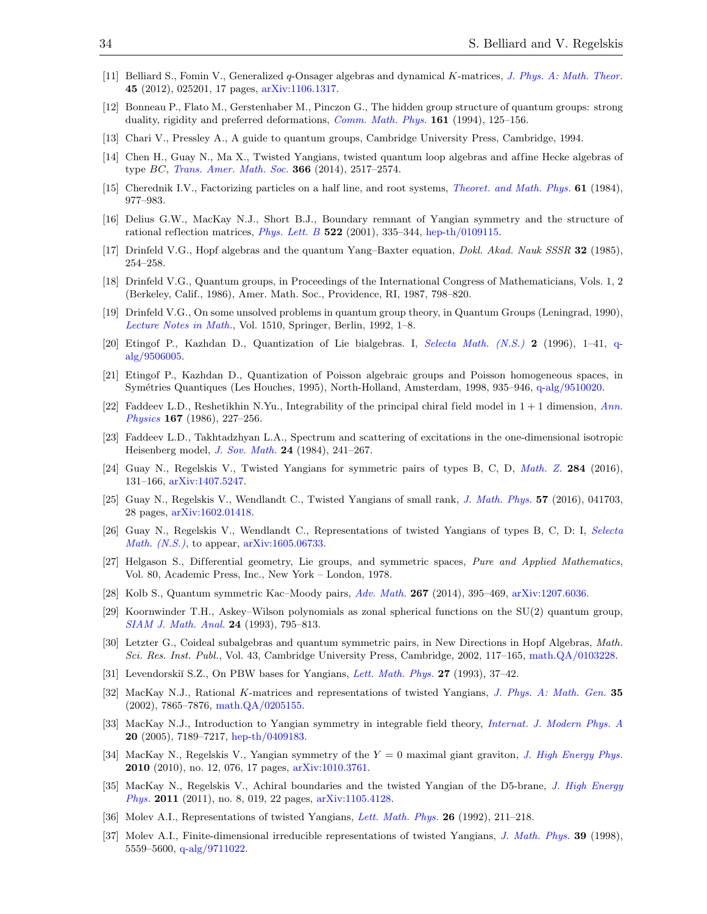- <span id="page-33-21"></span>[11] Belliard S., Fomin V., Generalized q-Onsager algebras and dynamical K-matrices, [J. Phys. A: Math. Theor.](https://doi.org/10.1088/1751-8113/45/2/025201) 45 (2012), 025201, 17 pages, [arXiv:1106.1317.](http://arxiv.org/abs/1106.1317)
- <span id="page-33-25"></span>[12] Bonneau P., Flato M., Gerstenhaber M., Pinczon G., The hidden group structure of quantum groups: strong duality, rigidity and preferred deformations, [Comm. Math. Phys.](https://doi.org/10.1007/BF02099415) 161 (1994), 125-156.
- <span id="page-33-24"></span>[13] Chari V., Pressley A., A guide to quantum groups, Cambridge University Press, Cambridge, 1994.
- <span id="page-33-13"></span>[14] Chen H., Guay N., Ma X., Twisted Yangians, twisted quantum loop algebras and affine Hecke algebras of type BC, [Trans. Amer. Math. Soc.](https://doi.org/10.1090/S0002-9947-2014-05994-1) 366 (2014), 2517–2574.
- <span id="page-33-7"></span>[15] Cherednik I.V., Factorizing particles on a half line, and root systems, *[Theoret. and Math. Phys.](https://doi.org/10.1007/BF01038545)* **61** (1984), 977–983.
- <span id="page-33-17"></span>[16] Delius G.W., MacKay N.J., Short B.J., Boundary remnant of Yangian symmetry and the structure of rational reflection matrices,  $Phys. Lett. B$  522 (2001), 335–344, [hep-th/0109115.](http://arxiv.org/abs/hep-th/0109115)
- <span id="page-33-0"></span>[17] Drinfeld V.G., Hopf algebras and the quantum Yang–Baxter equation, Dokl. Akad. Nauk SSSR 32 (1985), 254–258.
- <span id="page-33-4"></span>[18] Drinfeld V.G., Quantum groups, in Proceedings of the International Congress of Mathematicians, Vols. 1, 2 (Berkeley, Calif., 1986), Amer. Math. Soc., Providence, RI, 1987, 798–820.
- <span id="page-33-5"></span>[19] Drinfeld V.G., On some unsolved problems in quantum group theory, in Quantum Groups (Leningrad, 1990), [Lecture Notes in Math.](https://doi.org/10.1007/BFb0101175), Vol. 1510, Springer, Berlin, 1992, 1–8.
- <span id="page-33-6"></span>[20] Etingof P., Kazhdan D., Quantization of Lie bialgebras. I, [Selecta Math. \(N.S.\)](https://doi.org/10.1007/BF01587938) 2 (1996), 1–41, [q](http://arxiv.org/abs/q-alg/9506005)[alg/9506005.](http://arxiv.org/abs/q-alg/9506005)
- <span id="page-33-20"></span>[21] Etingof P., Kazhdan D., Quantization of Poisson algebraic groups and Poisson homogeneous spaces, in Sym´etries Quantiques (Les Houches, 1995), North-Holland, Amsterdam, 1998, 935–946, [q-alg/9510020.](http://arxiv.org/abs/q-alg/9510020)
- <span id="page-33-2"></span>[22] Faddeev L.D., Reshetikhin N.Yu., Integrability of the principal chiral field model in  $1 + 1$  dimension, [Ann.](https://doi.org/10.1016/0003-4916(86)90201-0) [Physics](https://doi.org/10.1016/0003-4916(86)90201-0) 167 (1986), 227–256.
- <span id="page-33-1"></span>[23] Faddeev L.D., Takhtadzhyan L.A., Spectrum and scattering of excitations in the one-dimensional isotropic Heisenberg model, [J. Sov. Math.](https://doi.org/10.1007/BF01087245) 24 (1984), 241–267.
- <span id="page-33-8"></span>[24] Guay N., Regelskis V., Twisted Yangians for symmetric pairs of types B, C, D, [Math. Z.](https://doi.org/10.1007/s00209-016-1649-2) 284 (2016), 131–166, [arXiv:1407.5247.](http://arxiv.org/abs/1407.5247)
- <span id="page-33-9"></span>[25] Guay N., Regelskis V., Wendlandt C., Twisted Yangians of small rank, [J. Math. Phys.](https://doi.org/10.1063/1.4947112) 57 (2016), 041703, 28 pages, [arXiv:1602.01418.](http://arxiv.org/abs/1602.01418)
- <span id="page-33-10"></span>[26] Guay N., Regelskis V., Wendlandt C., Representations of twisted Yangians of types B, C, D: I, [Selecta](https://doi.org/10.1007/s00029-017-0306-x) [Math. \(N.S.\)](https://doi.org/10.1007/s00029-017-0306-x), to appear, [arXiv:1605.06733.](http://arxiv.org/abs/1605.06733)
- <span id="page-33-19"></span>[27] Helgason S., Differential geometry, Lie groups, and symmetric spaces, Pure and Applied Mathematics, Vol. 80, Academic Press, Inc., New York – London, 1978.
- <span id="page-33-16"></span>[28] Kolb S., Quantum symmetric Kac–Moody pairs, [Adv. Math.](https://doi.org/10.1016/j.aim.2014.08.010) 267 (2014), 395–469, [arXiv:1207.6036.](http://arxiv.org/abs/1207.6036)
- <span id="page-33-15"></span>[29] Koornwinder T.H., Askey–Wilson polynomials as zonal spherical functions on the SU(2) quantum group, [SIAM J. Math. Anal.](https://doi.org/10.1137/0524049) 24 (1993), 795–813.
- <span id="page-33-14"></span>[30] Letzter G., Coideal subalgebras and quantum symmetric pairs, in New Directions in Hopf Algebras, Math. Sci. Res. Inst. Publ., Vol. 43, Cambridge University Press, Cambridge, 2002, 117–165, [math.QA/0103228.](http://arxiv.org/abs/math.QA/0103228)
- <span id="page-33-26"></span><span id="page-33-18"></span>[31] Levendorskiĭ S.Z., On PBW bases for Yangians, [Lett. Math. Phys.](https://doi.org/10.1007/BF00739587) 27 (1993), 37–42.
- [32] MacKay N.J., Rational K-matrices and representations of twisted Yangians, [J. Phys. A: Math. Gen.](https://doi.org/10.1088/0305-4470/35/37/302) 35  $(2002)$ , 7865–7876, [math.QA/0205155.](http://arxiv.org/abs/math.QA/0205155)
- <span id="page-33-3"></span>[33] MacKay N.J., Introduction to Yangian symmetry in integrable field theory, [Internat. J. Modern Phys. A](https://doi.org/10.1142/S0217751X05022317) 20 (2005), 7189–7217, [hep-th/0409183.](http://arxiv.org/abs/hep-th/0409183)
- <span id="page-33-22"></span>[34] MacKay N., Regelskis V., Yangian symmetry of the  $Y = 0$  maximal giant graviton, *[J. High Energy Phys.](https://doi.org/10.1007/JHEP12(2010)076)* 2010 (2010), no. 12, 076, 17 pages, [arXiv:1010.3761.](http://arxiv.org/abs/1010.3761)
- <span id="page-33-23"></span>[35] MacKay N., Regelskis V., Achiral boundaries and the twisted Yangian of the D5-brane, [J. High Energy](https://doi.org/10.1007/JHEP08(2011)019) [Phys.](https://doi.org/10.1007/JHEP08(2011)019) 2011 (2011), no. 8, 019, 22 pages, [arXiv:1105.4128.](http://arxiv.org/abs/1105.4128)
- <span id="page-33-12"></span><span id="page-33-11"></span>[36] Molev A.I., Representations of twisted Yangians, [Lett. Math. Phys.](https://doi.org/10.1007/BF00420754) 26 (1992), 211–218.
- [37] Molev A.I., Finite-dimensional irreducible representations of twisted Yangians, [J. Math. Phys.](https://doi.org/10.1063/1.532551) 39 (1998), 5559–5600, [q-alg/9711022.](http://arxiv.org/abs/q-alg/9711022)